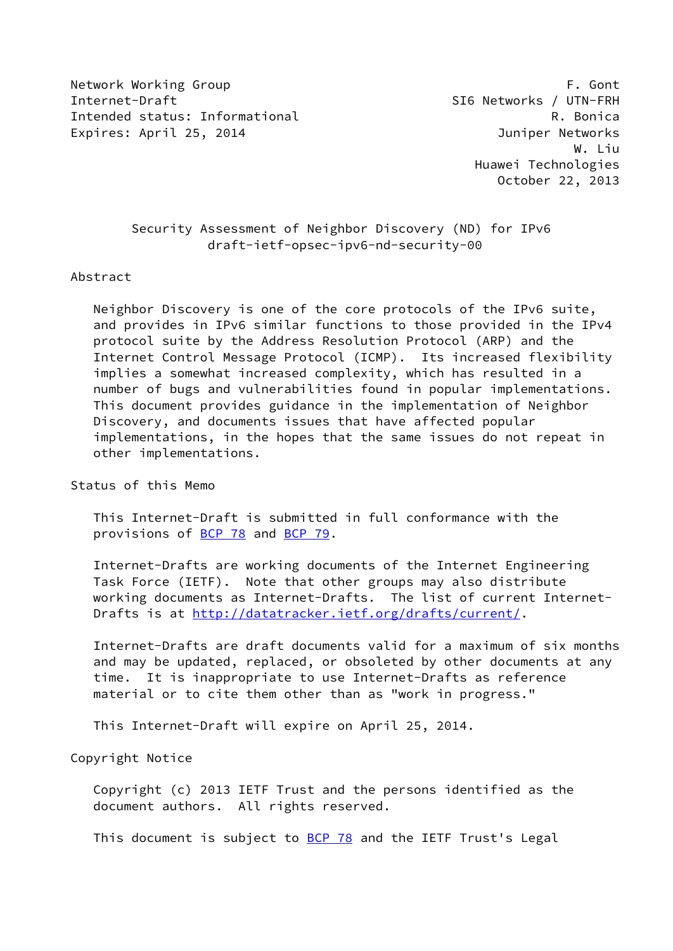Network Working Group **F. Gont** Internet-Draft SI6 Networks / UTN-FRH Intended status: Informational **R. Bonica** R. Bonica Expires: April 25, 2014 Juniper Networks

 W. Liu Huawei Technologies October 22, 2013

> Security Assessment of Neighbor Discovery (ND) for IPv6 draft-ietf-opsec-ipv6-nd-security-00

#### Abstract

 Neighbor Discovery is one of the core protocols of the IPv6 suite, and provides in IPv6 similar functions to those provided in the IPv4 protocol suite by the Address Resolution Protocol (ARP) and the Internet Control Message Protocol (ICMP). Its increased flexibility implies a somewhat increased complexity, which has resulted in a number of bugs and vulnerabilities found in popular implementations. This document provides guidance in the implementation of Neighbor Discovery, and documents issues that have affected popular implementations, in the hopes that the same issues do not repeat in other implementations.

Status of this Memo

 This Internet-Draft is submitted in full conformance with the provisions of [BCP 78](https://datatracker.ietf.org/doc/pdf/bcp78) and [BCP 79](https://datatracker.ietf.org/doc/pdf/bcp79).

 Internet-Drafts are working documents of the Internet Engineering Task Force (IETF). Note that other groups may also distribute working documents as Internet-Drafts. The list of current Internet Drafts is at<http://datatracker.ietf.org/drafts/current/>.

 Internet-Drafts are draft documents valid for a maximum of six months and may be updated, replaced, or obsoleted by other documents at any time. It is inappropriate to use Internet-Drafts as reference material or to cite them other than as "work in progress."

This Internet-Draft will expire on April 25, 2014.

Copyright Notice

 Copyright (c) 2013 IETF Trust and the persons identified as the document authors. All rights reserved.

This document is subject to **[BCP 78](https://datatracker.ietf.org/doc/pdf/bcp78)** and the IETF Trust's Legal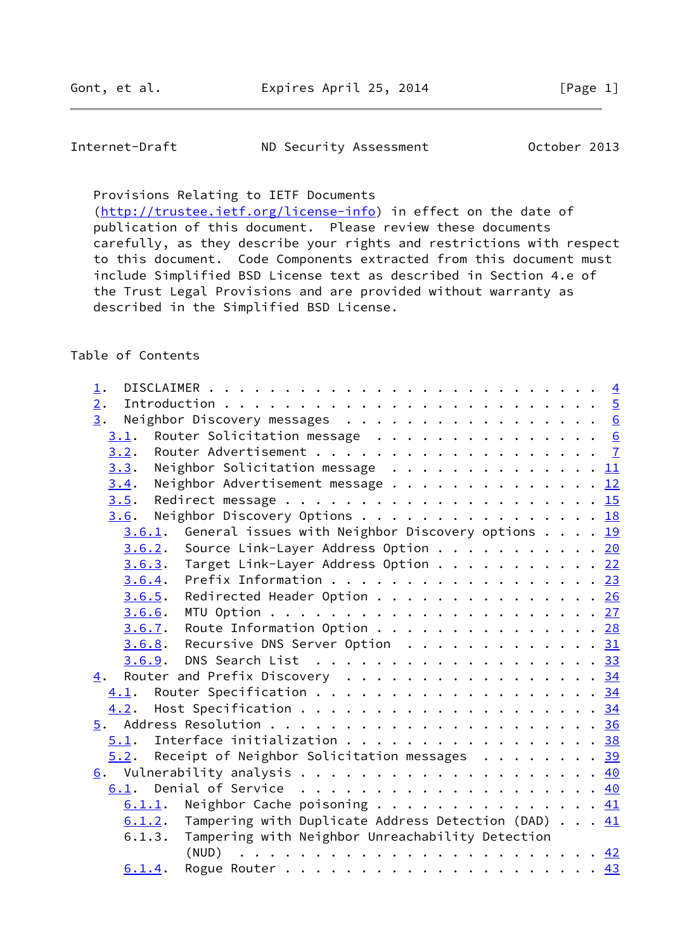| Internet-Draft | ND Security Assessment | October 2013 |
|----------------|------------------------|--------------|
|----------------|------------------------|--------------|

Provisions Relating to IETF Documents

[\(http://trustee.ietf.org/license-info](http://trustee.ietf.org/license-info)) in effect on the date of publication of this document. Please review these documents carefully, as they describe your rights and restrictions with respect to this document. Code Components extracted from this document must include Simplified BSD License text as described in Section 4.e of the Trust Legal Provisions and are provided without warranty as described in the Simplified BSD License.

## Table of Contents

| $\overline{1}$ .                                                                                                            |  |  |
|-----------------------------------------------------------------------------------------------------------------------------|--|--|
| $\overline{2}$ .                                                                                                            |  |  |
| Neighbor Discovery messages 6<br>3.                                                                                         |  |  |
| Router Solicitation message $\cdot \cdot \cdot \cdot \cdot \cdot \cdot \cdot \cdot \cdot \cdot \cdot \cdot \cdot 6$<br>3.1. |  |  |
| 3.2.                                                                                                                        |  |  |
| Neighbor Solicitation message $\ldots \ldots \ldots \ldots \ldots \frac{11}{11}$<br>3.3.                                    |  |  |
| Neighbor Advertisement message 12<br>3.4.                                                                                   |  |  |
| 3.5.                                                                                                                        |  |  |
| Neighbor Discovery Options 18<br>3.6.                                                                                       |  |  |
| 3.6.1. General issues with Neighbor Discovery options $\underline{19}$                                                      |  |  |
| Source Link-Layer Address Option 20<br>3.6.2.                                                                               |  |  |
| $3.6.3$ . Target Link-Layer Address Option 22                                                                               |  |  |
| Prefix Information 23<br>3.6.4.                                                                                             |  |  |
| Redirected Header Option 26<br>3.6.5.                                                                                       |  |  |
| 3.6.6.                                                                                                                      |  |  |
| Route Information Option 28<br>3.6.7.                                                                                       |  |  |
| Recursive DNS Server Option 31<br>3.6.8.                                                                                    |  |  |
| DNS Search List 33<br>3.6.9.                                                                                                |  |  |
| Router and Prefix Discovery 34<br>4.                                                                                        |  |  |
| Router Specification 34<br>4.1.                                                                                             |  |  |
| 4.2.                                                                                                                        |  |  |
|                                                                                                                             |  |  |
| Interface initialization 38<br>5.1.                                                                                         |  |  |
| $5.2$ . Receipt of Neighbor Solicitation messages 39                                                                        |  |  |
|                                                                                                                             |  |  |
| Denial of Service $\cdots$ , 40<br>6.1.                                                                                     |  |  |
| Neighbor Cache poisoning $\frac{41}{2}$<br>6.1.1.                                                                           |  |  |
| Tampering with Duplicate Address Detection (DAD) $\ldots$ 41<br>6.1.2.                                                      |  |  |
| Tampering with Neighbor Unreachability Detection<br>6.1.3.                                                                  |  |  |
| (NUD)                                                                                                                       |  |  |
| 6.1.4.                                                                                                                      |  |  |
|                                                                                                                             |  |  |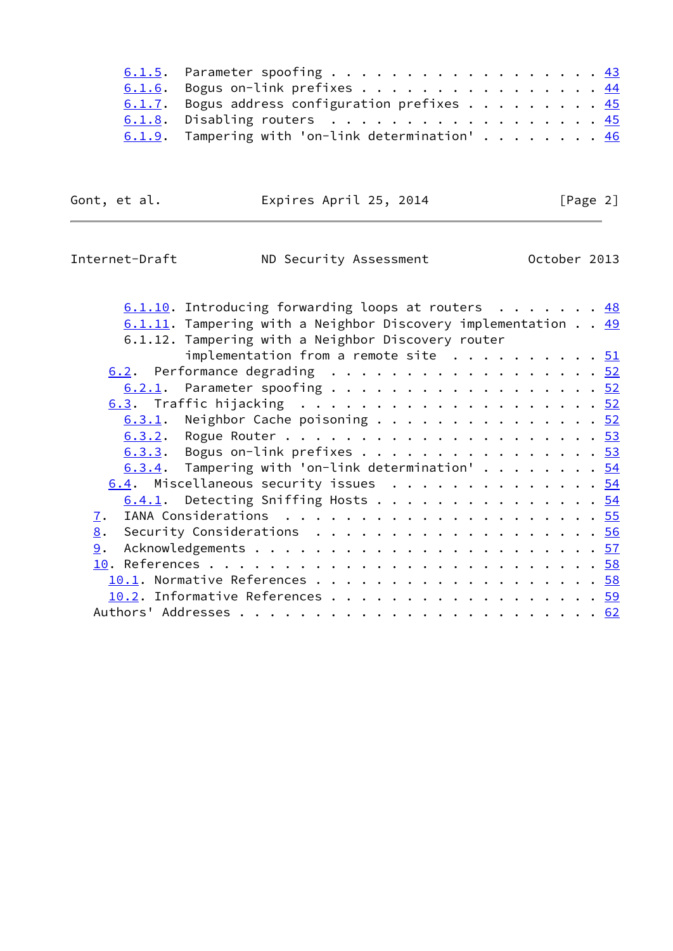| 6.1.5. Parameter spoofing 43                                               |  |  |  |  |  |
|----------------------------------------------------------------------------|--|--|--|--|--|
| 6.1.6. Bogus on-link prefixes 44                                           |  |  |  |  |  |
| 6.1.7. Bogus address configuration prefixes $\frac{45}{2}$                 |  |  |  |  |  |
| 6.1.8. Disabling routers $\frac{45}{2}$                                    |  |  |  |  |  |
| 6.1.9. Tampering with 'on-link determination' $\dots$ $\dots$ $\dots$ $46$ |  |  |  |  |  |

| Expires April 25, 2014<br>Gont, et al. | [Page 2] |
|----------------------------------------|----------|
|----------------------------------------|----------|

Internet-Draft ND Security Assessment October 2013

| $6.1.10$ . Introducing forwarding loops at routers 48            |  |
|------------------------------------------------------------------|--|
| $6.1.11$ . Tampering with a Neighbor Discovery implementation 49 |  |
| 6.1.12. Tampering with a Neighbor Discovery router               |  |
| implementation from a remote site $\ldots \ldots \ldots 51$      |  |
| 6.2. Performance degrading 52                                    |  |
| $6.2.1$ . Parameter spoofing 52                                  |  |
|                                                                  |  |
| $\underline{6.3.1}$ . Neighbor Cache poisoning 52                |  |
|                                                                  |  |
| $6.3.3.$ Bogus on-link prefixes 53                               |  |
| $6.3.4$ . Tampering with 'on-link determination' 54              |  |

[6.4](#page-60-2). Miscellaneous security issues . . . . . . . . . . . . . [54](#page-60-1)  $\underline{6.4.1}$ . Detecting Sniffing Hosts . . . . . . . . . . . . . . . [54](#page-60-1) [7](#page-61-0). IANA Considerations . . . . . . . . . . . . . . . . . . . . . [55](#page-61-1) [8](#page-62-0). Security Considerations . . . . . . . . . . . . . . . . . . . [56](#page-62-1) [9](#page-63-0). Acknowledgements . . . . . . . . . . . . . . . . . . . . . . . [57](#page-63-1) [10](#page-64-0). References . . . . . . . . . . . . . . . . . . . . . . . . . . [58](#page-64-1) [10.1](#page-64-2). Normative References . . . . . . . . . . . . . . . . . . . [58](#page-64-1) [10.2](#page-66-0). Informative References . . . . . . . . . . . . . . . . . . [59](#page-65-0) Authors' Addresses . . . . . . . . . . . . . . . . . . . . . . . . [62](#page-69-0)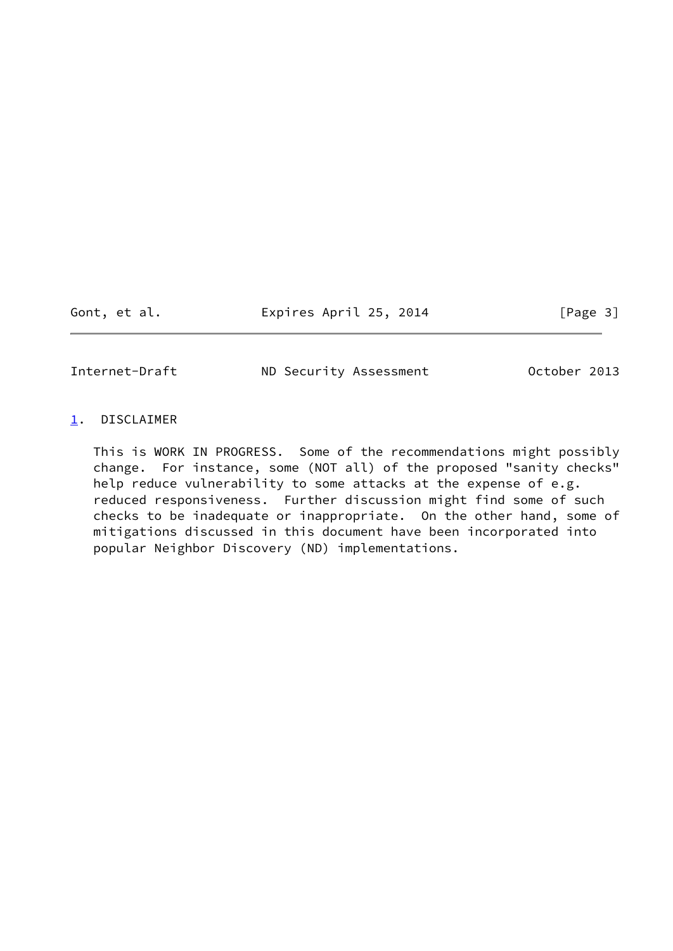Gont, et al. Expires April 25, 2014 [Page 3]

<span id="page-3-1"></span>Internet-Draft ND Security Assessment October 2013

## <span id="page-3-0"></span>[1](#page-3-0). DISCLAIMER

 This is WORK IN PROGRESS. Some of the recommendations might possibly change. For instance, some (NOT all) of the proposed "sanity checks" help reduce vulnerability to some attacks at the expense of e.g. reduced responsiveness. Further discussion might find some of such checks to be inadequate or inappropriate. On the other hand, some of mitigations discussed in this document have been incorporated into popular Neighbor Discovery (ND) implementations.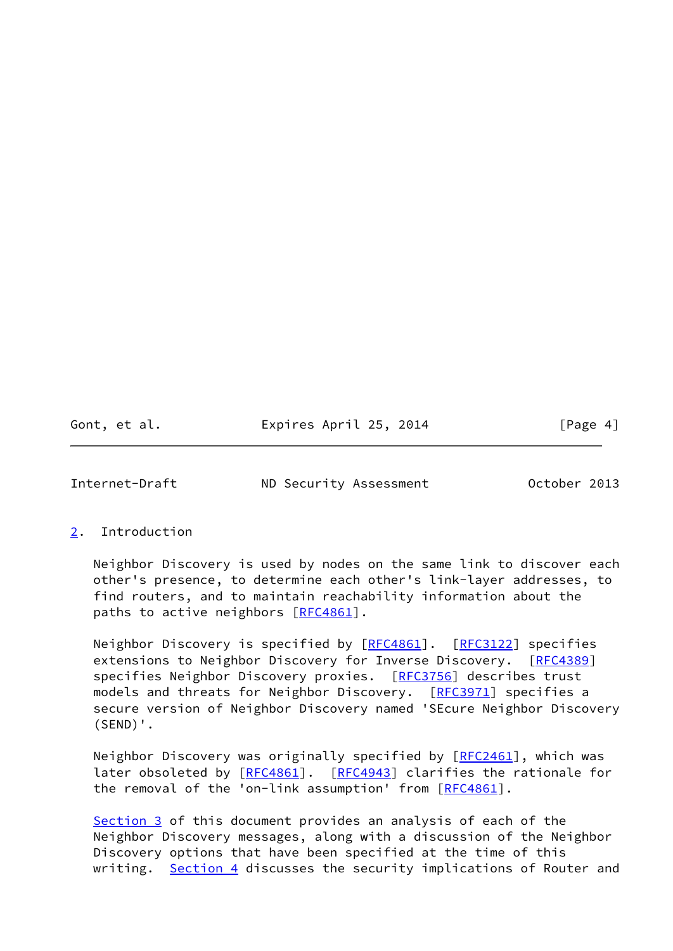Gont, et al. **Expires April 25, 2014** [Page 4]

<span id="page-4-1"></span>

Internet-Draft ND Security Assessment October 2013

## <span id="page-4-0"></span>[2](#page-4-0). Introduction

 Neighbor Discovery is used by nodes on the same link to discover each other's presence, to determine each other's link-layer addresses, to find routers, and to maintain reachability information about the paths to active neighbors  $[REC4861]$ .

Neighbor Discovery is specified by [[RFC4861\]](https://datatracker.ietf.org/doc/pdf/rfc4861). [\[RFC3122](https://datatracker.ietf.org/doc/pdf/rfc3122)] specifies extensions to Neighbor Discovery for Inverse Discovery. [\[RFC4389](https://datatracker.ietf.org/doc/pdf/rfc4389)] specifies Neighbor Discovery proxies. [\[RFC3756](https://datatracker.ietf.org/doc/pdf/rfc3756)] describes trust models and threats for Neighbor Discovery. [\[RFC3971](https://datatracker.ietf.org/doc/pdf/rfc3971)] specifies a secure version of Neighbor Discovery named 'SEcure Neighbor Discovery (SEND)'.

Neighbor Discovery was originally specified by [\[RFC2461](https://datatracker.ietf.org/doc/pdf/rfc2461)], which was later obsoleted by [[RFC4861\]](https://datatracker.ietf.org/doc/pdf/rfc4861). [\[RFC4943](https://datatracker.ietf.org/doc/pdf/rfc4943)] clarifies the rationale for the removal of the 'on-link assumption' from [\[RFC4861](https://datatracker.ietf.org/doc/pdf/rfc4861)].

[Section 3](#page-5-0) of this document provides an analysis of each of the Neighbor Discovery messages, along with a discussion of the Neighbor Discovery options that have been specified at the time of this writing. [Section 4](#page-37-0) discusses the security implications of Router and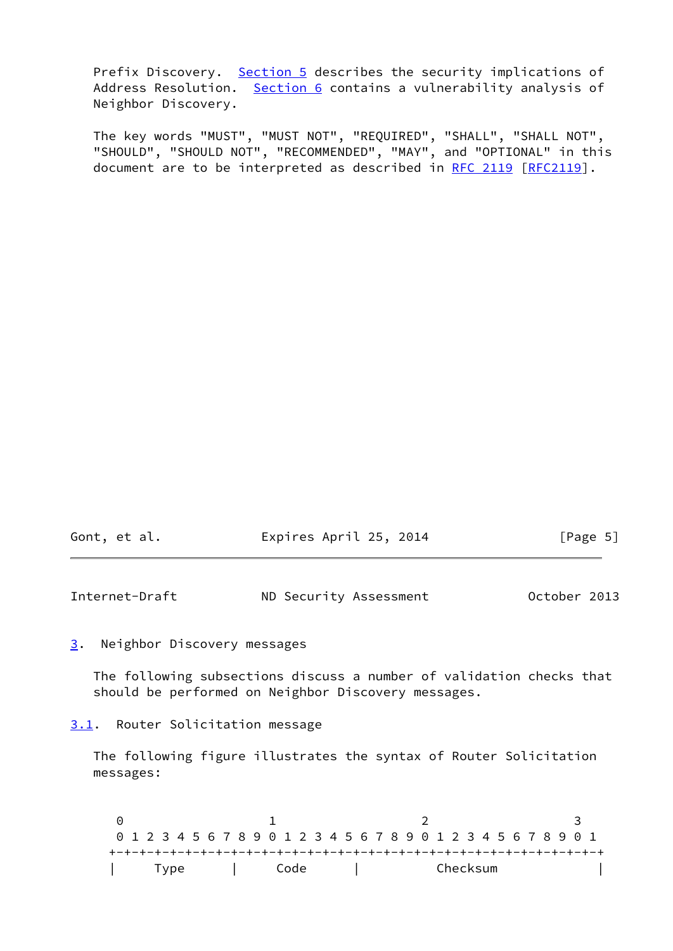Prefix Discovery. [Section 5](#page-39-0) describes the security implications of Address Resolution. [Section 6](#page-44-0) contains a vulnerability analysis of Neighbor Discovery.

 The key words "MUST", "MUST NOT", "REQUIRED", "SHALL", "SHALL NOT", "SHOULD", "SHOULD NOT", "RECOMMENDED", "MAY", and "OPTIONAL" in this document are to be interpreted as described in [RFC 2119 \[RFC2119](https://datatracker.ietf.org/doc/pdf/rfc2119)].

| Gont, et al. | Expires April 25, 2014 | [Page 5] |
|--------------|------------------------|----------|
|              |                        |          |

<span id="page-5-1"></span>Internet-Draft ND Security Assessment October 2013

## <span id="page-5-0"></span>[3](#page-5-0). Neighbor Discovery messages

 The following subsections discuss a number of validation checks that should be performed on Neighbor Discovery messages.

<span id="page-5-2"></span>[3.1](#page-5-2). Router Solicitation message

 The following figure illustrates the syntax of Router Solicitation messages:

 $0$  1 2 3 0 1 2 3 4 5 6 7 8 9 0 1 2 3 4 5 6 7 8 9 0 1 2 3 4 5 6 7 8 9 0 1 +-+-+-+-+-+-+-+-+-+-+-+-+-+-+-+-+-+-+-+-+-+-+-+-+-+-+-+-+-+-+-+-+ | Type | Code | Checksum |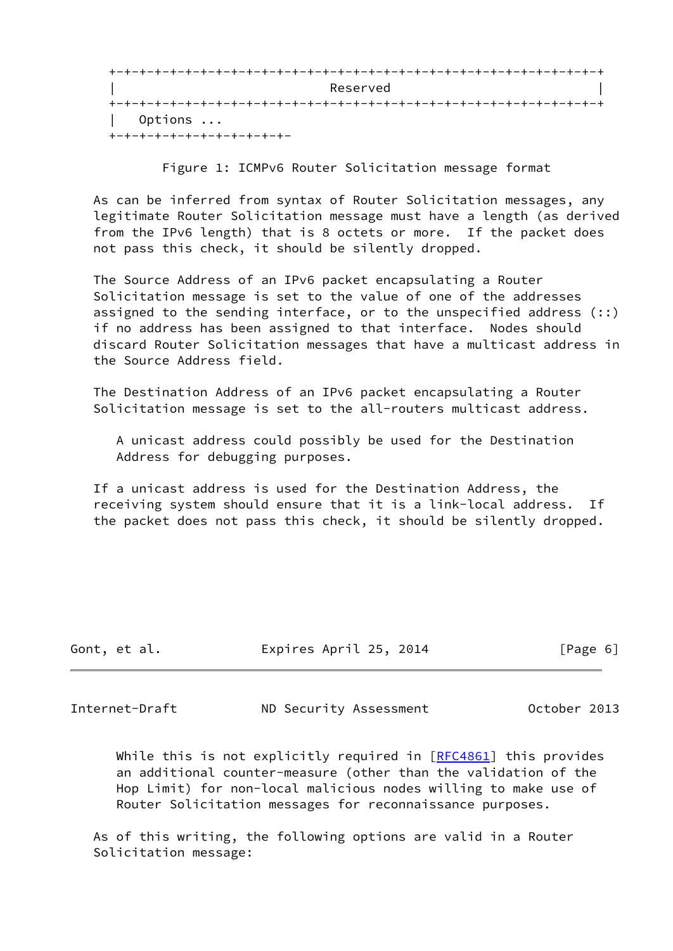|         | Reserved |  |
|---------|----------|--|
|         |          |  |
| Options |          |  |

Figure 1: ICMPv6 Router Solicitation message format

 As can be inferred from syntax of Router Solicitation messages, any legitimate Router Solicitation message must have a length (as derived from the IPv6 length) that is 8 octets or more. If the packet does not pass this check, it should be silently dropped.

 The Source Address of an IPv6 packet encapsulating a Router Solicitation message is set to the value of one of the addresses assigned to the sending interface, or to the unspecified address (::) if no address has been assigned to that interface. Nodes should discard Router Solicitation messages that have a multicast address in the Source Address field.

 The Destination Address of an IPv6 packet encapsulating a Router Solicitation message is set to the all-routers multicast address.

 A unicast address could possibly be used for the Destination Address for debugging purposes.

 If a unicast address is used for the Destination Address, the receiving system should ensure that it is a link-local address. If the packet does not pass this check, it should be silently dropped.

| Gont, et al. | Expires April 25, 2014 | [Page 6] |
|--------------|------------------------|----------|
|              |                        |          |

<span id="page-6-0"></span>Internet-Draft ND Security Assessment October 2013

While this is not explicitly required in  $[REC4861]$  this provides an additional counter-measure (other than the validation of the Hop Limit) for non-local malicious nodes willing to make use of Router Solicitation messages for reconnaissance purposes.

 As of this writing, the following options are valid in a Router Solicitation message: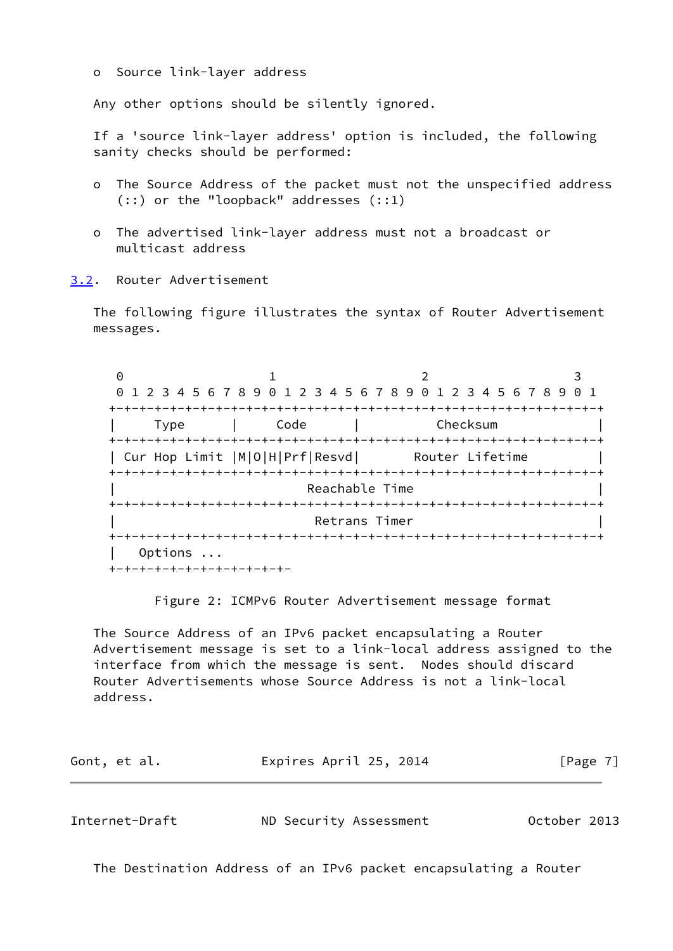o Source link-layer address

Any other options should be silently ignored.

 If a 'source link-layer address' option is included, the following sanity checks should be performed:

- o The Source Address of the packet must not the unspecified address (::) or the "loopback" addresses (::1)
- o The advertised link-layer address must not a broadcast or multicast address
- <span id="page-7-0"></span>[3.2](#page-7-0). Router Advertisement

 The following figure illustrates the syntax of Router Advertisement messages.

0 1 2 3 0 1 2 3 4 5 6 7 8 9 0 1 2 3 4 5 6 7 8 9 0 1 2 3 4 5 6 7 8 9 0 1 +-+-+-+-+-+-+-+-+-+-+-+-+-+-+-+-+-+-+-+-+-+-+-+-+-+-+-+-+-+-+-+-+ | Type | Code | Checksum | +-+-+-+-+-+-+-+-+-+-+-+-+-+-+-+-+-+-+-+-+-+-+-+-+-+-+-+-+-+-+-+-+ | Cur Hop Limit |M|0|H|Prf|Resvd| Router Lifetime +-+-+-+-+-+-+-+-+-+-+-+-+-+-+-+-+-+-+-+-+-+-+-+-+-+-+-+-+-+-+-+-+ Reachable Time +-+-+-+-+-+-+-+-+-+-+-+-+-+-+-+-+-+-+-+-+-+-+-+-+-+-+-+-+-+-+-+-+ Retrans Timer +-+-+-+-+-+-+-+-+-+-+-+-+-+-+-+-+-+-+-+-+-+-+-+-+-+-+-+-+-+-+-+-+ | Options ... +-+-+-+-+-+-+-+-+-+-+-+-

Figure 2: ICMPv6 Router Advertisement message format

 The Source Address of an IPv6 packet encapsulating a Router Advertisement message is set to a link-local address assigned to the interface from which the message is sent. Nodes should discard Router Advertisements whose Source Address is not a link-local address.

| Gont, et al. | Expires April 25, 2014 | [Page 7] |
|--------------|------------------------|----------|
|              |                        |          |

Internet-Draft ND Security Assessment October 2013

The Destination Address of an IPv6 packet encapsulating a Router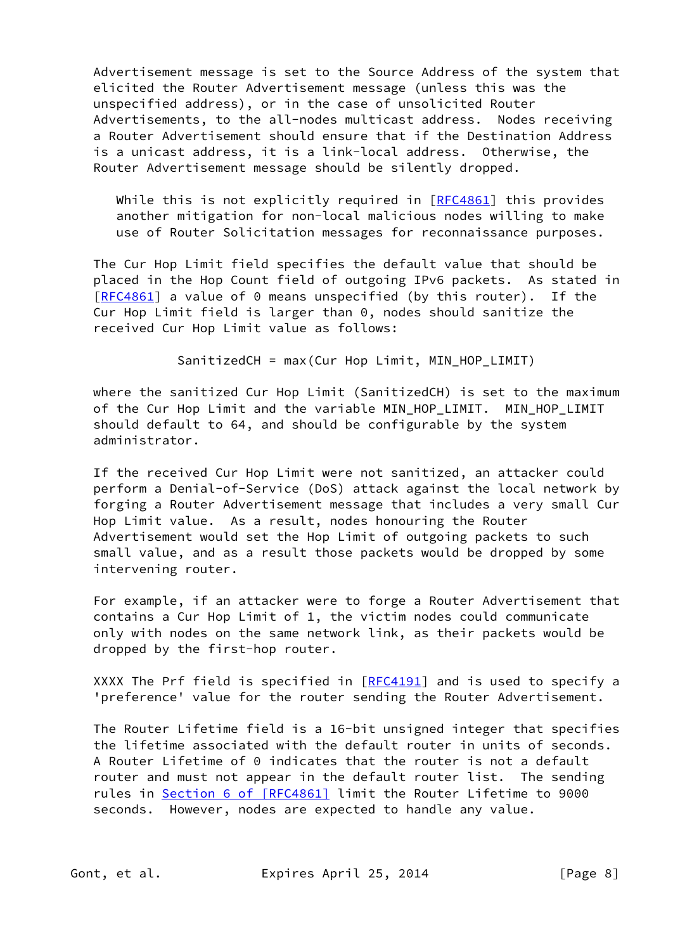Advertisement message is set to the Source Address of the system that elicited the Router Advertisement message (unless this was the unspecified address), or in the case of unsolicited Router Advertisements, to the all-nodes multicast address. Nodes receiving a Router Advertisement should ensure that if the Destination Address is a unicast address, it is a link-local address. Otherwise, the Router Advertisement message should be silently dropped.

While this is not explicitly required in  $[REC4861]$  this provides another mitigation for non-local malicious nodes willing to make use of Router Solicitation messages for reconnaissance purposes.

 The Cur Hop Limit field specifies the default value that should be placed in the Hop Count field of outgoing IPv6 packets. As stated in [\[RFC4861](https://datatracker.ietf.org/doc/pdf/rfc4861)] a value of 0 means unspecified (by this router). If the Cur Hop Limit field is larger than 0, nodes should sanitize the received Cur Hop Limit value as follows:

SanitizedCH = max(Cur Hop Limit, MIN HOP LIMIT)

where the sanitized Cur Hop Limit (SanitizedCH) is set to the maximum of the Cur Hop Limit and the variable MIN\_HOP\_LIMIT. MIN\_HOP\_LIMIT should default to 64, and should be configurable by the system administrator.

 If the received Cur Hop Limit were not sanitized, an attacker could perform a Denial-of-Service (DoS) attack against the local network by forging a Router Advertisement message that includes a very small Cur Hop Limit value. As a result, nodes honouring the Router Advertisement would set the Hop Limit of outgoing packets to such small value, and as a result those packets would be dropped by some intervening router.

 For example, if an attacker were to forge a Router Advertisement that contains a Cur Hop Limit of 1, the victim nodes could communicate only with nodes on the same network link, as their packets would be dropped by the first-hop router.

XXXX The Prf field is specified in [[RFC4191\]](https://datatracker.ietf.org/doc/pdf/rfc4191) and is used to specify a 'preference' value for the router sending the Router Advertisement.

 The Router Lifetime field is a 16-bit unsigned integer that specifies the lifetime associated with the default router in units of seconds. A Router Lifetime of 0 indicates that the router is not a default router and must not appear in the default router list. The sending rules in Section [6 of \[RFC4861\]](https://datatracker.ietf.org/doc/pdf/rfc4861#section-6) limit the Router Lifetime to 9000 seconds. However, nodes are expected to handle any value.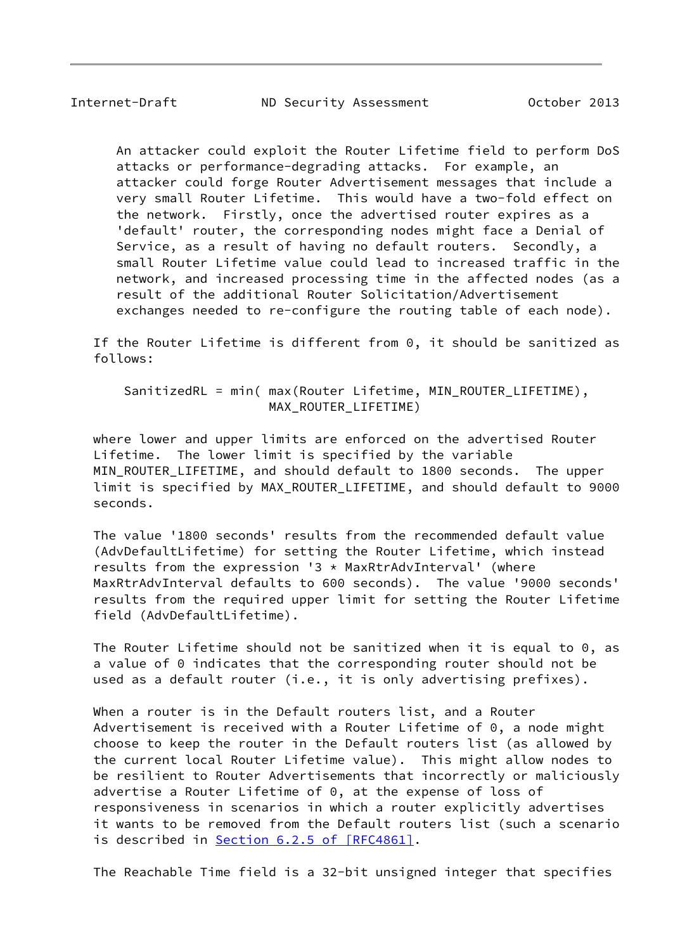An attacker could exploit the Router Lifetime field to perform DoS attacks or performance-degrading attacks. For example, an attacker could forge Router Advertisement messages that include a very small Router Lifetime. This would have a two-fold effect on the network. Firstly, once the advertised router expires as a 'default' router, the corresponding nodes might face a Denial of Service, as a result of having no default routers. Secondly, a small Router Lifetime value could lead to increased traffic in the network, and increased processing time in the affected nodes (as a result of the additional Router Solicitation/Advertisement exchanges needed to re-configure the routing table of each node).

 If the Router Lifetime is different from 0, it should be sanitized as follows:

 SanitizedRL = min( max(Router Lifetime, MIN\_ROUTER\_LIFETIME), MAX\_ROUTER\_LIFETIME)

 where lower and upper limits are enforced on the advertised Router Lifetime. The lower limit is specified by the variable MIN ROUTER LIFETIME, and should default to 1800 seconds. The upper limit is specified by MAX ROUTER LIFETIME, and should default to 9000 seconds.

 The value '1800 seconds' results from the recommended default value (AdvDefaultLifetime) for setting the Router Lifetime, which instead results from the expression '3  $*$  MaxRtrAdvInterval' (where MaxRtrAdvInterval defaults to 600 seconds). The value '9000 seconds' results from the required upper limit for setting the Router Lifetime field (AdvDefaultLifetime).

 The Router Lifetime should not be sanitized when it is equal to 0, as a value of 0 indicates that the corresponding router should not be used as a default router (i.e., it is only advertising prefixes).

 When a router is in the Default routers list, and a Router Advertisement is received with a Router Lifetime of 0, a node might choose to keep the router in the Default routers list (as allowed by the current local Router Lifetime value). This might allow nodes to be resilient to Router Advertisements that incorrectly or maliciously advertise a Router Lifetime of 0, at the expense of loss of responsiveness in scenarios in which a router explicitly advertises it wants to be removed from the Default routers list (such a scenario is described in Section [6.2.5 of \[RFC4861\]](https://datatracker.ietf.org/doc/pdf/rfc4861#section-6.2.5).

The Reachable Time field is a 32-bit unsigned integer that specifies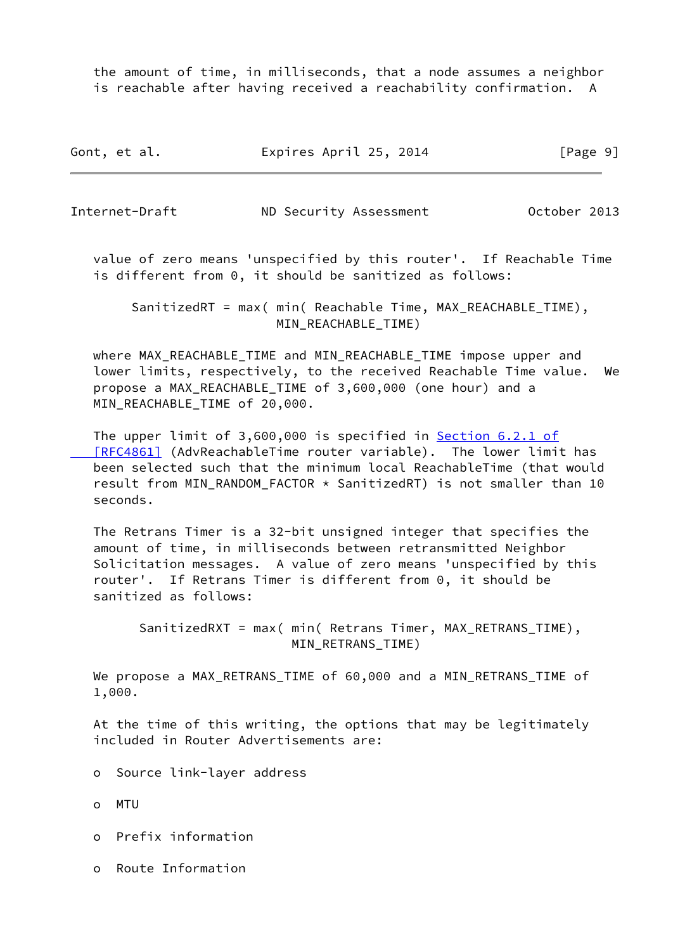the amount of time, in milliseconds, that a node assumes a neighbor is reachable after having received a reachability confirmation. A

Gont, et al. Expires April 25, 2014 [Page 9]

Internet-Draft ND Security Assessment October 2013

 value of zero means 'unspecified by this router'. If Reachable Time is different from 0, it should be sanitized as follows:

 SanitizedRT = max( min( Reachable Time, MAX\_REACHABLE\_TIME), MIN REACHABLE TIME)

 where MAX\_REACHABLE\_TIME and MIN\_REACHABLE\_TIME impose upper and lower limits, respectively, to the received Reachable Time value. We propose a MAX\_REACHABLE\_TIME of 3,600,000 (one hour) and a MIN\_REACHABLE\_TIME of 20,000.

The upper limit of 3,600,000 is specified in Section [6.2.1 of](https://datatracker.ietf.org/doc/pdf/rfc4861#section-6.2.1)  [\[RFC4861\]](https://datatracker.ietf.org/doc/pdf/rfc4861#section-6.2.1) (AdvReachableTime router variable). The lower limit has been selected such that the minimum local ReachableTime (that would result from MIN RANDOM FACTOR  $*$  SanitizedRT) is not smaller than 10 seconds.

 The Retrans Timer is a 32-bit unsigned integer that specifies the amount of time, in milliseconds between retransmitted Neighbor Solicitation messages. A value of zero means 'unspecified by this router'. If Retrans Timer is different from 0, it should be sanitized as follows:

 SanitizedRXT = max( min( Retrans Timer, MAX\_RETRANS\_TIME), MIN RETRANS TIME)

 We propose a MAX\_RETRANS\_TIME of 60,000 and a MIN\_RETRANS\_TIME of 1,000.

 At the time of this writing, the options that may be legitimately included in Router Advertisements are:

- o Source link-layer address
- o MTU
- o Prefix information
- o Route Information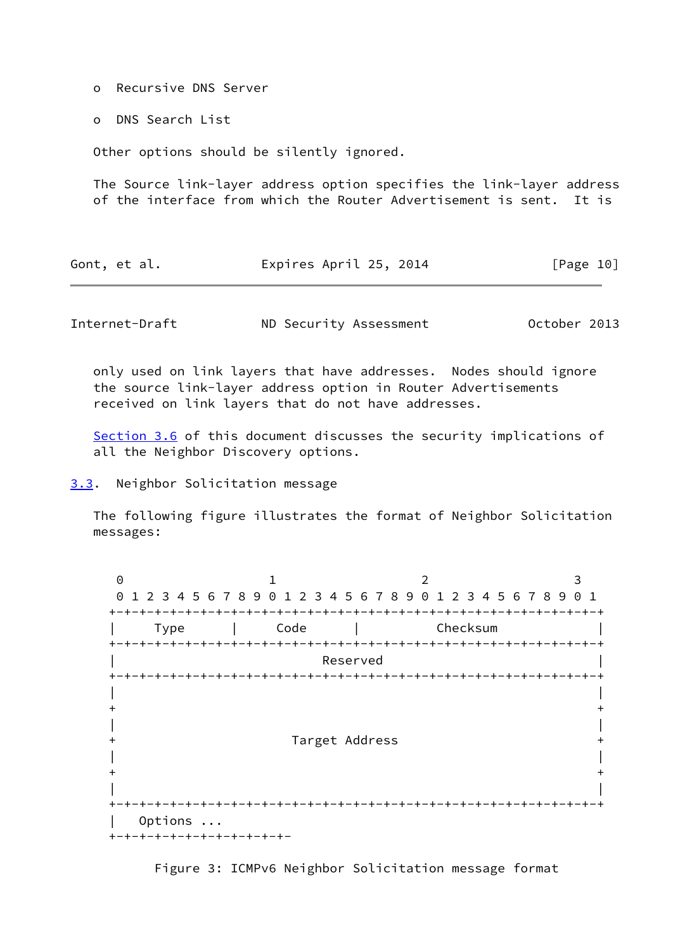o Recursive DNS Server

o DNS Search List

Other options should be silently ignored.

 The Source link-layer address option specifies the link-layer address of the interface from which the Router Advertisement is sent. It is

| Gont, et al. | Expires April 25, 2014 | [Page 10] |
|--------------|------------------------|-----------|
|--------------|------------------------|-----------|

<span id="page-11-1"></span>Internet-Draft ND Security Assessment October 2013

 only used on link layers that have addresses. Nodes should ignore the source link-layer address option in Router Advertisements received on link layers that do not have addresses.

[Section 3.6](#page-19-0) of this document discusses the security implications of all the Neighbor Discovery options.

<span id="page-11-0"></span>[3.3](#page-11-0). Neighbor Solicitation message

 The following figure illustrates the format of Neighbor Solicitation messages:

0 1 2 3 0 1 2 3 4 5 6 7 8 9 0 1 2 3 4 5 6 7 8 9 0 1 2 3 4 5 6 7 8 9 0 1 +-+-+-+-+-+-+-+-+-+-+-+-+-+-+-+-+-+-+-+-+-+-+-+-+-+-+-+-+-+-+-+-+ | Type | Code | Checksum | +-+-+-+-+-+-+-+-+-+-+-+-+-+-+-+-+-+-+-+-+-+-+-+-+-+-+-+-+-+-+-+-+ | Reserved | +-+-+-+-+-+-+-+-+-+-+-+-+-+-+-+-+-+-+-+-+-+-+-+-+-+-+-+-+-+-+-+-+ | |  $+$  +  $+$  +  $+$  +  $+$  +  $+$  +  $+$  +  $+$  +  $+$  +  $+$  +  $+$  +  $+$  +  $+$  +  $+$  +  $+$  +  $+$  +  $+$  +  $+$  +  $+$  +  $+$  +  $+$  +  $+$  +  $+$  +  $+$  +  $+$  +  $+$  +  $+$  +  $+$  +  $+$  +  $+$  +  $+$  +  $+$  +  $+$  +  $+$  +  $+$  +  $+$  +  $+$  +  $+$  + | | + Target Address + | |  $+$  +  $+$  +  $+$  +  $+$  +  $+$  +  $+$  +  $+$  +  $+$  +  $+$  +  $+$  +  $+$  +  $+$  +  $+$  +  $+$  +  $+$  +  $+$  +  $+$  +  $+$  +  $+$  +  $+$  +  $+$  +  $+$  +  $+$  +  $+$  +  $+$  +  $+$  +  $+$  +  $+$  +  $+$  +  $+$  +  $+$  +  $+$  +  $+$  +  $+$  +  $+$  +  $+$  +  $+$  + | | +-+-+-+-+-+-+-+-+-+-+-+-+-+-+-+-+-+-+-+-+-+-+-+-+-+-+-+-+-+-+-+-+ | Options ... +-+-+-+-+-+-+-+-+-+-+-+-

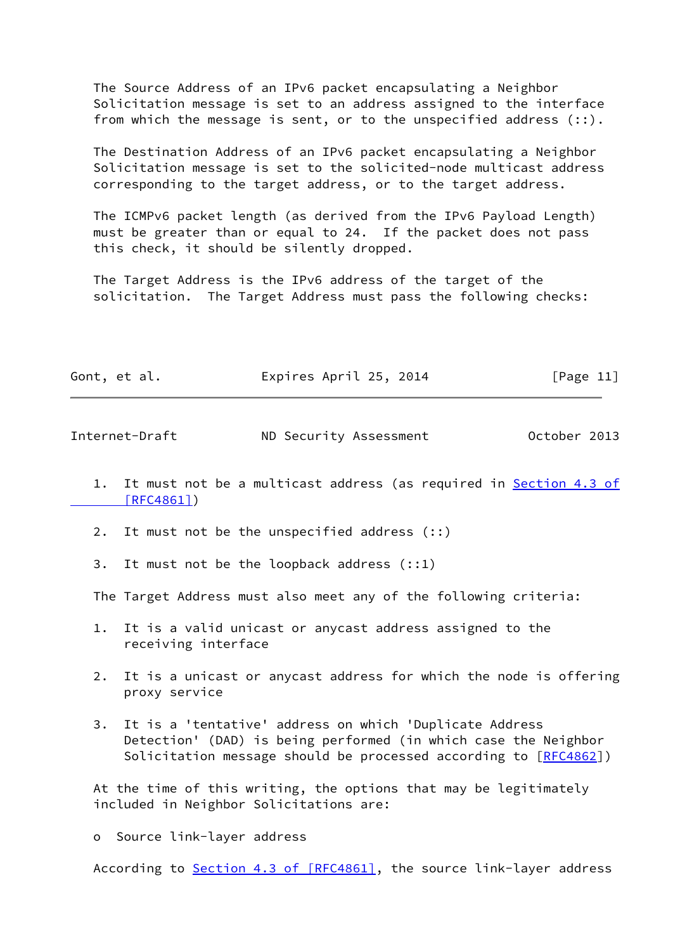The Source Address of an IPv6 packet encapsulating a Neighbor Solicitation message is set to an address assigned to the interface from which the message is sent, or to the unspecified address (::).

 The Destination Address of an IPv6 packet encapsulating a Neighbor Solicitation message is set to the solicited-node multicast address corresponding to the target address, or to the target address.

 The ICMPv6 packet length (as derived from the IPv6 Payload Length) must be greater than or equal to 24. If the packet does not pass this check, it should be silently dropped.

 The Target Address is the IPv6 address of the target of the solicitation. The Target Address must pass the following checks:

| Gont, et al. | Expires April 25, 2014 | [Page 11] |
|--------------|------------------------|-----------|
|              |                        |           |

<span id="page-12-0"></span>Internet-Draft ND Security Assessment October 2013

- 1. It must not be a multicast address (as required in [Section](https://datatracker.ietf.org/doc/pdf/rfc4861#section-4.3) 4.3 of  [\[RFC4861\]](https://datatracker.ietf.org/doc/pdf/rfc4861#section-4.3))
- 2. It must not be the unspecified address (::)
- 3. It must not be the loopback address (::1)

The Target Address must also meet any of the following criteria:

- 1. It is a valid unicast or anycast address assigned to the receiving interface
- 2. It is a unicast or anycast address for which the node is offering proxy service
- 3. It is a 'tentative' address on which 'Duplicate Address Detection' (DAD) is being performed (in which case the Neighbor Solicitation message should be processed according to [[RFC4862](https://datatracker.ietf.org/doc/pdf/rfc4862)])

 At the time of this writing, the options that may be legitimately included in Neighbor Solicitations are:

o Source link-layer address

According to Section [4.3 of \[RFC4861\]](https://datatracker.ietf.org/doc/pdf/rfc4861#section-4.3), the source link-layer address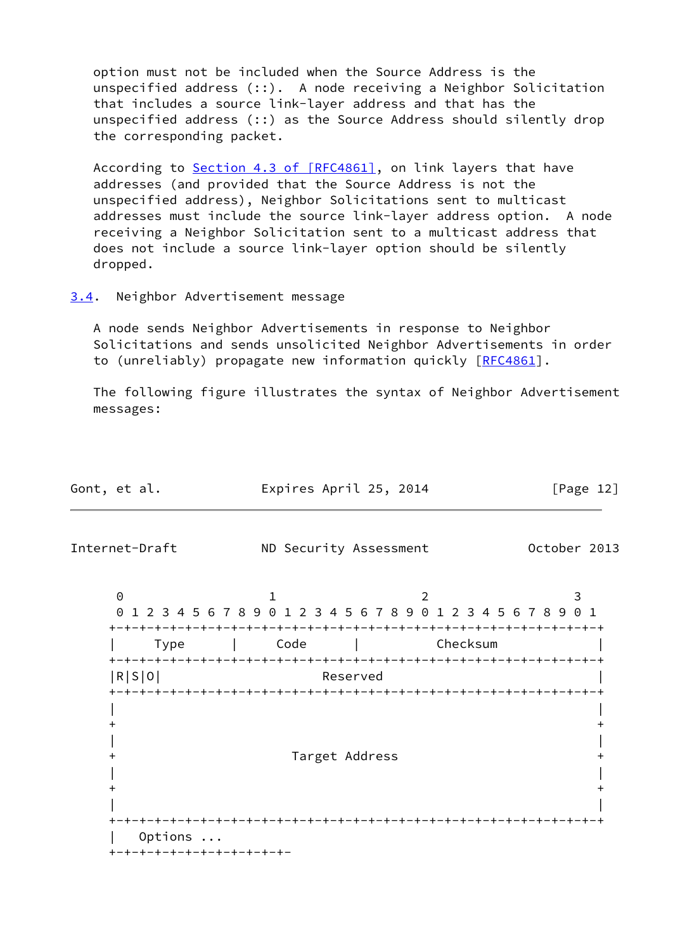option must not be included when the Source Address is the unspecified address (::). A node receiving a Neighbor Solicitation that includes a source link-layer address and that has the unspecified address (::) as the Source Address should silently drop the corresponding packet.

 According to Section [4.3 of \[RFC4861\]](https://datatracker.ietf.org/doc/pdf/rfc4861#section-4.3), on link layers that have addresses (and provided that the Source Address is not the unspecified address), Neighbor Solicitations sent to multicast addresses must include the source link-layer address option. A node receiving a Neighbor Solicitation sent to a multicast address that does not include a source link-layer option should be silently dropped.

## <span id="page-13-0"></span>[3.4](#page-13-0). Neighbor Advertisement message

 A node sends Neighbor Advertisements in response to Neighbor Solicitations and sends unsolicited Neighbor Advertisements in order to (unreliably) propagate new information quickly [[RFC4861](https://datatracker.ietf.org/doc/pdf/rfc4861)].

 The following figure illustrates the syntax of Neighbor Advertisement messages:

| Gont, et al.                         | Expires April 25, 2014                                                          |          | [Page $12$ ] |
|--------------------------------------|---------------------------------------------------------------------------------|----------|--------------|
| Internet-Draft                       | ND Security Assessment                                                          |          | October 2013 |
| $\Theta$                             | $\mathbf{1}$<br>0 1 2 3 4 5 6 7 8 9 0 1 2 3 4 5 6 7 8 9 0 1 2 3 4 5 6 7 8 9 0 1 | 2        | 3            |
| Type                                 | Code                                                                            | Checksum |              |
| R S 0                                | Reserved                                                                        |          |              |
|                                      | Target Address                                                                  |          |              |
|                                      |                                                                                 |          |              |
| Options<br>+-+-+-+-+-+-+-+-+-+-+-+-+ |                                                                                 |          |              |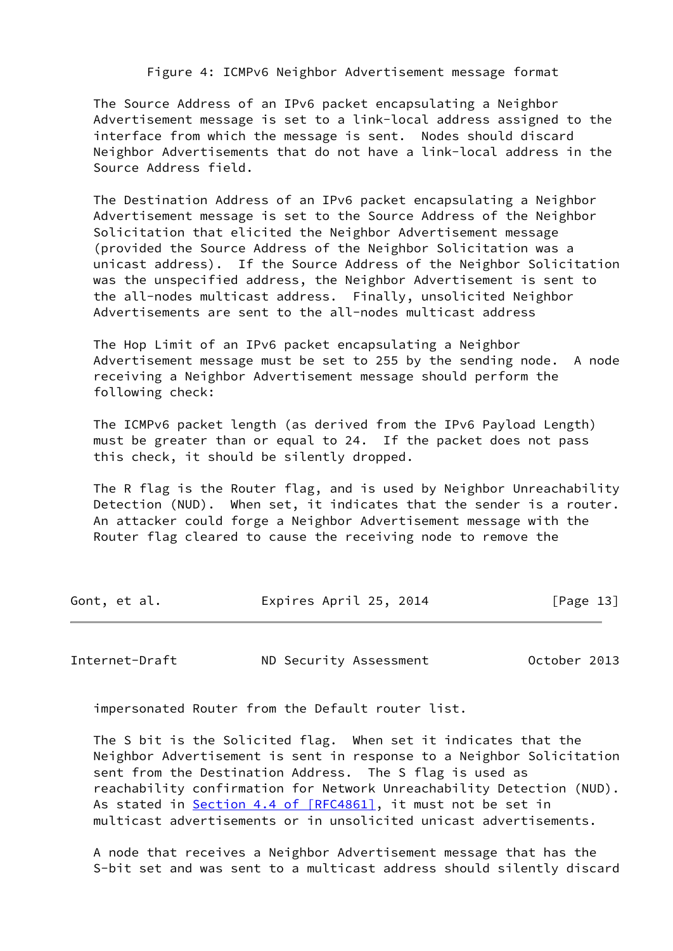Figure 4: ICMPv6 Neighbor Advertisement message format

 The Source Address of an IPv6 packet encapsulating a Neighbor Advertisement message is set to a link-local address assigned to the interface from which the message is sent. Nodes should discard Neighbor Advertisements that do not have a link-local address in the Source Address field.

 The Destination Address of an IPv6 packet encapsulating a Neighbor Advertisement message is set to the Source Address of the Neighbor Solicitation that elicited the Neighbor Advertisement message (provided the Source Address of the Neighbor Solicitation was a unicast address). If the Source Address of the Neighbor Solicitation was the unspecified address, the Neighbor Advertisement is sent to the all-nodes multicast address. Finally, unsolicited Neighbor Advertisements are sent to the all-nodes multicast address

 The Hop Limit of an IPv6 packet encapsulating a Neighbor Advertisement message must be set to 255 by the sending node. A node receiving a Neighbor Advertisement message should perform the following check:

 The ICMPv6 packet length (as derived from the IPv6 Payload Length) must be greater than or equal to 24. If the packet does not pass this check, it should be silently dropped.

 The R flag is the Router flag, and is used by Neighbor Unreachability Detection (NUD). When set, it indicates that the sender is a router. An attacker could forge a Neighbor Advertisement message with the Router flag cleared to cause the receiving node to remove the

| Gont, et al. | Expires April 25, 2014 | [Page 13] |
|--------------|------------------------|-----------|
|              |                        |           |

Internet-Draft ND Security Assessment October 2013

impersonated Router from the Default router list.

 The S bit is the Solicited flag. When set it indicates that the Neighbor Advertisement is sent in response to a Neighbor Solicitation sent from the Destination Address. The S flag is used as reachability confirmation for Network Unreachability Detection (NUD). As stated in Section [4.4 of \[RFC4861\]](https://datatracker.ietf.org/doc/pdf/rfc4861#section-4.4), it must not be set in multicast advertisements or in unsolicited unicast advertisements.

 A node that receives a Neighbor Advertisement message that has the S-bit set and was sent to a multicast address should silently discard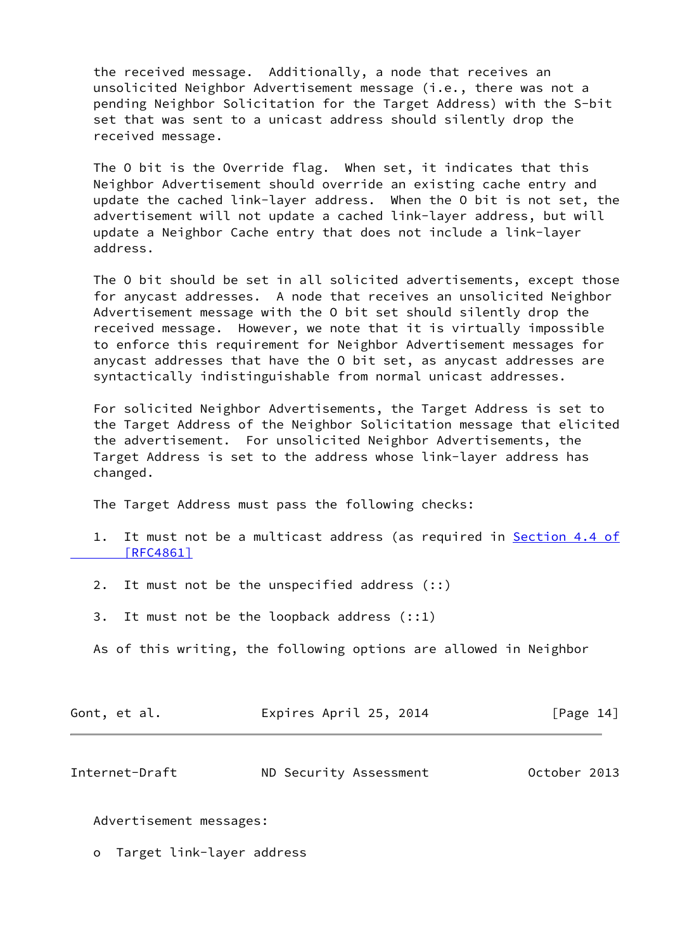the received message. Additionally, a node that receives an unsolicited Neighbor Advertisement message (i.e., there was not a pending Neighbor Solicitation for the Target Address) with the S-bit set that was sent to a unicast address should silently drop the received message.

 The O bit is the Override flag. When set, it indicates that this Neighbor Advertisement should override an existing cache entry and update the cached link-layer address. When the O bit is not set, the advertisement will not update a cached link-layer address, but will update a Neighbor Cache entry that does not include a link-layer address.

 The O bit should be set in all solicited advertisements, except those for anycast addresses. A node that receives an unsolicited Neighbor Advertisement message with the O bit set should silently drop the received message. However, we note that it is virtually impossible to enforce this requirement for Neighbor Advertisement messages for anycast addresses that have the O bit set, as anycast addresses are syntactically indistinguishable from normal unicast addresses.

 For solicited Neighbor Advertisements, the Target Address is set to the Target Address of the Neighbor Solicitation message that elicited the advertisement. For unsolicited Neighbor Advertisements, the Target Address is set to the address whose link-layer address has changed.

The Target Address must pass the following checks:

- 1. It must not be a multicast address (as required in [Section](https://datatracker.ietf.org/doc/pdf/rfc4861#section-4.4) 4.4 of  [\[RFC4861\]](https://datatracker.ietf.org/doc/pdf/rfc4861#section-4.4)
- 2. It must not be the unspecified address (::)
- 3. It must not be the loopback address (::1)
- As of this writing, the following options are allowed in Neighbor

| Gont, et al. | Expires April 25, 2014 | [Page 14] |
|--------------|------------------------|-----------|
|              |                        |           |

<span id="page-15-0"></span>

| Internet-Draft | ND Security Assessment | October 2013 |
|----------------|------------------------|--------------|
|----------------|------------------------|--------------|

Advertisement messages:

o Target link-layer address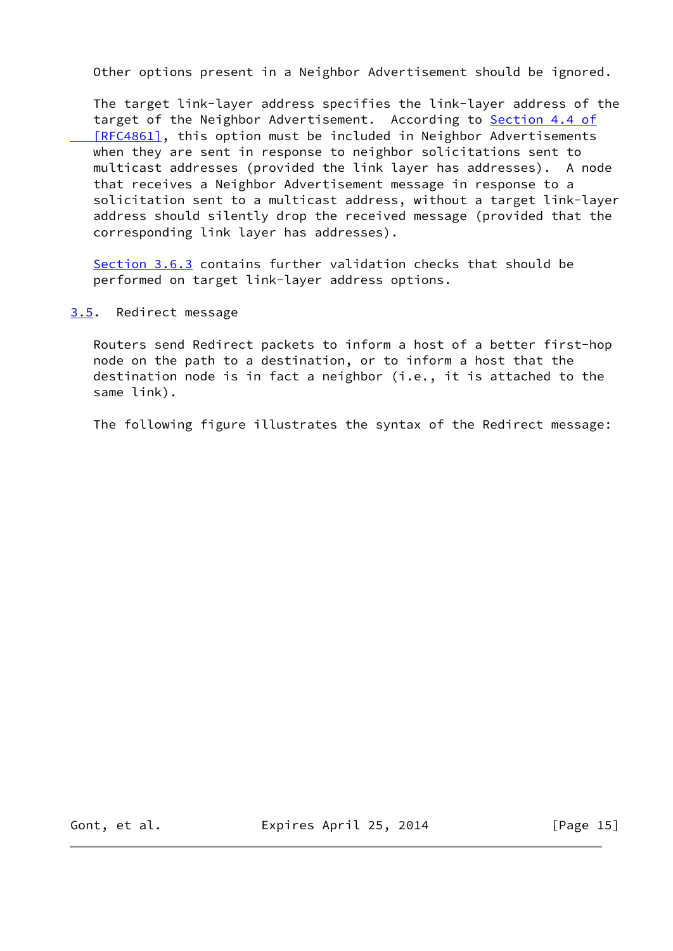Other options present in a Neighbor Advertisement should be ignored.

 The target link-layer address specifies the link-layer address of the target of the Neighbor Advertisement. According to [Section](https://datatracker.ietf.org/doc/pdf/rfc4861#section-4.4) 4.4 of [RFC4861], this option must be included in Neighbor Advertisements when they are sent in response to neighbor solicitations sent to multicast addresses (provided the link layer has addresses). A node that receives a Neighbor Advertisement message in response to a solicitation sent to a multicast address, without a target link-layer address should silently drop the received message (provided that the corresponding link layer has addresses).

[Section 3.6.3](#page-24-0) contains further validation checks that should be performed on target link-layer address options.

<span id="page-16-0"></span>[3.5](#page-16-0). Redirect message

 Routers send Redirect packets to inform a host of a better first-hop node on the path to a destination, or to inform a host that the destination node is in fact a neighbor (i.e., it is attached to the same link).

The following figure illustrates the syntax of the Redirect message:

Gont, et al. **Expires April 25, 2014** [Page 15]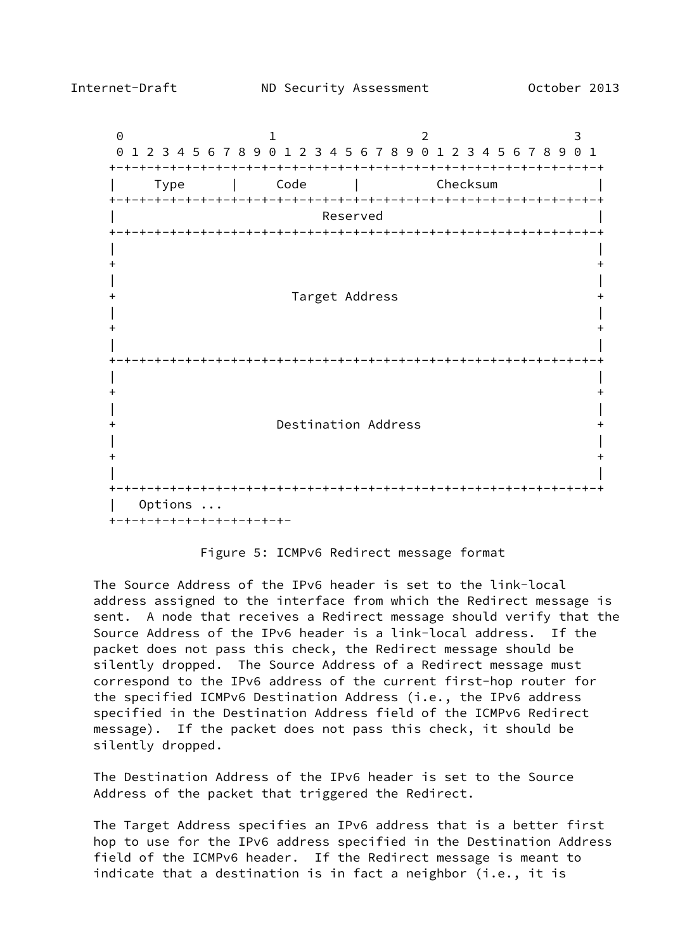

Figure 5: ICMPv6 Redirect message format

 The Source Address of the IPv6 header is set to the link-local address assigned to the interface from which the Redirect message is sent. A node that receives a Redirect message should verify that the Source Address of the IPv6 header is a link-local address. If the packet does not pass this check, the Redirect message should be silently dropped. The Source Address of a Redirect message must correspond to the IPv6 address of the current first-hop router for the specified ICMPv6 Destination Address (i.e., the IPv6 address specified in the Destination Address field of the ICMPv6 Redirect message). If the packet does not pass this check, it should be silently dropped.

 The Destination Address of the IPv6 header is set to the Source Address of the packet that triggered the Redirect.

 The Target Address specifies an IPv6 address that is a better first hop to use for the IPv6 address specified in the Destination Address field of the ICMPv6 header. If the Redirect message is meant to indicate that a destination is in fact a neighbor (i.e., it is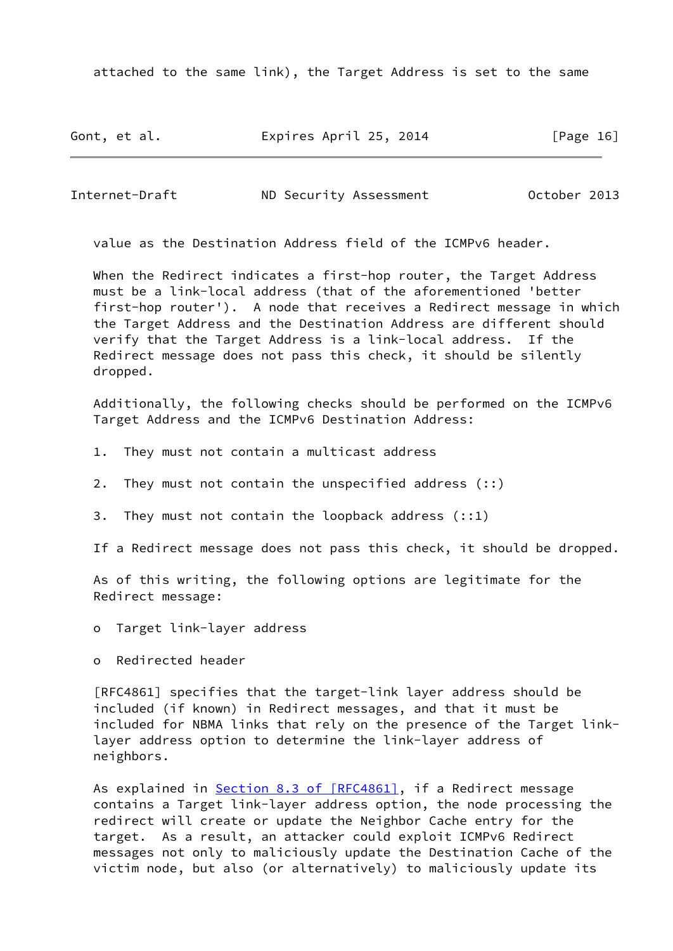attached to the same link), the Target Address is set to the same

Gont, et al. **Expires April 25, 2014** [Page 16]

Internet-Draft ND Security Assessment October 2013

value as the Destination Address field of the ICMPv6 header.

 When the Redirect indicates a first-hop router, the Target Address must be a link-local address (that of the aforementioned 'better first-hop router'). A node that receives a Redirect message in which the Target Address and the Destination Address are different should verify that the Target Address is a link-local address. If the Redirect message does not pass this check, it should be silently dropped.

 Additionally, the following checks should be performed on the ICMPv6 Target Address and the ICMPv6 Destination Address:

- 1. They must not contain a multicast address
- 2. They must not contain the unspecified address (::)
- 3. They must not contain the loopback address (::1)

If a Redirect message does not pass this check, it should be dropped.

 As of this writing, the following options are legitimate for the Redirect message:

- o Target link-layer address
- o Redirected header

 [RFC4861] specifies that the target-link layer address should be included (if known) in Redirect messages, and that it must be included for NBMA links that rely on the presence of the Target link layer address option to determine the link-layer address of neighbors.

As explained in Section [8.3 of \[RFC4861\]](https://datatracker.ietf.org/doc/pdf/rfc4861#section-8.3), if a Redirect message contains a Target link-layer address option, the node processing the redirect will create or update the Neighbor Cache entry for the target. As a result, an attacker could exploit ICMPv6 Redirect messages not only to maliciously update the Destination Cache of the victim node, but also (or alternatively) to maliciously update its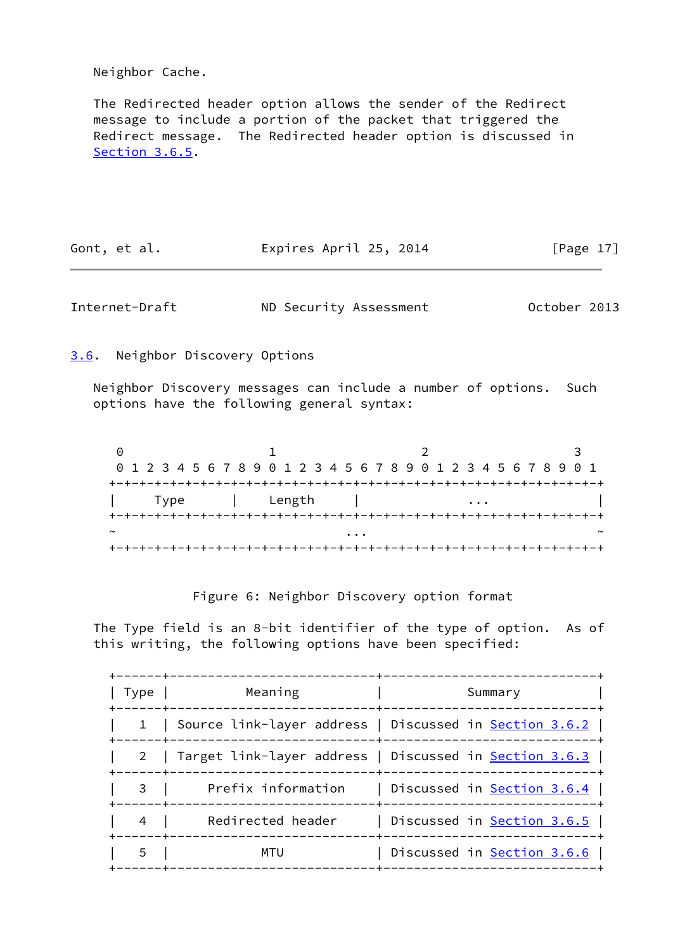Neighbor Cache.

 The Redirected header option allows the sender of the Redirect message to include a portion of the packet that triggered the Redirect message. The Redirected header option is discussed in [Section 3.6.5](#page-28-0).

| Gont, et al. |  | Expires April 25, 2014 |  |  | [Page 17] |  |
|--------------|--|------------------------|--|--|-----------|--|
|--------------|--|------------------------|--|--|-----------|--|

<span id="page-19-1"></span>Internet-Draft ND Security Assessment October 2013

<span id="page-19-0"></span>[3.6](#page-19-0). Neighbor Discovery Options

 Neighbor Discovery messages can include a number of options. Such options have the following general syntax:

|        | 0 1 2 3 4 5 6 7 8 9 0 1 2 3 4 5 6 7 8 9 0 1 2 3 4 5 6 7 8 9 0 1 |  |      |  |  |  |  |        |  |  |  |   |  |  |  |  |  |  |  |   |  |  |  |  |
|--------|-----------------------------------------------------------------|--|------|--|--|--|--|--------|--|--|--|---|--|--|--|--|--|--|--|---|--|--|--|--|
|        |                                                                 |  |      |  |  |  |  |        |  |  |  |   |  |  |  |  |  |  |  |   |  |  |  |  |
|        |                                                                 |  | Type |  |  |  |  | Length |  |  |  |   |  |  |  |  |  |  |  | . |  |  |  |  |
|        |                                                                 |  |      |  |  |  |  |        |  |  |  |   |  |  |  |  |  |  |  |   |  |  |  |  |
| $\sim$ |                                                                 |  |      |  |  |  |  |        |  |  |  | . |  |  |  |  |  |  |  |   |  |  |  |  |
|        |                                                                 |  |      |  |  |  |  |        |  |  |  |   |  |  |  |  |  |  |  |   |  |  |  |  |

Figure 6: Neighbor Discovery option format

 The Type field is an 8-bit identifier of the type of option. As of this writing, the following options have been specified:

| Meaning            | Summary                                                                   |
|--------------------|---------------------------------------------------------------------------|
|                    | 1 Source link-layer address   Discussed in <u>Section 3.6.2</u>           |
|                    | Target link-layer address   Discussed in <u>Section 3.6.3</u>             |
| Prefix information | Discussed in <u>Section 3.6.4</u>  <br>------+--------------------------- |
| Redirected header  | Discussed in <u>Section 3.6.5</u>                                         |
| MTU                | Discussed in Section 3.6.6  <br>------+------------------------------     |
|                    | -----+-                                                                   |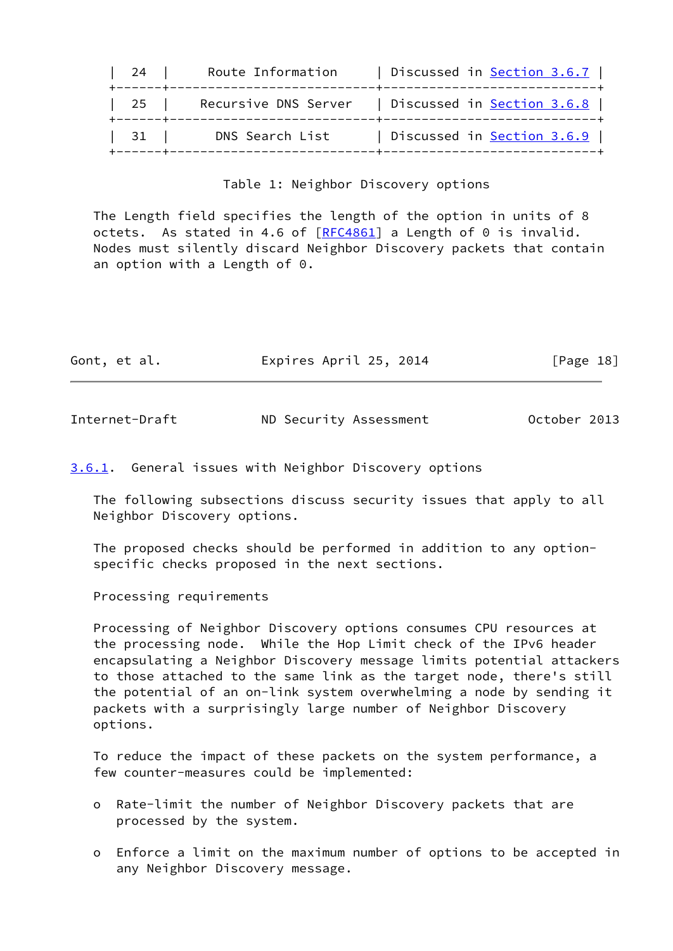| 24   | Route Information    | Discussed in <u>Section 3.6.7</u>     |
|------|----------------------|---------------------------------------|
| $25$ | Recursive DNS Server | Discussed in <u>Section 3.6.8</u>     |
| 31   | DNS Search List      | Discussed in <u>Section 3.6.9</u> $ $ |
|      |                      |                                       |

## Table 1: Neighbor Discovery options

 The Length field specifies the length of the option in units of 8 octets. As stated in 4.6 of [\[RFC4861](https://datatracker.ietf.org/doc/pdf/rfc4861)] a Length of 0 is invalid. Nodes must silently discard Neighbor Discovery packets that contain an option with a Length of 0.

| Gont, et al. | Expires April 25, 2014 | [Page 18] |  |
|--------------|------------------------|-----------|--|
|              |                        |           |  |

<span id="page-20-1"></span>Internet-Draft ND Security Assessment October 2013

<span id="page-20-0"></span>[3.6.1](#page-20-0). General issues with Neighbor Discovery options

 The following subsections discuss security issues that apply to all Neighbor Discovery options.

 The proposed checks should be performed in addition to any option specific checks proposed in the next sections.

Processing requirements

 Processing of Neighbor Discovery options consumes CPU resources at the processing node. While the Hop Limit check of the IPv6 header encapsulating a Neighbor Discovery message limits potential attackers to those attached to the same link as the target node, there's still the potential of an on-link system overwhelming a node by sending it packets with a surprisingly large number of Neighbor Discovery options.

 To reduce the impact of these packets on the system performance, a few counter-measures could be implemented:

- o Rate-limit the number of Neighbor Discovery packets that are processed by the system.
- o Enforce a limit on the maximum number of options to be accepted in any Neighbor Discovery message.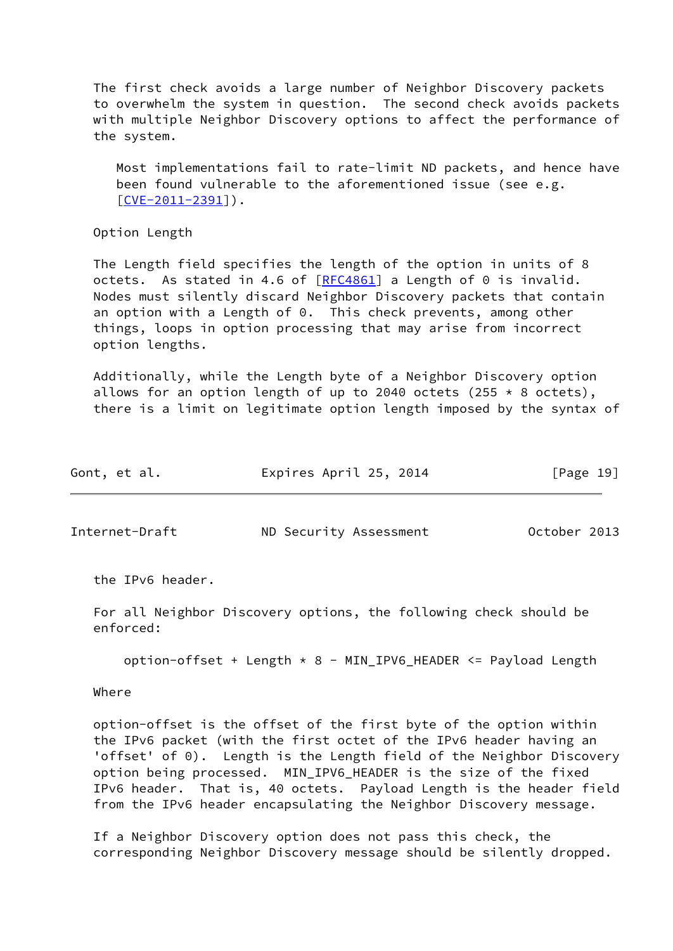The first check avoids a large number of Neighbor Discovery packets to overwhelm the system in question. The second check avoids packets with multiple Neighbor Discovery options to affect the performance of the system.

 Most implementations fail to rate-limit ND packets, and hence have been found vulnerable to the aforementioned issue (see e.g.  $[CVE-2011-2391]$  $[CVE-2011-2391]$ .

Option Length

 The Length field specifies the length of the option in units of 8 octets. As stated in 4.6 of [\[RFC4861](https://datatracker.ietf.org/doc/pdf/rfc4861)] a Length of 0 is invalid. Nodes must silently discard Neighbor Discovery packets that contain an option with a Length of  $0$ . This check prevents, among other things, loops in option processing that may arise from incorrect option lengths.

 Additionally, while the Length byte of a Neighbor Discovery option allows for an option length of up to 2040 octets (255  $*$  8 octets), there is a limit on legitimate option length imposed by the syntax of

| Gont, et al. | Expires April 25, 2014 | [Page 19] |
|--------------|------------------------|-----------|
|              |                        |           |

<span id="page-21-0"></span>Internet-Draft ND Security Assessment October 2013

the IPv6 header.

 For all Neighbor Discovery options, the following check should be enforced:

option-offset + Length \* 8 - MIN\_IPV6\_HEADER <= Payload Length

Where

 option-offset is the offset of the first byte of the option within the IPv6 packet (with the first octet of the IPv6 header having an 'offset' of 0). Length is the Length field of the Neighbor Discovery option being processed. MIN\_IPV6\_HEADER is the size of the fixed IPv6 header. That is, 40 octets. Payload Length is the header field from the IPv6 header encapsulating the Neighbor Discovery message.

 If a Neighbor Discovery option does not pass this check, the corresponding Neighbor Discovery message should be silently dropped.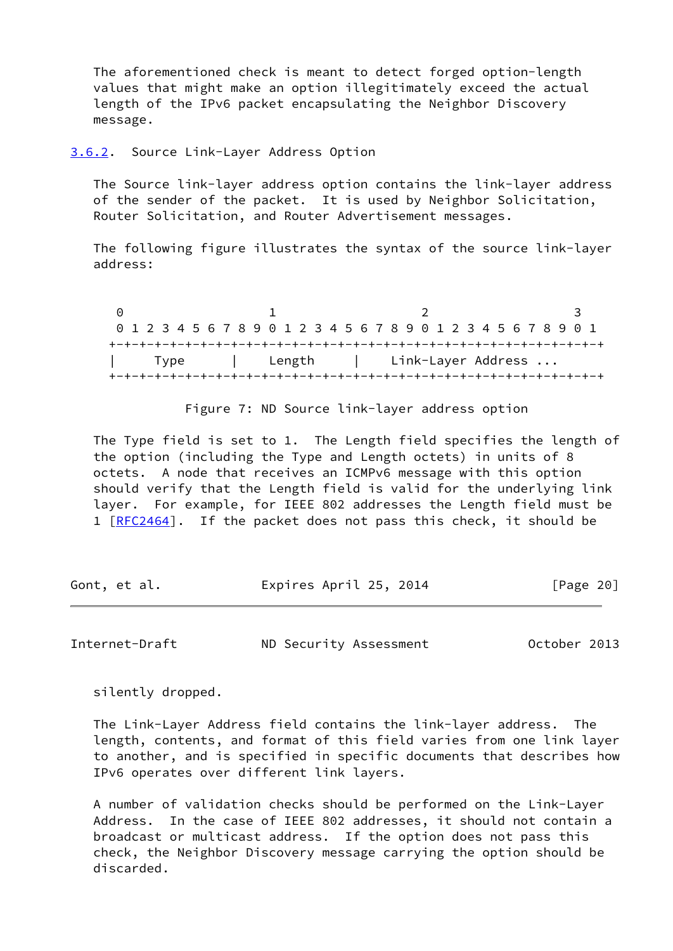The aforementioned check is meant to detect forged option-length values that might make an option illegitimately exceed the actual length of the IPv6 packet encapsulating the Neighbor Discovery message.

<span id="page-22-0"></span>[3.6.2](#page-22-0). Source Link-Layer Address Option

 The Source link-layer address option contains the link-layer address of the sender of the packet. It is used by Neighbor Solicitation, Router Solicitation, and Router Advertisement messages.

 The following figure illustrates the syntax of the source link-layer address:

0 1 2 3 0 1 2 3 4 5 6 7 8 9 0 1 2 3 4 5 6 7 8 9 0 1 2 3 4 5 6 7 8 9 0 1 +-+-+-+-+-+-+-+-+-+-+-+-+-+-+-+-+-+-+-+-+-+-+-+-+-+-+-+-+-+-+-+-+ | Type | Length | Link-Layer Address ... +-+-+-+-+-+-+-+-+-+-+-+-+-+-+-+-+-+-+-+-+-+-+-+-+-+-+-+-+-+-+-+-+

Figure 7: ND Source link-layer address option

 The Type field is set to 1. The Length field specifies the length of the option (including the Type and Length octets) in units of 8 octets. A node that receives an ICMPv6 message with this option should verify that the Length field is valid for the underlying link layer. For example, for IEEE 802 addresses the Length field must be 1 [[RFC2464](https://datatracker.ietf.org/doc/pdf/rfc2464)]. If the packet does not pass this check, it should be

Gont, et al. Expires April 25, 2014 [Page 20]

Internet-Draft ND Security Assessment October 2013

silently dropped.

 The Link-Layer Address field contains the link-layer address. The length, contents, and format of this field varies from one link layer to another, and is specified in specific documents that describes how IPv6 operates over different link layers.

 A number of validation checks should be performed on the Link-Layer Address. In the case of IEEE 802 addresses, it should not contain a broadcast or multicast address. If the option does not pass this check, the Neighbor Discovery message carrying the option should be discarded.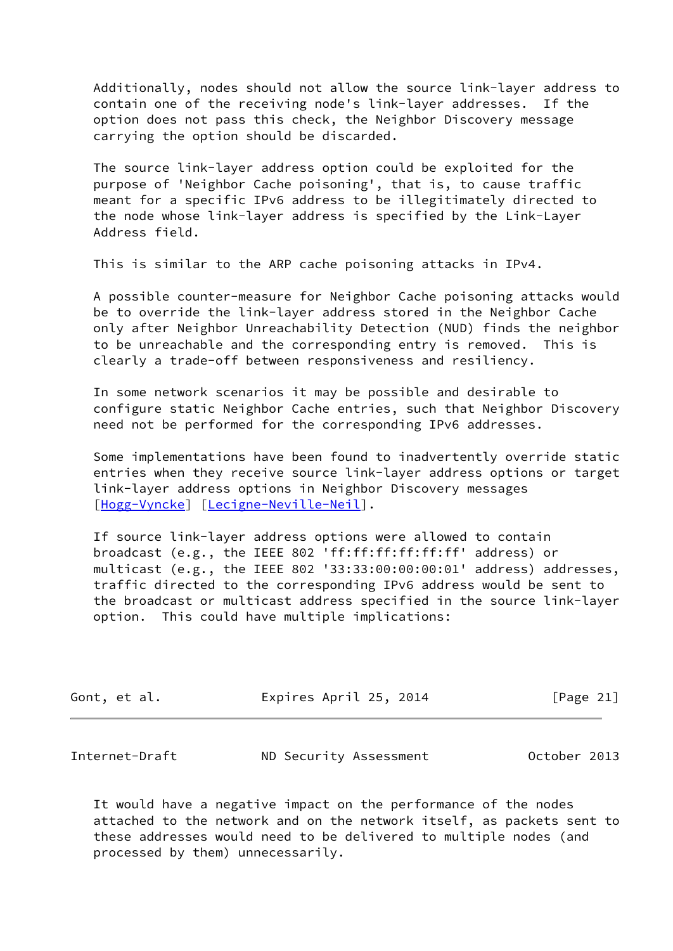Additionally, nodes should not allow the source link-layer address to contain one of the receiving node's link-layer addresses. If the option does not pass this check, the Neighbor Discovery message carrying the option should be discarded.

 The source link-layer address option could be exploited for the purpose of 'Neighbor Cache poisoning', that is, to cause traffic meant for a specific IPv6 address to be illegitimately directed to the node whose link-layer address is specified by the Link-Layer Address field.

This is similar to the ARP cache poisoning attacks in IPv4.

 A possible counter-measure for Neighbor Cache poisoning attacks would be to override the link-layer address stored in the Neighbor Cache only after Neighbor Unreachability Detection (NUD) finds the neighbor to be unreachable and the corresponding entry is removed. This is clearly a trade-off between responsiveness and resiliency.

 In some network scenarios it may be possible and desirable to configure static Neighbor Cache entries, such that Neighbor Discovery need not be performed for the corresponding IPv6 addresses.

 Some implementations have been found to inadvertently override static entries when they receive source link-layer address options or target link-layer address options in Neighbor Discovery messages [\[Hogg-Vyncke](#page-66-1)] [[Lecigne-Neville-Neil\]](#page-24-2).

 If source link-layer address options were allowed to contain broadcast (e.g., the IEEE 802 'ff:ff:ff:ff:ff:ff' address) or multicast (e.g., the IEEE 802 '33:33:00:00:00:01' address) addresses, traffic directed to the corresponding IPv6 address would be sent to the broadcast or multicast address specified in the source link-layer option. This could have multiple implications:

| Gont, et al. | Expires April 25, 2014 |  | [Page 21] |  |
|--------------|------------------------|--|-----------|--|
|              |                        |  |           |  |

<span id="page-23-0"></span>

| Internet-Draft | ND Security Assessment | October 2013 |
|----------------|------------------------|--------------|
|----------------|------------------------|--------------|

 It would have a negative impact on the performance of the nodes attached to the network and on the network itself, as packets sent to these addresses would need to be delivered to multiple nodes (and processed by them) unnecessarily.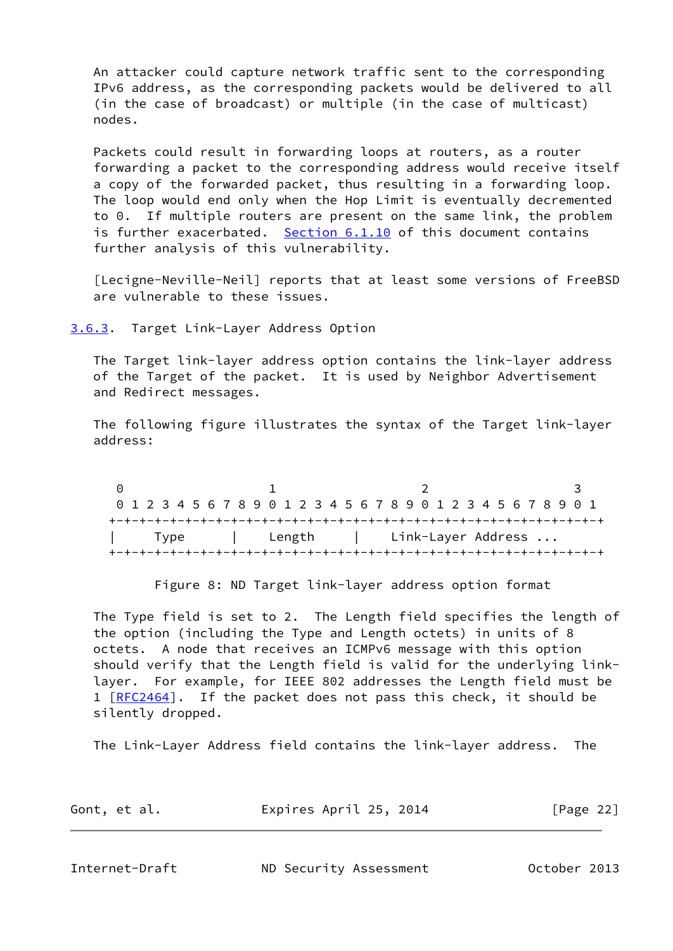An attacker could capture network traffic sent to the corresponding IPv6 address, as the corresponding packets would be delivered to all (in the case of broadcast) or multiple (in the case of multicast) nodes.

 Packets could result in forwarding loops at routers, as a router forwarding a packet to the corresponding address would receive itself a copy of the forwarded packet, thus resulting in a forwarding loop. The loop would end only when the Hop Limit is eventually decremented to 0. If multiple routers are present on the same link, the problem is further exacerbated. [Section 6.1.10](#page-53-0) of this document contains further analysis of this vulnerability.

<span id="page-24-2"></span> [Lecigne-Neville-Neil] reports that at least some versions of FreeBSD are vulnerable to these issues.

<span id="page-24-0"></span>[3.6.3](#page-24-0). Target Link-Layer Address Option

 The Target link-layer address option contains the link-layer address of the Target of the packet. It is used by Neighbor Advertisement and Redirect messages.

 The following figure illustrates the syntax of the Target link-layer address:

0 1 2 3 0 1 2 3 4 5 6 7 8 9 0 1 2 3 4 5 6 7 8 9 0 1 2 3 4 5 6 7 8 9 0 1 +-+-+-+-+-+-+-+-+-+-+-+-+-+-+-+-+-+-+-+-+-+-+-+-+-+-+-+-+-+-+-+-+ | Type | Length | Link-Layer Address ... +-+-+-+-+-+-+-+-+-+-+-+-+-+-+-+-+-+-+-+-+-+-+-+-+-+-+-+-+-+-+-+-+

Figure 8: ND Target link-layer address option format

 The Type field is set to 2. The Length field specifies the length of the option (including the Type and Length octets) in units of 8 octets. A node that receives an ICMPv6 message with this option should verify that the Length field is valid for the underlying link layer. For example, for IEEE 802 addresses the Length field must be 1 [[RFC2464](https://datatracker.ietf.org/doc/pdf/rfc2464)]. If the packet does not pass this check, it should be silently dropped.

The Link-Layer Address field contains the link-layer address. The

| Gont, et al. | Expires April 25, 2014 | [Page 22] |
|--------------|------------------------|-----------|
|              |                        |           |

<span id="page-24-1"></span>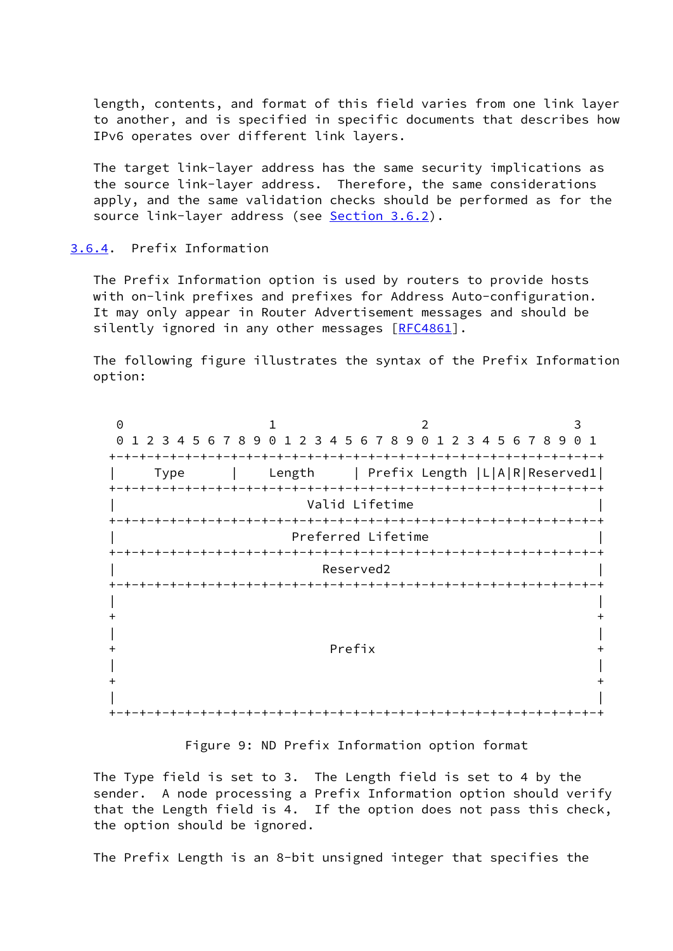length, contents, and format of this field varies from one link layer to another, and is specified in specific documents that describes how IPv6 operates over different link layers.

 The target link-layer address has the same security implications as the source link-layer address. Therefore, the same considerations apply, and the same validation checks should be performed as for the source link-layer address (see [Section 3.6.2\)](#page-22-0).

<span id="page-25-0"></span>[3.6.4](#page-25-0). Prefix Information

 The Prefix Information option is used by routers to provide hosts with on-link prefixes and prefixes for Address Auto-configuration. It may only appear in Router Advertisement messages and should be silently ignored in any other messages [\[RFC4861](https://datatracker.ietf.org/doc/pdf/rfc4861)].

 The following figure illustrates the syntax of the Prefix Information option:

0 1 2 3 0 1 2 3 4 5 6 7 8 9 0 1 2 3 4 5 6 7 8 9 0 1 2 3 4 5 6 7 8 9 0 1 +-+-+-+-+-+-+-+-+-+-+-+-+-+-+-+-+-+-+-+-+-+-+-+-+-+-+-+-+-+-+-+-+ | Type | Length | Prefix Length |L|A|R|Reserved1| +-+-+-+-+-+-+-+-+-+-+-+-+-+-+-+-+-+-+-+-+-+-+-+-+-+-+-+-+-+-+-+-+ Valid Lifetime +-+-+-+-+-+-+-+-+-+-+-+-+-+-+-+-+-+-+-+-+-+-+-+-+-+-+-+-+-+-+-+-+ | Preferred Lifetime | +-+-+-+-+-+-+-+-+-+-+-+-+-+-+-+-+-+-+-+-+-+-+-+-+-+-+-+-+-+-+-+-+ Reserved2 +-+-+-+-+-+-+-+-+-+-+-+-+-+-+-+-+-+-+-+-+-+-+-+-+-+-+-+-+-+-+-+-+ | |  $+$  +  $+$  +  $+$  +  $+$  +  $+$  +  $+$  +  $+$  +  $+$  +  $+$  +  $+$  +  $+$  +  $+$  +  $+$  +  $+$  +  $+$  +  $+$  +  $+$  +  $+$  +  $+$  +  $+$  +  $+$  +  $+$  +  $+$  +  $+$  +  $+$  +  $+$  +  $+$  +  $+$  +  $+$  +  $+$  +  $+$  +  $+$  +  $+$  +  $+$  +  $+$  +  $+$  +  $+$  + | | + Prefix + | |  $+$  +  $+$  +  $+$  +  $+$  +  $+$  +  $+$  +  $+$  +  $+$  +  $+$  +  $+$  +  $+$  +  $+$  +  $+$  +  $+$  +  $+$  +  $+$  +  $+$  +  $+$  +  $+$  +  $+$  +  $+$  +  $+$  +  $+$  +  $+$  +  $+$  +  $+$  +  $+$  +  $+$  +  $+$  +  $+$  +  $+$  +  $+$  +  $+$  +  $+$  +  $+$  +  $+$  +  $+$  + | |  $+ - + - + - + - + - + - + - + - +$ 

Figure 9: ND Prefix Information option format

 The Type field is set to 3. The Length field is set to 4 by the sender. A node processing a Prefix Information option should verify that the Length field is 4. If the option does not pass this check, the option should be ignored.

The Prefix Length is an 8-bit unsigned integer that specifies the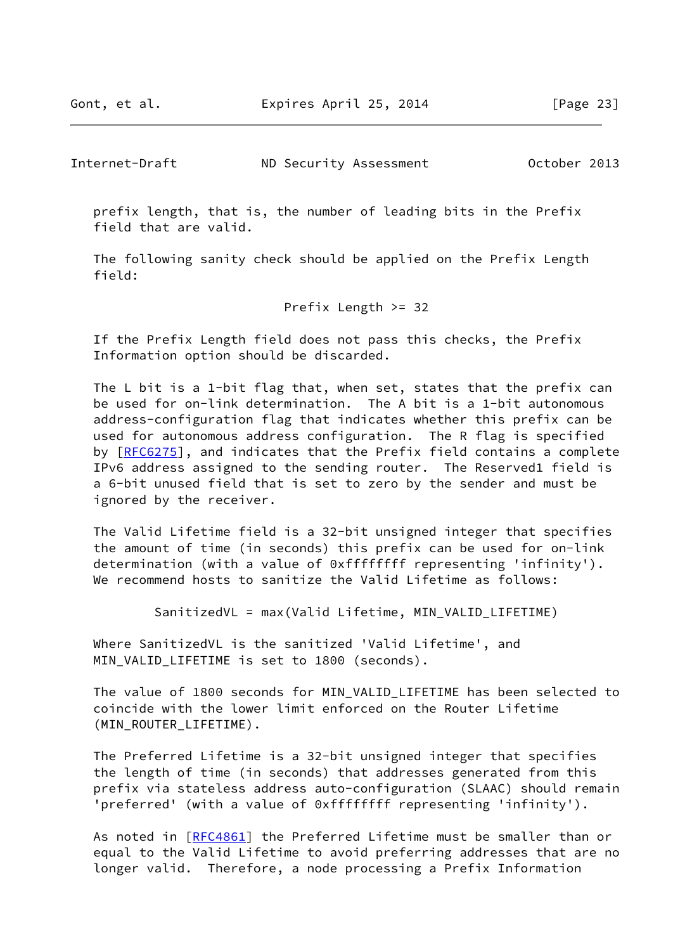Internet-Draft ND Security Assessment October 2013

 prefix length, that is, the number of leading bits in the Prefix field that are valid.

 The following sanity check should be applied on the Prefix Length field:

Prefix Length >= 32

 If the Prefix Length field does not pass this checks, the Prefix Information option should be discarded.

 The L bit is a 1-bit flag that, when set, states that the prefix can be used for on-link determination. The A bit is a 1-bit autonomous address-configuration flag that indicates whether this prefix can be used for autonomous address configuration. The R flag is specified by [[RFC6275\]](https://datatracker.ietf.org/doc/pdf/rfc6275), and indicates that the Prefix field contains a complete IPv6 address assigned to the sending router. The Reserved1 field is a 6-bit unused field that is set to zero by the sender and must be ignored by the receiver.

 The Valid Lifetime field is a 32-bit unsigned integer that specifies the amount of time (in seconds) this prefix can be used for on-link determination (with a value of 0xffffffff representing 'infinity'). We recommend hosts to sanitize the Valid Lifetime as follows:

SanitizedVL = max(Valid Lifetime, MIN\_VALID\_LIFETIME)

 Where SanitizedVL is the sanitized 'Valid Lifetime', and MIN\_VALID\_LIFETIME is set to 1800 (seconds).

The value of 1800 seconds for MIN VALID LIFETIME has been selected to coincide with the lower limit enforced on the Router Lifetime (MIN\_ROUTER\_LIFETIME).

 The Preferred Lifetime is a 32-bit unsigned integer that specifies the length of time (in seconds) that addresses generated from this prefix via stateless address auto-configuration (SLAAC) should remain 'preferred' (with a value of 0xffffffff representing 'infinity').

 As noted in [\[RFC4861](https://datatracker.ietf.org/doc/pdf/rfc4861)] the Preferred Lifetime must be smaller than or equal to the Valid Lifetime to avoid preferring addresses that are no longer valid. Therefore, a node processing a Prefix Information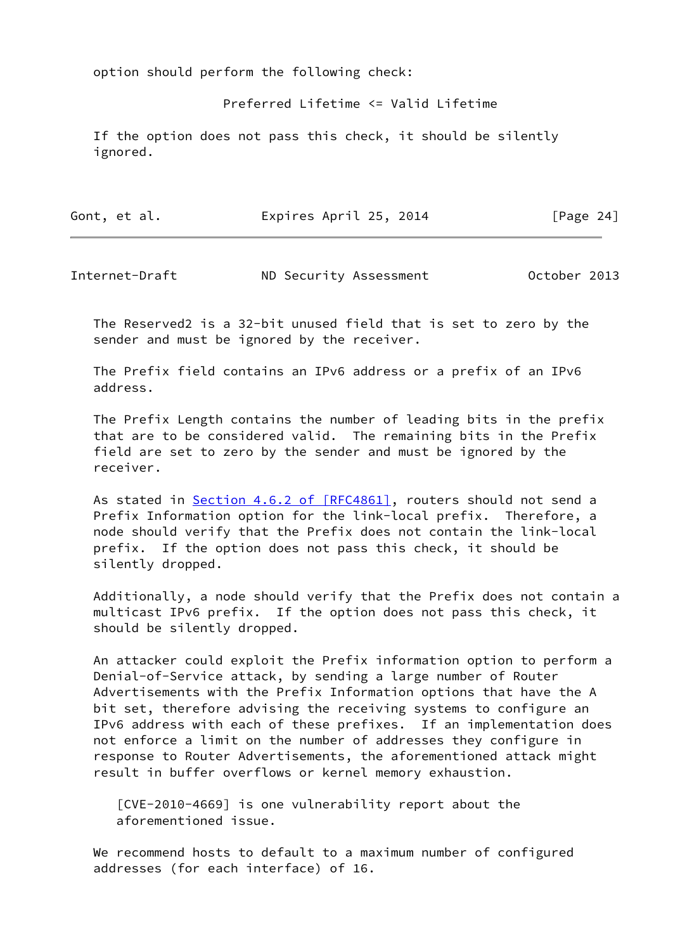option should perform the following check:

Preferred Lifetime <= Valid Lifetime

 If the option does not pass this check, it should be silently ignored.

| Gont, et al. | Expires April 25, 2014 | [Page 24] |
|--------------|------------------------|-----------|
|              |                        |           |

Internet-Draft ND Security Assessment October 2013

 The Reserved2 is a 32-bit unused field that is set to zero by the sender and must be ignored by the receiver.

 The Prefix field contains an IPv6 address or a prefix of an IPv6 address.

 The Prefix Length contains the number of leading bits in the prefix that are to be considered valid. The remaining bits in the Prefix field are set to zero by the sender and must be ignored by the receiver.

As stated in Section [4.6.2 of \[RFC4861\],](https://datatracker.ietf.org/doc/pdf/rfc4861#section-4.6.2) routers should not send a Prefix Information option for the link-local prefix. Therefore, a node should verify that the Prefix does not contain the link-local prefix. If the option does not pass this check, it should be silently dropped.

 Additionally, a node should verify that the Prefix does not contain a multicast IPv6 prefix. If the option does not pass this check, it should be silently dropped.

 An attacker could exploit the Prefix information option to perform a Denial-of-Service attack, by sending a large number of Router Advertisements with the Prefix Information options that have the A bit set, therefore advising the receiving systems to configure an IPv6 address with each of these prefixes. If an implementation does not enforce a limit on the number of addresses they configure in response to Router Advertisements, the aforementioned attack might result in buffer overflows or kernel memory exhaustion.

<span id="page-27-0"></span> [CVE-2010-4669] is one vulnerability report about the aforementioned issue.

 We recommend hosts to default to a maximum number of configured addresses (for each interface) of 16.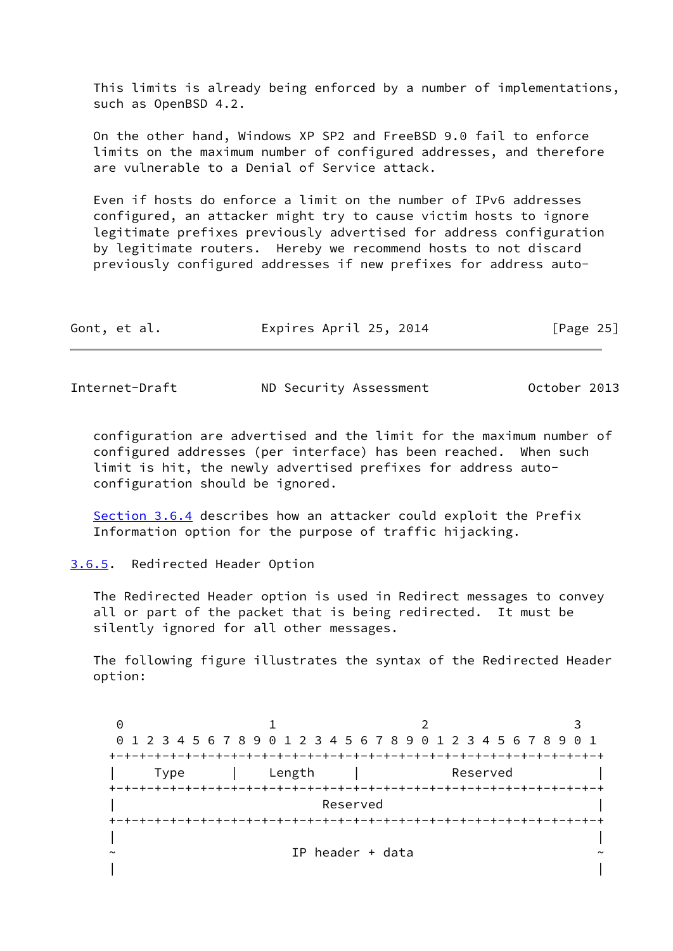This limits is already being enforced by a number of implementations, such as OpenBSD 4.2.

 On the other hand, Windows XP SP2 and FreeBSD 9.0 fail to enforce limits on the maximum number of configured addresses, and therefore are vulnerable to a Denial of Service attack.

 Even if hosts do enforce a limit on the number of IPv6 addresses configured, an attacker might try to cause victim hosts to ignore legitimate prefixes previously advertised for address configuration by legitimate routers. Hereby we recommend hosts to not discard previously configured addresses if new prefixes for address auto-

| Gont, et al. | Expires April 25, 2014 | [Page 25] |
|--------------|------------------------|-----------|
|              |                        |           |

<span id="page-28-1"></span>Internet-Draft ND Security Assessment October 2013

 configuration are advertised and the limit for the maximum number of configured addresses (per interface) has been reached. When such limit is hit, the newly advertised prefixes for address auto configuration should be ignored.

 [Section 3.6.4](#page-25-0) describes how an attacker could exploit the Prefix Information option for the purpose of traffic hijacking.

<span id="page-28-0"></span>[3.6.5](#page-28-0). Redirected Header Option

 The Redirected Header option is used in Redirect messages to convey all or part of the packet that is being redirected. It must be silently ignored for all other messages.

 The following figure illustrates the syntax of the Redirected Header option:

0 1 2 3 0 1 2 3 4 5 6 7 8 9 0 1 2 3 4 5 6 7 8 9 0 1 2 3 4 5 6 7 8 9 0 1 +-+-+-+-+-+-+-+-+-+-+-+-+-+-+-+-+-+-+-+-+-+-+-+-+-+-+-+-+-+-+-+-+ Type | Length | Reserved +-+-+-+-+-+-+-+-+-+-+-+-+-+-+-+-+-+-+-+-+-+-+-+-+-+-+-+-+-+-+-+-+ | Reserved | +-+-+-+-+-+-+-+-+-+-+-+-+-+-+-+-+-+-+-+-+-+-+-+-+-+-+-+-+-+-+-+-+ | | IP header + data | |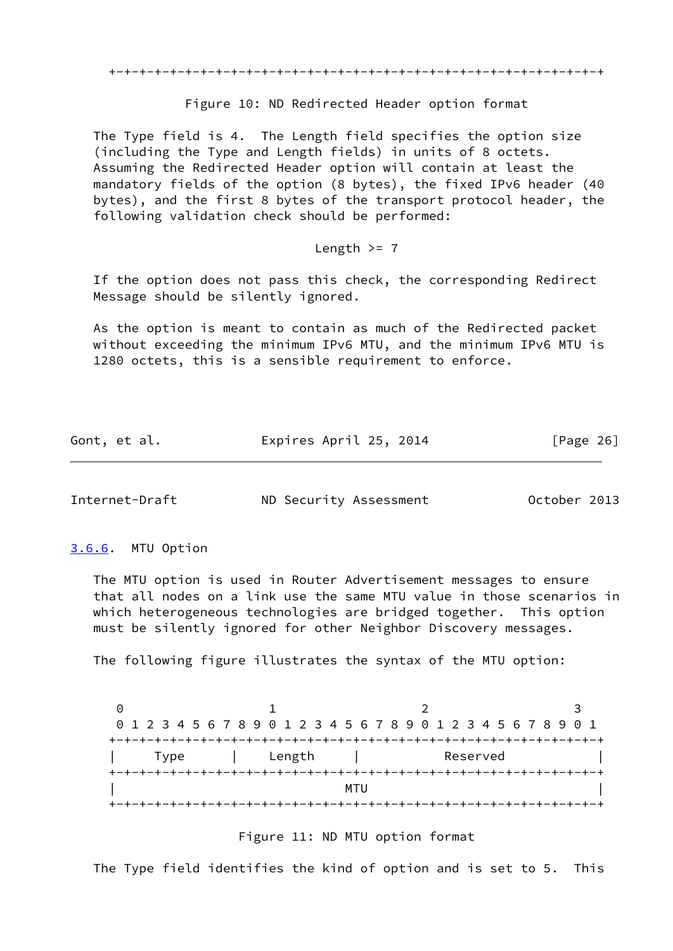+-+-+-+-+-+-+-+-+-+-+-+-+-+-+-+-+-+-+-+-+-+-+-+-+-+-+-+-+-+-+-+-+

#### Figure 10: ND Redirected Header option format

 The Type field is 4. The Length field specifies the option size (including the Type and Length fields) in units of 8 octets. Assuming the Redirected Header option will contain at least the mandatory fields of the option (8 bytes), the fixed IPv6 header (40 bytes), and the first 8 bytes of the transport protocol header, the following validation check should be performed:

## Length  $>= 7$

 If the option does not pass this check, the corresponding Redirect Message should be silently ignored.

 As the option is meant to contain as much of the Redirected packet without exceeding the minimum IPv6 MTU, and the minimum IPv6 MTU is 1280 octets, this is a sensible requirement to enforce.

| Gont, et al. | Expires April 25, 2014 | [Page 26] |
|--------------|------------------------|-----------|
|--------------|------------------------|-----------|

<span id="page-29-1"></span>Internet-Draft ND Security Assessment October 2013

<span id="page-29-0"></span>[3.6.6](#page-29-0). MTU Option

 The MTU option is used in Router Advertisement messages to ensure that all nodes on a link use the same MTU value in those scenarios in which heterogeneous technologies are bridged together. This option must be silently ignored for other Neighbor Discovery messages.

The following figure illustrates the syntax of the MTU option:

|      |        |     |          | 0 1 2 3 4 5 6 7 8 9 0 1 2 3 4 5 6 7 8 9 0 1 2 3 4 5 6 7 8 9 0 1 |
|------|--------|-----|----------|-----------------------------------------------------------------|
|      |        |     |          |                                                                 |
| Type | Length |     | Reserved |                                                                 |
|      |        |     |          |                                                                 |
|      |        | MTU |          |                                                                 |
|      |        |     |          |                                                                 |

## Figure 11: ND MTU option format

The Type field identifies the kind of option and is set to 5. This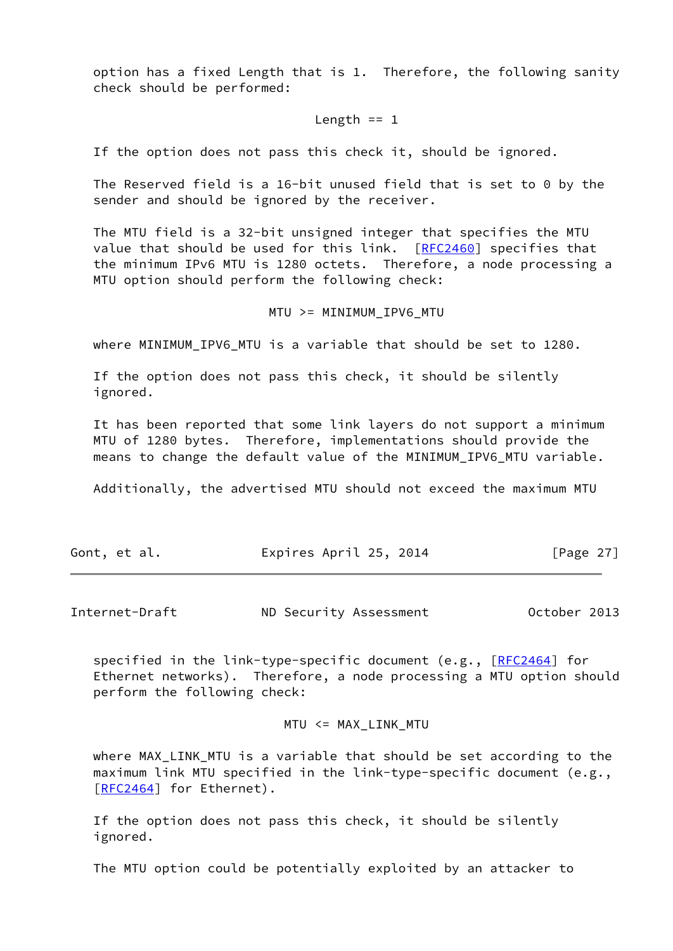option has a fixed Length that is 1. Therefore, the following sanity check should be performed:

#### Length  $== 1$

If the option does not pass this check it, should be ignored.

 The Reserved field is a 16-bit unused field that is set to 0 by the sender and should be ignored by the receiver.

 The MTU field is a 32-bit unsigned integer that specifies the MTU value that should be used for this link. [[RFC2460](https://datatracker.ietf.org/doc/pdf/rfc2460)] specifies that the minimum IPv6 MTU is 1280 octets. Therefore, a node processing a MTU option should perform the following check:

$$
\verb|MTU>= MINIMUM_IPV6_MTU|\\
$$

where MINIMUM\_IPV6\_MTU is a variable that should be set to 1280.

 If the option does not pass this check, it should be silently ignored.

 It has been reported that some link layers do not support a minimum MTU of 1280 bytes. Therefore, implementations should provide the means to change the default value of the MINIMUM\_IPV6\_MTU variable.

Additionally, the advertised MTU should not exceed the maximum MTU

| Gont, et al. | Expires April 25, 2014 | [Page 27] |
|--------------|------------------------|-----------|
|              |                        |           |

<span id="page-30-0"></span>Internet-Draft ND Security Assessment October 2013

specified in the link-type-specific document  $(e.g., [RFC2464]$  $(e.g., [RFC2464]$  $(e.g., [RFC2464]$  for Ethernet networks). Therefore, a node processing a MTU option should perform the following check:

$$
\texttt{MTU} \ \texttt{<=} \ \texttt{MAX\_LINK\_MTU}
$$

 where MAX\_LINK\_MTU is a variable that should be set according to the maximum link MTU specified in the link-type-specific document (e.g., [\[RFC2464](https://datatracker.ietf.org/doc/pdf/rfc2464)] for Ethernet).

 If the option does not pass this check, it should be silently ignored.

The MTU option could be potentially exploited by an attacker to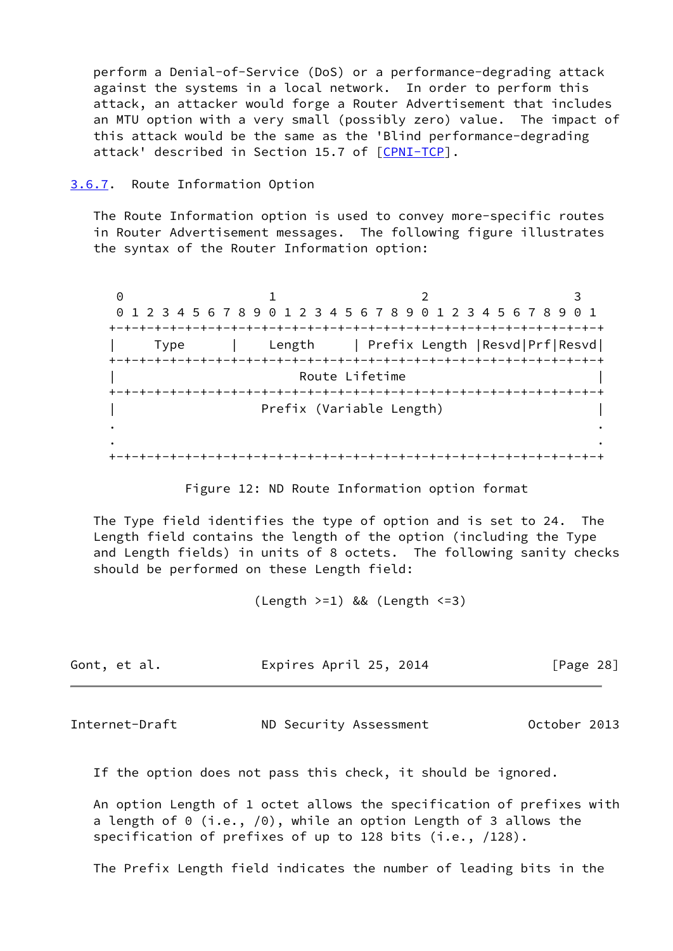perform a Denial-of-Service (DoS) or a performance-degrading attack against the systems in a local network. In order to perform this attack, an attacker would forge a Router Advertisement that includes an MTU option with a very small (possibly zero) value. The impact of this attack would be the same as the 'Blind performance-degrading attack' described in Section 15.7 of [\[CPNI-TCP](#page-66-2)].

<span id="page-31-0"></span>[3.6.7](#page-31-0). Route Information Option

 The Route Information option is used to convey more-specific routes in Router Advertisement messages. The following figure illustrates the syntax of the Router Information option:

0 1 2 3 0 1 2 3 4 5 6 7 8 9 0 1 2 3 4 5 6 7 8 9 0 1 2 3 4 5 6 7 8 9 0 1 +-+-+-+-+-+-+-+-+-+-+-+-+-+-+-+-+-+-+-+-+-+-+-+-+-+-+-+-+-+-+-+-+ | Type | Length | Prefix Length |Resvd|Prf|Resvd| +-+-+-+-+-+-+-+-+-+-+-+-+-+-+-+-+-+-+-+-+-+-+-+-+-+-+-+-+-+-+-+-+ Route Lifetime +-+-+-+-+-+-+-+-+-+-+-+-+-+-+-+-+-+-+-+-+-+-+-+-+-+-+-+-+-+-+-+-+ Prefix (Variable Length) . . . . +-+-+-+-+-+-+-+-+-+-+-+-+-+-+-+-+-+-+-+-+-+-+-+-+-+-+-+-+-+-+-+-+

Figure 12: ND Route Information option format

 The Type field identifies the type of option and is set to 24. The Length field contains the length of the option (including the Type and Length fields) in units of 8 octets. The following sanity checks should be performed on these Length field:

(Length >=1) && (Length <=3)

| Gont, et al. | Expires April 25, 2014 | [Page 28] |
|--------------|------------------------|-----------|
|--------------|------------------------|-----------|

Internet-Draft ND Security Assessment October 2013

If the option does not pass this check, it should be ignored.

 An option Length of 1 octet allows the specification of prefixes with a length of 0 (i.e., /0), while an option Length of 3 allows the specification of prefixes of up to 128 bits (i.e., /128).

The Prefix Length field indicates the number of leading bits in the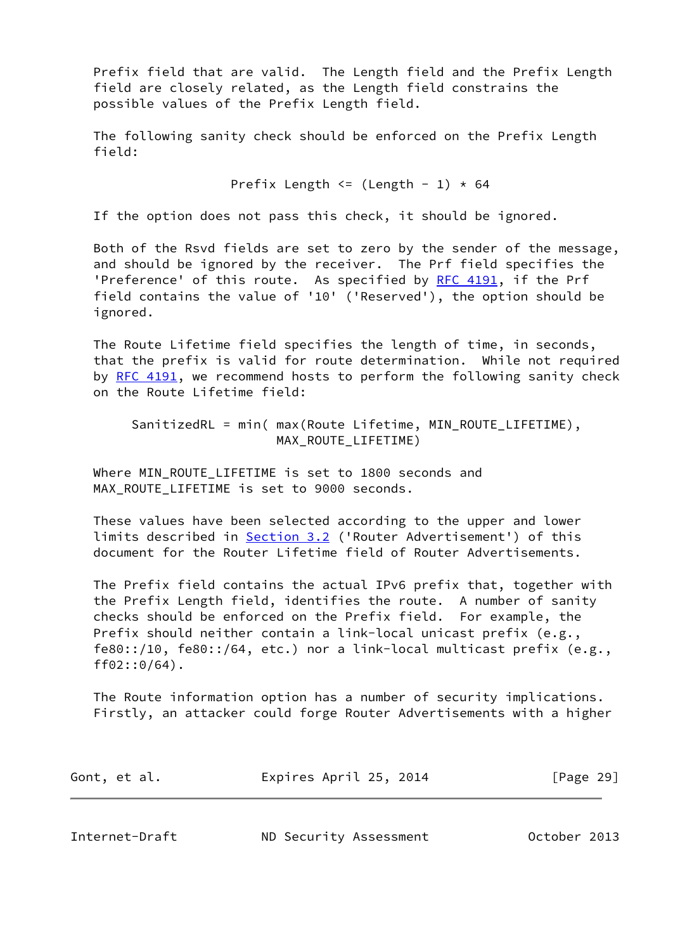Prefix field that are valid. The Length field and the Prefix Length field are closely related, as the Length field constrains the possible values of the Prefix Length field.

 The following sanity check should be enforced on the Prefix Length field:

Prefix Length  $\leq$  (Length - 1)  $\star$  64

If the option does not pass this check, it should be ignored.

 Both of the Rsvd fields are set to zero by the sender of the message, and should be ignored by the receiver. The Prf field specifies the 'Preference' of this route. As specified by [RFC 4191](https://datatracker.ietf.org/doc/pdf/rfc4191), if the Prf field contains the value of '10' ('Reserved'), the option should be ignored.

 The Route Lifetime field specifies the length of time, in seconds, that the prefix is valid for route determination. While not required by [RFC 4191,](https://datatracker.ietf.org/doc/pdf/rfc4191) we recommend hosts to perform the following sanity check on the Route Lifetime field:

 SanitizedRL = min( max(Route Lifetime, MIN\_ROUTE\_LIFETIME), MAX ROUTE LIFETIME)

 Where MIN\_ROUTE\_LIFETIME is set to 1800 seconds and MAX ROUTE LIFETIME is set to 9000 seconds.

 These values have been selected according to the upper and lower limits described in [Section 3.2](#page-7-0) ('Router Advertisement') of this document for the Router Lifetime field of Router Advertisements.

 The Prefix field contains the actual IPv6 prefix that, together with the Prefix Length field, identifies the route. A number of sanity checks should be enforced on the Prefix field. For example, the Prefix should neither contain a link-local unicast prefix (e.g., fe80::/10, fe80::/64, etc.) nor a link-local multicast prefix (e.g., ff02::0/64).

 The Route information option has a number of security implications. Firstly, an attacker could forge Router Advertisements with a higher

| Gont, et al. | Expires April 25, 2014 | [Page 29] |  |
|--------------|------------------------|-----------|--|
|              |                        |           |  |

Internet-Draft ND Security Assessment October 2013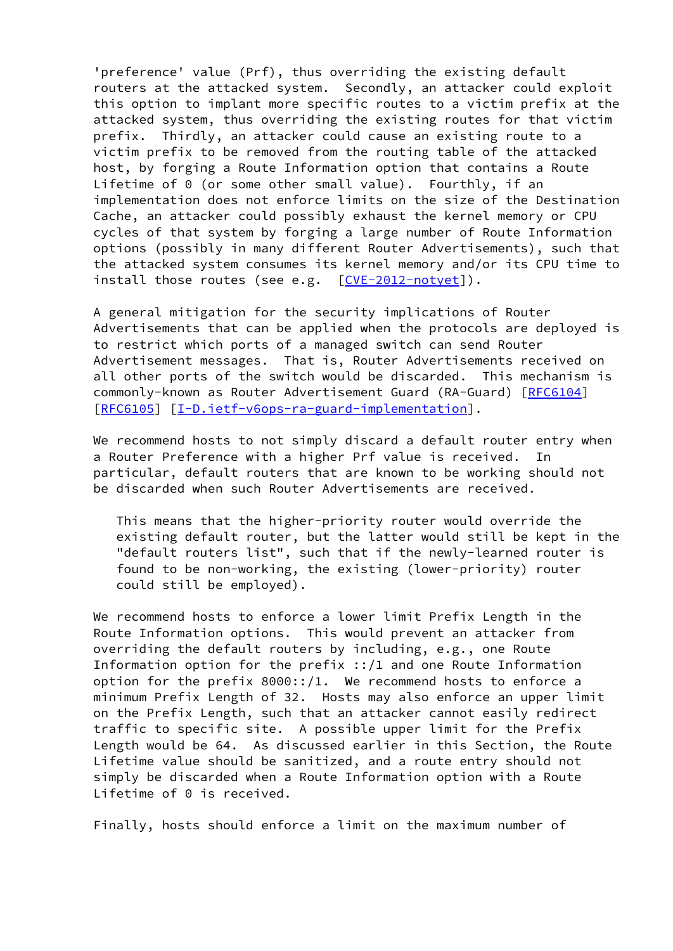'preference' value (Prf), thus overriding the existing default routers at the attacked system. Secondly, an attacker could exploit this option to implant more specific routes to a victim prefix at the attacked system, thus overriding the existing routes for that victim prefix. Thirdly, an attacker could cause an existing route to a victim prefix to be removed from the routing table of the attacked host, by forging a Route Information option that contains a Route Lifetime of 0 (or some other small value). Fourthly, if an implementation does not enforce limits on the size of the Destination Cache, an attacker could possibly exhaust the kernel memory or CPU cycles of that system by forging a large number of Route Information options (possibly in many different Router Advertisements), such that the attacked system consumes its kernel memory and/or its CPU time to install those routes (see e.g. [\[CVE-2012-notyet](#page-67-1)]).

 A general mitigation for the security implications of Router Advertisements that can be applied when the protocols are deployed is to restrict which ports of a managed switch can send Router Advertisement messages. That is, Router Advertisements received on all other ports of the switch would be discarded. This mechanism is commonly-known as Router Advertisement Guard (RA-Guard) [\[RFC6104](https://datatracker.ietf.org/doc/pdf/rfc6104)] [\[RFC6105](https://datatracker.ietf.org/doc/pdf/rfc6105)] [[I-D.ietf-v6ops-ra-guard-implementation](#page-66-3)].

We recommend hosts to not simply discard a default router entry when a Router Preference with a higher Prf value is received. In particular, default routers that are known to be working should not be discarded when such Router Advertisements are received.

 This means that the higher-priority router would override the existing default router, but the latter would still be kept in the "default routers list", such that if the newly-learned router is found to be non-working, the existing (lower-priority) router could still be employed).

 We recommend hosts to enforce a lower limit Prefix Length in the Route Information options. This would prevent an attacker from overriding the default routers by including, e.g., one Route Information option for the prefix ::/1 and one Route Information option for the prefix 8000::/1. We recommend hosts to enforce a minimum Prefix Length of 32. Hosts may also enforce an upper limit on the Prefix Length, such that an attacker cannot easily redirect traffic to specific site. A possible upper limit for the Prefix Length would be 64. As discussed earlier in this Section, the Route Lifetime value should be sanitized, and a route entry should not simply be discarded when a Route Information option with a Route Lifetime of 0 is received.

Finally, hosts should enforce a limit on the maximum number of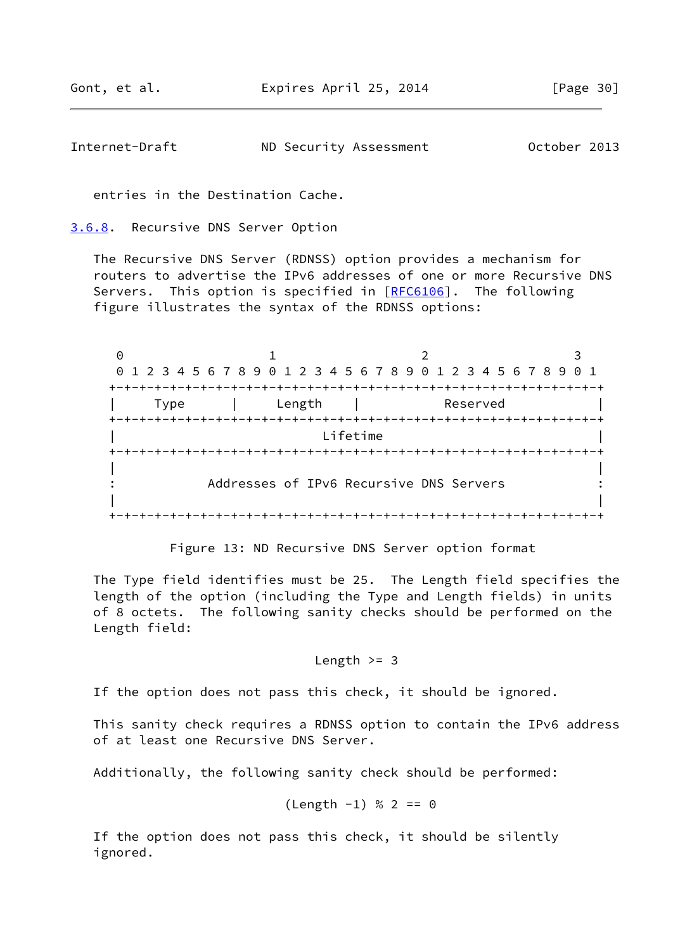<span id="page-34-1"></span>Internet-Draft ND Security Assessment October 2013

entries in the Destination Cache.

<span id="page-34-0"></span>[3.6.8](#page-34-0). Recursive DNS Server Option

 The Recursive DNS Server (RDNSS) option provides a mechanism for routers to advertise the IPv6 addresses of one or more Recursive DNS Servers. This option is specified in [[RFC6106](https://datatracker.ietf.org/doc/pdf/rfc6106)]. The following figure illustrates the syntax of the RDNSS options:

0 1 2 3 0 1 2 3 4 5 6 7 8 9 0 1 2 3 4 5 6 7 8 9 0 1 2 3 4 5 6 7 8 9 0 1 +-+-+-+-+-+-+-+-+-+-+-+-+-+-+-+-+-+-+-+-+-+-+-+-+-+-+-+-+-+-+-+-+ | Type | Length | Reserved | +-+-+-+-+-+-+-+-+-+-+-+-+-+-+-+-+-+-+-+-+-+-+-+-+-+-+-+-+-+-+-+-+ | Lifetime | +-+-+-+-+-+-+-+-+-+-+-+-+-+-+-+-+-+-+-+-+-+-+-+-+-+-+-+-+-+-+-+-+ | | : Addresses of IPv6 Recursive DNS Servers : | | +-+-+-+-+-+-+-+-+-+-+-+-+-+-+-+-+-+-+-+-+-+-+-+-+-+-+-+-+-+-+-+-+

Figure 13: ND Recursive DNS Server option format

 The Type field identifies must be 25. The Length field specifies the length of the option (including the Type and Length fields) in units of 8 octets. The following sanity checks should be performed on the Length field:

Length  $>=$  3

If the option does not pass this check, it should be ignored.

 This sanity check requires a RDNSS option to contain the IPv6 address of at least one Recursive DNS Server.

Additionally, the following sanity check should be performed:

$$
(Length -1) % 2 == 0
$$

 If the option does not pass this check, it should be silently ignored.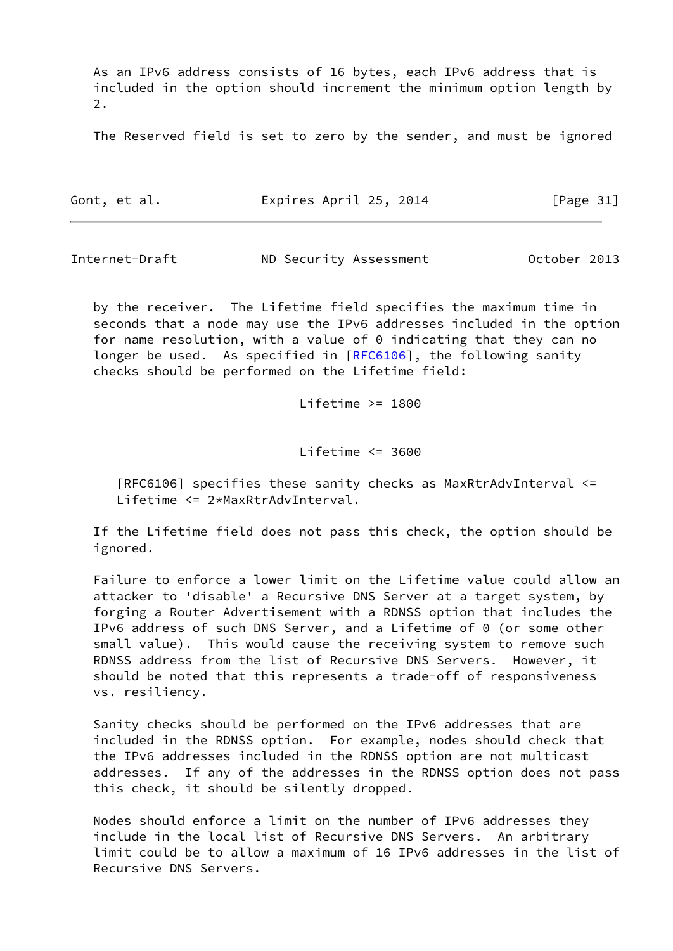As an IPv6 address consists of 16 bytes, each IPv6 address that is included in the option should increment the minimum option length by 2.

The Reserved field is set to zero by the sender, and must be ignored

| Gont, et al. | Expires April 25, 2014 |  | [Page 31] |  |
|--------------|------------------------|--|-----------|--|
|              |                        |  |           |  |

Internet-Draft ND Security Assessment October 2013

 by the receiver. The Lifetime field specifies the maximum time in seconds that a node may use the IPv6 addresses included in the option for name resolution, with a value of  $0$  indicating that they can no longer be used. As specified in [\[RFC6106](https://datatracker.ietf.org/doc/pdf/rfc6106)], the following sanity checks should be performed on the Lifetime field:

Lifetime  $>= 1800$ 

Lifetime <= 3600

 [RFC6106] specifies these sanity checks as MaxRtrAdvInterval <= Lifetime <= 2\*MaxRtrAdvInterval.

 If the Lifetime field does not pass this check, the option should be ignored.

 Failure to enforce a lower limit on the Lifetime value could allow an attacker to 'disable' a Recursive DNS Server at a target system, by forging a Router Advertisement with a RDNSS option that includes the IPv6 address of such DNS Server, and a Lifetime of 0 (or some other small value). This would cause the receiving system to remove such RDNSS address from the list of Recursive DNS Servers. However, it should be noted that this represents a trade-off of responsiveness vs. resiliency.

 Sanity checks should be performed on the IPv6 addresses that are included in the RDNSS option. For example, nodes should check that the IPv6 addresses included in the RDNSS option are not multicast addresses. If any of the addresses in the RDNSS option does not pass this check, it should be silently dropped.

 Nodes should enforce a limit on the number of IPv6 addresses they include in the local list of Recursive DNS Servers. An arbitrary limit could be to allow a maximum of 16 IPv6 addresses in the list of Recursive DNS Servers.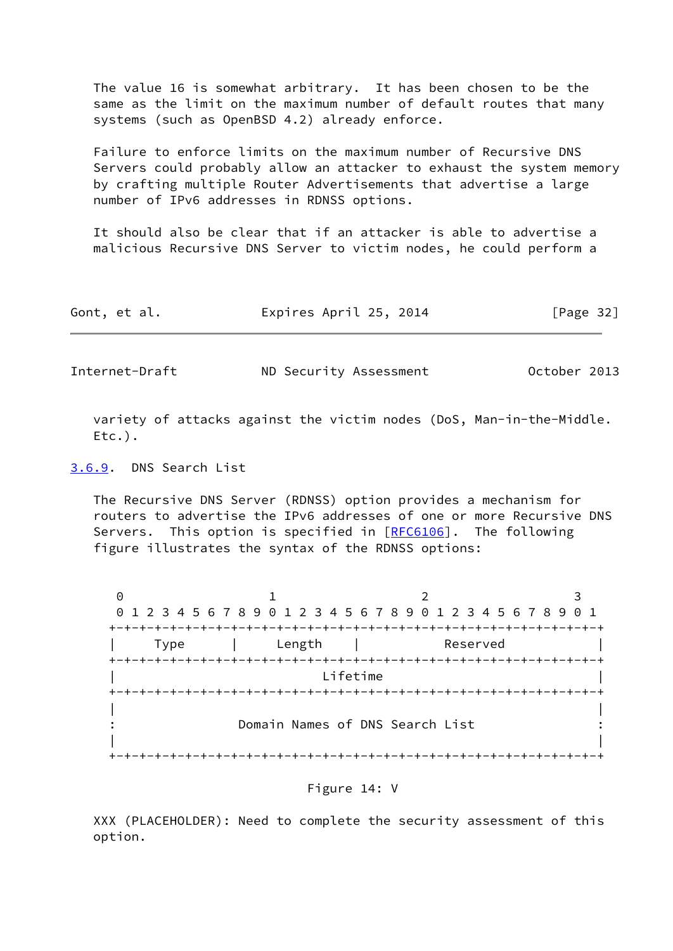The value 16 is somewhat arbitrary. It has been chosen to be the same as the limit on the maximum number of default routes that many systems (such as OpenBSD 4.2) already enforce.

 Failure to enforce limits on the maximum number of Recursive DNS Servers could probably allow an attacker to exhaust the system memory by crafting multiple Router Advertisements that advertise a large number of IPv6 addresses in RDNSS options.

 It should also be clear that if an attacker is able to advertise a malicious Recursive DNS Server to victim nodes, he could perform a

| Gont, et al. | Expires April 25, 2014 | [Page 32] |
|--------------|------------------------|-----------|
|--------------|------------------------|-----------|

<span id="page-36-1"></span>Internet-Draft ND Security Assessment October 2013

 variety of attacks against the victim nodes (DoS, Man-in-the-Middle. Etc.).

<span id="page-36-0"></span>[3.6.9](#page-36-0). DNS Search List

 The Recursive DNS Server (RDNSS) option provides a mechanism for routers to advertise the IPv6 addresses of one or more Recursive DNS Servers. This option is specified in [[RFC6106](https://datatracker.ietf.org/doc/pdf/rfc6106)]. The following figure illustrates the syntax of the RDNSS options:

0 1 2 3 0 1 2 3 4 5 6 7 8 9 0 1 2 3 4 5 6 7 8 9 0 1 2 3 4 5 6 7 8 9 0 1 +-+-+-+-+-+-+-+-+-+-+-+-+-+-+-+-+-+-+-+-+-+-+-+-+-+-+-+-+-+-+-+-+ | Type | Length | Reserved | +-+-+-+-+-+-+-+-+-+-+-+-+-+-+-+-+-+-+-+-+-+-+-+-+-+-+-+-+-+-+-+-+ | Lifetime | +-+-+-+-+-+-+-+-+-+-+-+-+-+-+-+-+-+-+-+-+-+-+-+-+-+-+-+-+-+-+-+-+ | | Domain Names of DNS Search List : : | | +-+-+-+-+-+-+-+-+-+-+-+-+-+-+-+-+-+-+-+-+-+-+-+-+-+-+-+-+-+-+-+-+

Figure 14: V

 XXX (PLACEHOLDER): Need to complete the security assessment of this option.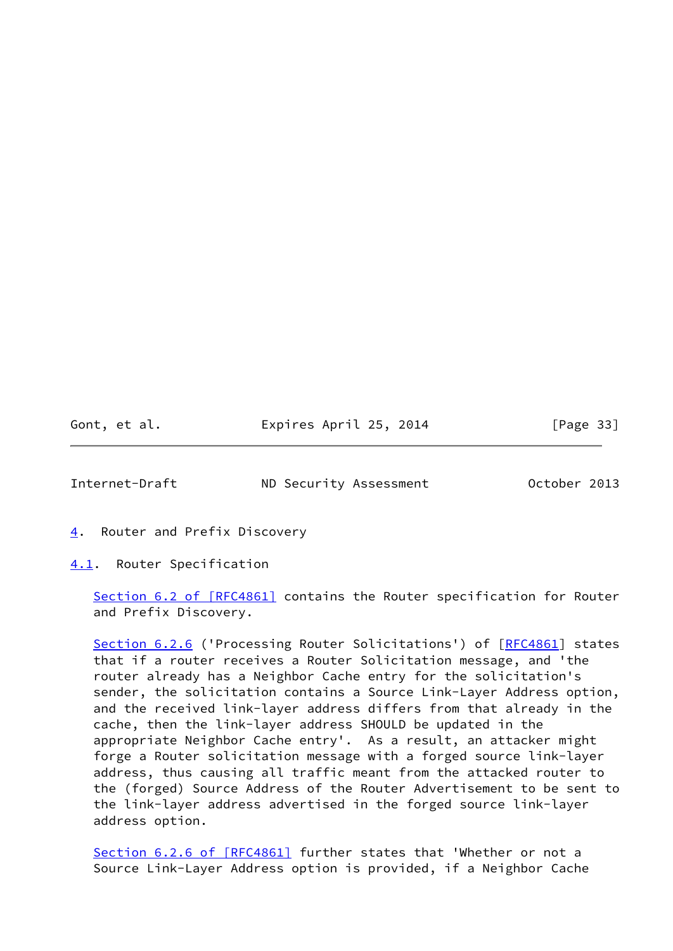| Gont, | et al. |  |
|-------|--------|--|
|       |        |  |

Expires April 25, 2014 [Page 33]

<span id="page-37-1"></span>Internet-Draft ND Security Assessment October 2013

<span id="page-37-0"></span>[4](#page-37-0). Router and Prefix Discovery

<span id="page-37-2"></span>[4.1](#page-37-2). Router Specification

Section [6.2 of \[RFC4861\]](https://datatracker.ietf.org/doc/pdf/rfc4861#section-6.2) contains the Router specification for Router and Prefix Discovery.

Section 6.2.6 ('Processing Router Solicitations') of [\[RFC4861](https://datatracker.ietf.org/doc/pdf/rfc4861)] states that if a router receives a Router Solicitation message, and 'the router already has a Neighbor Cache entry for the solicitation's sender, the solicitation contains a Source Link-Layer Address option, and the received link-layer address differs from that already in the cache, then the link-layer address SHOULD be updated in the appropriate Neighbor Cache entry'. As a result, an attacker might forge a Router solicitation message with a forged source link-layer address, thus causing all traffic meant from the attacked router to the (forged) Source Address of the Router Advertisement to be sent to the link-layer address advertised in the forged source link-layer address option.

Section [6.2.6 of \[RFC4861\]](https://datatracker.ietf.org/doc/pdf/rfc4861#section-6.2.6) further states that 'Whether or not a Source Link-Layer Address option is provided, if a Neighbor Cache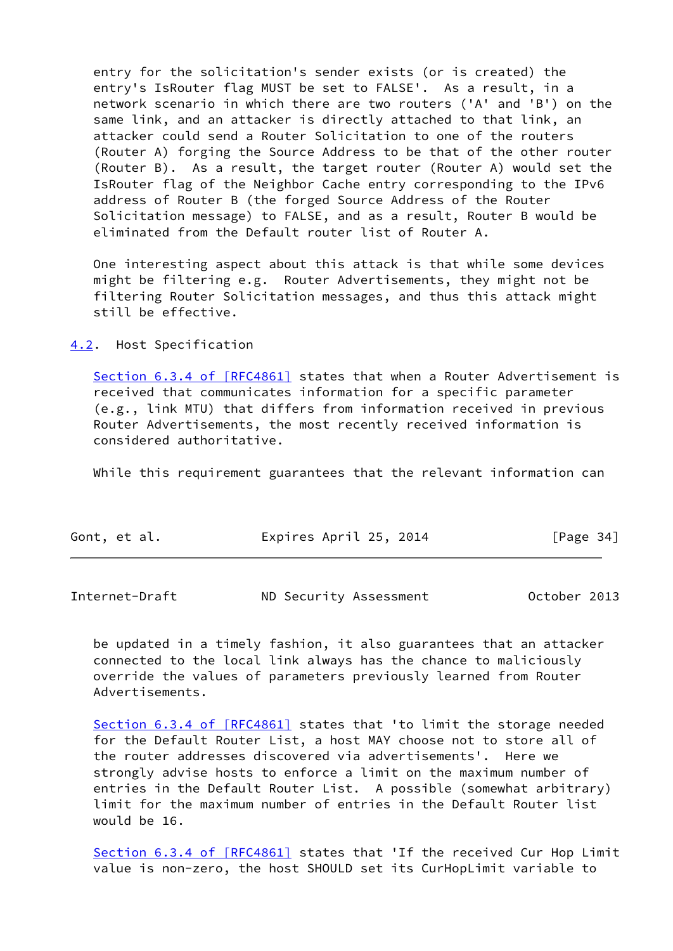entry for the solicitation's sender exists (or is created) the entry's IsRouter flag MUST be set to FALSE'. As a result, in a network scenario in which there are two routers ('A' and 'B') on the same link, and an attacker is directly attached to that link, an attacker could send a Router Solicitation to one of the routers (Router A) forging the Source Address to be that of the other router (Router B). As a result, the target router (Router A) would set the IsRouter flag of the Neighbor Cache entry corresponding to the IPv6 address of Router B (the forged Source Address of the Router Solicitation message) to FALSE, and as a result, Router B would be eliminated from the Default router list of Router A.

 One interesting aspect about this attack is that while some devices might be filtering e.g. Router Advertisements, they might not be filtering Router Solicitation messages, and thus this attack might still be effective.

<span id="page-38-0"></span>[4.2](#page-38-0). Host Specification

 Section [6.3.4 of \[RFC4861\]](https://datatracker.ietf.org/doc/pdf/rfc4861#section-6.3.4) states that when a Router Advertisement is received that communicates information for a specific parameter (e.g., link MTU) that differs from information received in previous Router Advertisements, the most recently received information is considered authoritative.

While this requirement guarantees that the relevant information can

| Gont, et al. | Expires April 25, 2014 | [Page 34] |
|--------------|------------------------|-----------|
|              |                        |           |

Internet-Draft ND Security Assessment October 2013

 be updated in a timely fashion, it also guarantees that an attacker connected to the local link always has the chance to maliciously override the values of parameters previously learned from Router Advertisements.

Section [6.3.4 of \[RFC4861\]](https://datatracker.ietf.org/doc/pdf/rfc4861#section-6.3.4) states that 'to limit the storage needed for the Default Router List, a host MAY choose not to store all of the router addresses discovered via advertisements'. Here we strongly advise hosts to enforce a limit on the maximum number of entries in the Default Router List. A possible (somewhat arbitrary) limit for the maximum number of entries in the Default Router list would be 16.

Section [6.3.4 of \[RFC4861\]](https://datatracker.ietf.org/doc/pdf/rfc4861#section-6.3.4) states that 'If the received Cur Hop Limit value is non-zero, the host SHOULD set its CurHopLimit variable to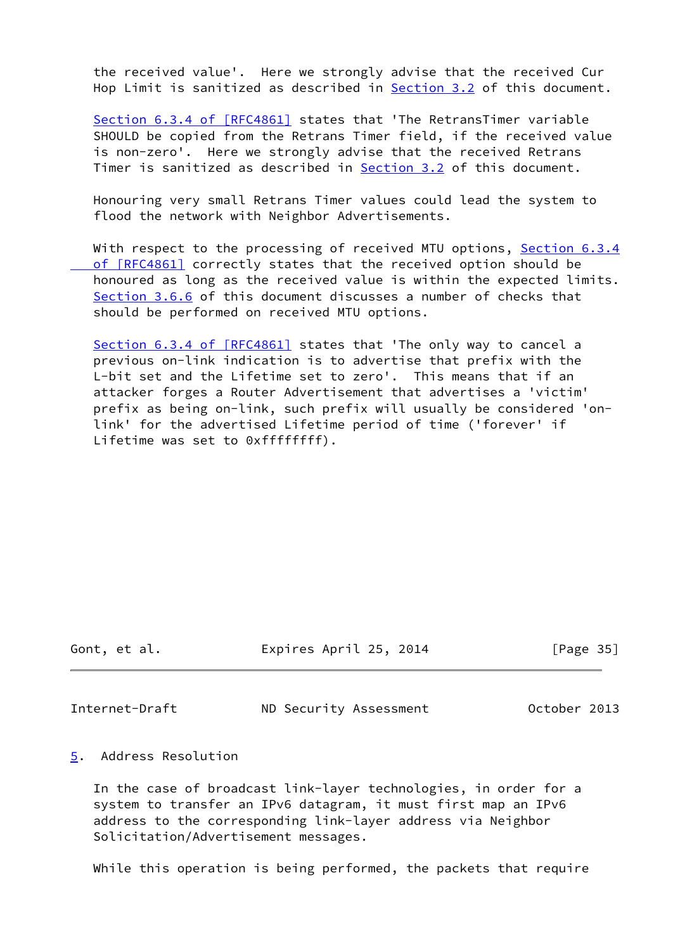the received value'. Here we strongly advise that the received Cur Hop Limit is sanitized as described in **[Section 3.2](#page-7-0)** of this document.

Section [6.3.4 of \[RFC4861\]](https://datatracker.ietf.org/doc/pdf/rfc4861#section-6.3.4) states that 'The RetransTimer variable SHOULD be copied from the Retrans Timer field, if the received value is non-zero'. Here we strongly advise that the received Retrans Timer is sanitized as described in [Section 3.2](#page-7-0) of this document.

 Honouring very small Retrans Timer values could lead the system to flood the network with Neighbor Advertisements.

With respect to the processing of received MTU options, [Section](https://datatracker.ietf.org/doc/pdf/rfc4861#section-6.3.4) 6.3.4 of [RFC4861] correctly states that the received option should be honoured as long as the received value is within the expected limits. [Section 3.6.6](#page-29-0) of this document discusses a number of checks that should be performed on received MTU options.

 Section [6.3.4 of \[RFC4861\]](https://datatracker.ietf.org/doc/pdf/rfc4861#section-6.3.4) states that 'The only way to cancel a previous on-link indication is to advertise that prefix with the L-bit set and the Lifetime set to zero'. This means that if an attacker forges a Router Advertisement that advertises a 'victim' prefix as being on-link, such prefix will usually be considered 'on link' for the advertised Lifetime period of time ('forever' if Lifetime was set to 0xffffffff).

Gont, et al. Expires April 25, 2014 [Page 35]

<span id="page-39-1"></span>Internet-Draft ND Security Assessment October 2013

## <span id="page-39-0"></span>[5](#page-39-0). Address Resolution

 In the case of broadcast link-layer technologies, in order for a system to transfer an IPv6 datagram, it must first map an IPv6 address to the corresponding link-layer address via Neighbor Solicitation/Advertisement messages.

While this operation is being performed, the packets that require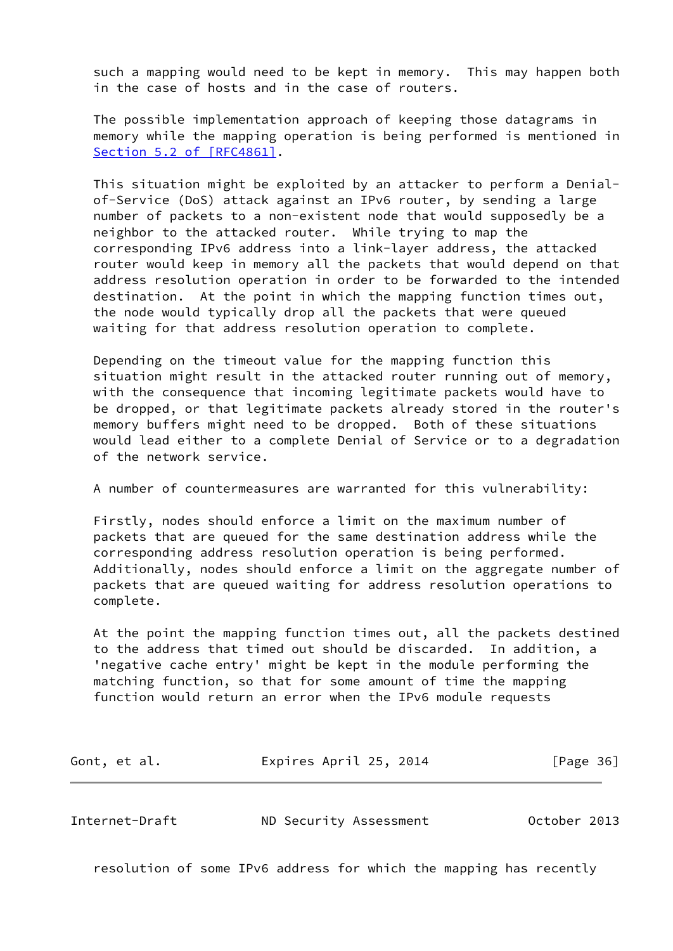such a mapping would need to be kept in memory. This may happen both in the case of hosts and in the case of routers.

 The possible implementation approach of keeping those datagrams in memory while the mapping operation is being performed is mentioned in Section [5.2 of \[RFC4861\]](https://datatracker.ietf.org/doc/pdf/rfc4861#section-5.2).

 This situation might be exploited by an attacker to perform a Denial of-Service (DoS) attack against an IPv6 router, by sending a large number of packets to a non-existent node that would supposedly be a neighbor to the attacked router. While trying to map the corresponding IPv6 address into a link-layer address, the attacked router would keep in memory all the packets that would depend on that address resolution operation in order to be forwarded to the intended destination. At the point in which the mapping function times out, the node would typically drop all the packets that were queued waiting for that address resolution operation to complete.

 Depending on the timeout value for the mapping function this situation might result in the attacked router running out of memory, with the consequence that incoming legitimate packets would have to be dropped, or that legitimate packets already stored in the router's memory buffers might need to be dropped. Both of these situations would lead either to a complete Denial of Service or to a degradation of the network service.

A number of countermeasures are warranted for this vulnerability:

 Firstly, nodes should enforce a limit on the maximum number of packets that are queued for the same destination address while the corresponding address resolution operation is being performed. Additionally, nodes should enforce a limit on the aggregate number of packets that are queued waiting for address resolution operations to complete.

 At the point the mapping function times out, all the packets destined to the address that timed out should be discarded. In addition, a 'negative cache entry' might be kept in the module performing the matching function, so that for some amount of time the mapping function would return an error when the IPv6 module requests

| Gont, et al. | Expires April 25, 2014 | [Page 36] |
|--------------|------------------------|-----------|
|--------------|------------------------|-----------|

Internet-Draft ND Security Assessment October 2013

resolution of some IPv6 address for which the mapping has recently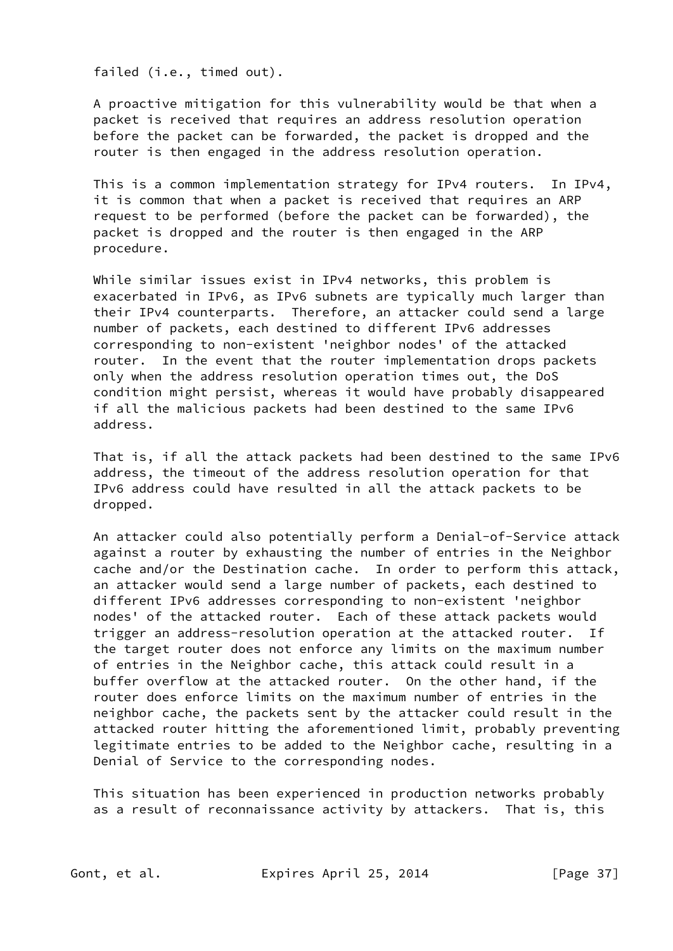failed (i.e., timed out).

 A proactive mitigation for this vulnerability would be that when a packet is received that requires an address resolution operation before the packet can be forwarded, the packet is dropped and the router is then engaged in the address resolution operation.

 This is a common implementation strategy for IPv4 routers. In IPv4, it is common that when a packet is received that requires an ARP request to be performed (before the packet can be forwarded), the packet is dropped and the router is then engaged in the ARP procedure.

 While similar issues exist in IPv4 networks, this problem is exacerbated in IPv6, as IPv6 subnets are typically much larger than their IPv4 counterparts. Therefore, an attacker could send a large number of packets, each destined to different IPv6 addresses corresponding to non-existent 'neighbor nodes' of the attacked router. In the event that the router implementation drops packets only when the address resolution operation times out, the DoS condition might persist, whereas it would have probably disappeared if all the malicious packets had been destined to the same IPv6 address.

 That is, if all the attack packets had been destined to the same IPv6 address, the timeout of the address resolution operation for that IPv6 address could have resulted in all the attack packets to be dropped.

 An attacker could also potentially perform a Denial-of-Service attack against a router by exhausting the number of entries in the Neighbor cache and/or the Destination cache. In order to perform this attack, an attacker would send a large number of packets, each destined to different IPv6 addresses corresponding to non-existent 'neighbor nodes' of the attacked router. Each of these attack packets would trigger an address-resolution operation at the attacked router. If the target router does not enforce any limits on the maximum number of entries in the Neighbor cache, this attack could result in a buffer overflow at the attacked router. On the other hand, if the router does enforce limits on the maximum number of entries in the neighbor cache, the packets sent by the attacker could result in the attacked router hitting the aforementioned limit, probably preventing legitimate entries to be added to the Neighbor cache, resulting in a Denial of Service to the corresponding nodes.

 This situation has been experienced in production networks probably as a result of reconnaissance activity by attackers. That is, this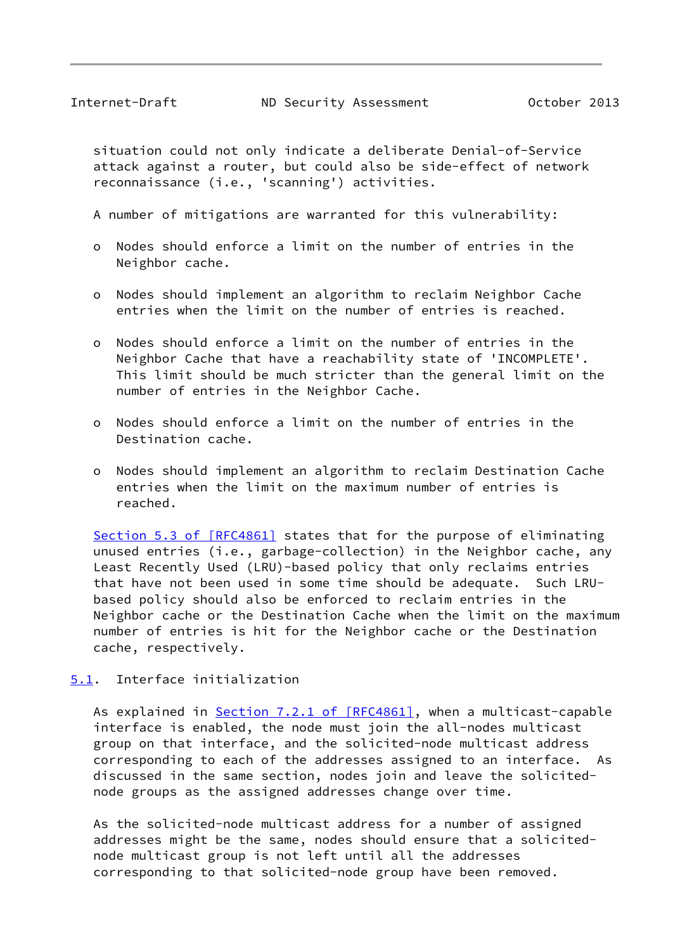<span id="page-42-1"></span> situation could not only indicate a deliberate Denial-of-Service attack against a router, but could also be side-effect of network reconnaissance (i.e., 'scanning') activities.

A number of mitigations are warranted for this vulnerability:

- o Nodes should enforce a limit on the number of entries in the Neighbor cache.
- o Nodes should implement an algorithm to reclaim Neighbor Cache entries when the limit on the number of entries is reached.
- o Nodes should enforce a limit on the number of entries in the Neighbor Cache that have a reachability state of 'INCOMPLETE'. This limit should be much stricter than the general limit on the number of entries in the Neighbor Cache.
- o Nodes should enforce a limit on the number of entries in the Destination cache.
- o Nodes should implement an algorithm to reclaim Destination Cache entries when the limit on the maximum number of entries is reached.

 Section [5.3 of \[RFC4861\]](https://datatracker.ietf.org/doc/pdf/rfc4861#section-5.3) states that for the purpose of eliminating unused entries (i.e., garbage-collection) in the Neighbor cache, any Least Recently Used (LRU)-based policy that only reclaims entries that have not been used in some time should be adequate. Such LRU based policy should also be enforced to reclaim entries in the Neighbor cache or the Destination Cache when the limit on the maximum number of entries is hit for the Neighbor cache or the Destination cache, respectively.

<span id="page-42-0"></span>[5.1](#page-42-0). Interface initialization

As explained in Section [7.2.1 of \[RFC4861\]](https://datatracker.ietf.org/doc/pdf/rfc4861#section-7.2.1), when a multicast-capable interface is enabled, the node must join the all-nodes multicast group on that interface, and the solicited-node multicast address corresponding to each of the addresses assigned to an interface. As discussed in the same section, nodes join and leave the solicited node groups as the assigned addresses change over time.

 As the solicited-node multicast address for a number of assigned addresses might be the same, nodes should ensure that a solicited node multicast group is not left until all the addresses corresponding to that solicited-node group have been removed.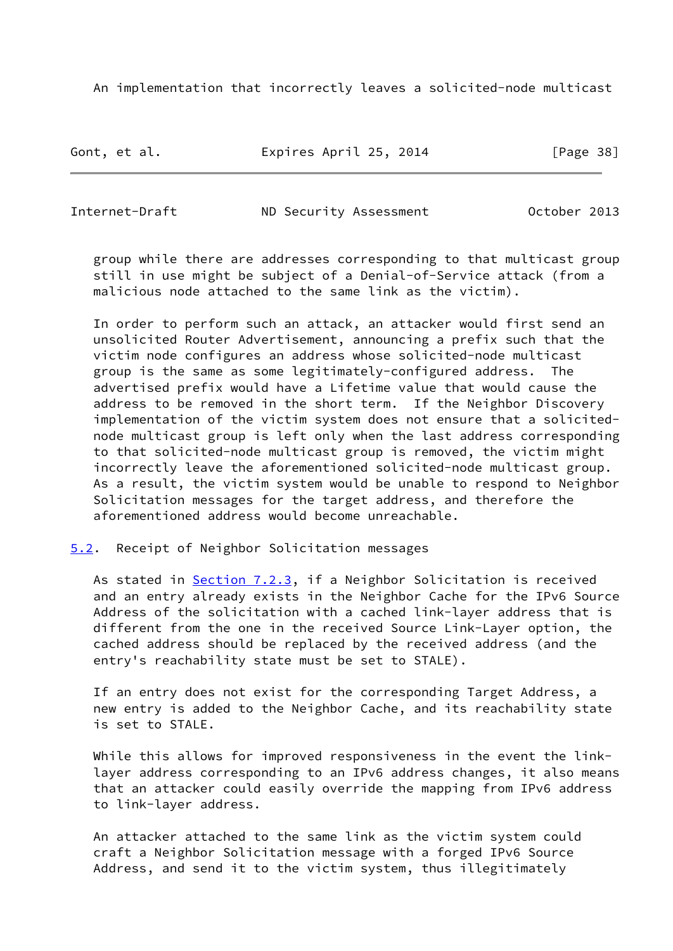An implementation that incorrectly leaves a solicited-node multicast

Gont, et al. **Expires April 25, 2014** [Page 38]

<span id="page-43-1"></span>Internet-Draft ND Security Assessment October 2013

 group while there are addresses corresponding to that multicast group still in use might be subject of a Denial-of-Service attack (from a malicious node attached to the same link as the victim).

 In order to perform such an attack, an attacker would first send an unsolicited Router Advertisement, announcing a prefix such that the victim node configures an address whose solicited-node multicast group is the same as some legitimately-configured address. The advertised prefix would have a Lifetime value that would cause the address to be removed in the short term. If the Neighbor Discovery implementation of the victim system does not ensure that a solicited node multicast group is left only when the last address corresponding to that solicited-node multicast group is removed, the victim might incorrectly leave the aforementioned solicited-node multicast group. As a result, the victim system would be unable to respond to Neighbor Solicitation messages for the target address, and therefore the aforementioned address would become unreachable.

<span id="page-43-0"></span>[5.2](#page-43-0). Receipt of Neighbor Solicitation messages

As stated in Section 7.2.3, if a Neighbor Solicitation is received and an entry already exists in the Neighbor Cache for the IPv6 Source Address of the solicitation with a cached link-layer address that is different from the one in the received Source Link-Layer option, the cached address should be replaced by the received address (and the entry's reachability state must be set to STALE).

 If an entry does not exist for the corresponding Target Address, a new entry is added to the Neighbor Cache, and its reachability state is set to STALE.

 While this allows for improved responsiveness in the event the link layer address corresponding to an IPv6 address changes, it also means that an attacker could easily override the mapping from IPv6 address to link-layer address.

 An attacker attached to the same link as the victim system could craft a Neighbor Solicitation message with a forged IPv6 Source Address, and send it to the victim system, thus illegitimately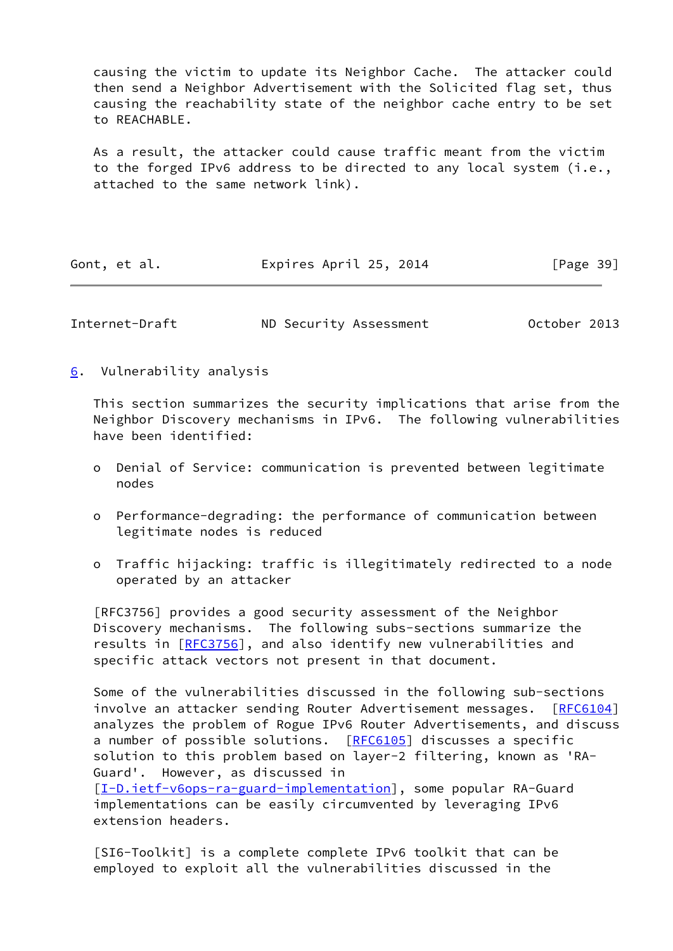causing the victim to update its Neighbor Cache. The attacker could then send a Neighbor Advertisement with the Solicited flag set, thus causing the reachability state of the neighbor cache entry to be set to REACHABLE.

 As a result, the attacker could cause traffic meant from the victim to the forged IPv6 address to be directed to any local system (i.e., attached to the same network link).

| Expires April 25, 2014<br>Gont, et al. |  |  |  |  | [Page 39] |
|----------------------------------------|--|--|--|--|-----------|
|----------------------------------------|--|--|--|--|-----------|

<span id="page-44-1"></span>Internet-Draft ND Security Assessment October 2013

<span id="page-44-0"></span>[6](#page-44-0). Vulnerability analysis

 This section summarizes the security implications that arise from the Neighbor Discovery mechanisms in IPv6. The following vulnerabilities have been identified:

- o Denial of Service: communication is prevented between legitimate nodes
- o Performance-degrading: the performance of communication between legitimate nodes is reduced
- o Traffic hijacking: traffic is illegitimately redirected to a node operated by an attacker

 [RFC3756] provides a good security assessment of the Neighbor Discovery mechanisms. The following subs-sections summarize the results in [[RFC3756\]](https://datatracker.ietf.org/doc/pdf/rfc3756), and also identify new vulnerabilities and specific attack vectors not present in that document.

 Some of the vulnerabilities discussed in the following sub-sections involve an attacker sending Router Advertisement messages. [\[RFC6104](https://datatracker.ietf.org/doc/pdf/rfc6104)] analyzes the problem of Rogue IPv6 Router Advertisements, and discuss a number of possible solutions. [\[RFC6105](https://datatracker.ietf.org/doc/pdf/rfc6105)] discusses a specific solution to this problem based on layer-2 filtering, known as 'RA- Guard'. However, as discussed in

 [\[I-D.ietf-v6ops-ra-guard-implementation](#page-66-3)], some popular RA-Guard implementations can be easily circumvented by leveraging IPv6 extension headers.

 [SI6-Toolkit] is a complete complete IPv6 toolkit that can be employed to exploit all the vulnerabilities discussed in the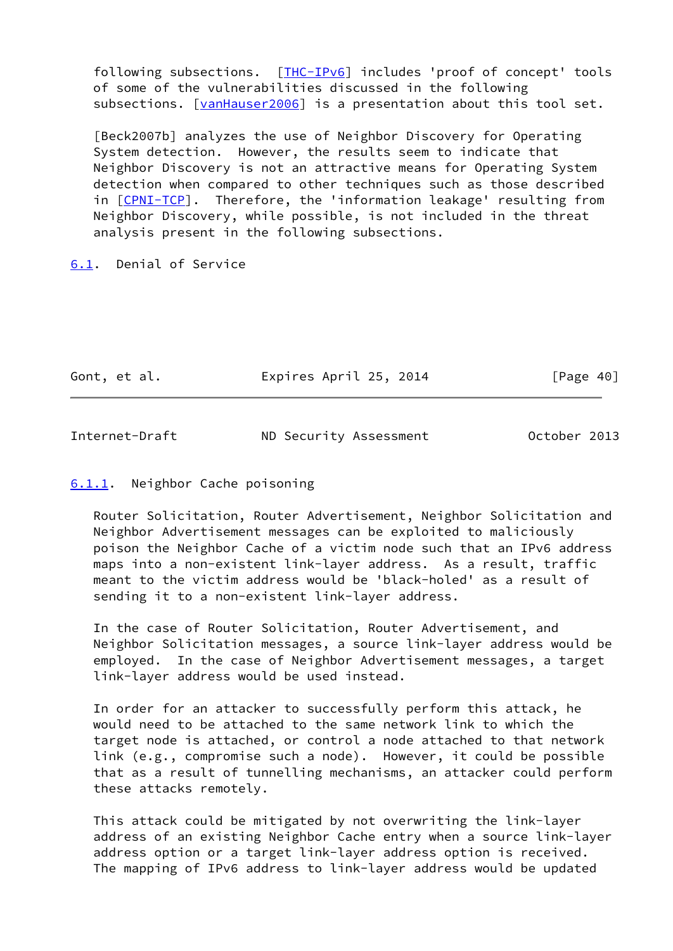following subsections. [\[THC-IPv6](#page-67-2)] includes 'proof of concept' tools of some of the vulnerabilities discussed in the following subsections. [\[vanHauser2006\]](#page-67-3) is a presentation about this tool set.

 [Beck2007b] analyzes the use of Neighbor Discovery for Operating System detection. However, the results seem to indicate that Neighbor Discovery is not an attractive means for Operating System detection when compared to other techniques such as those described in [[CPNI-TCP\]](#page-66-2). Therefore, the 'information leakage' resulting from Neighbor Discovery, while possible, is not included in the threat analysis present in the following subsections.

<span id="page-45-0"></span>[6.1](#page-45-0). Denial of Service

| Gont, et al. | Expires April 25, 2014 | [Page 40] |
|--------------|------------------------|-----------|
|              |                        |           |

<span id="page-45-2"></span>Internet-Draft ND Security Assessment October 2013

## <span id="page-45-1"></span>[6.1.1](#page-45-1). Neighbor Cache poisoning

 Router Solicitation, Router Advertisement, Neighbor Solicitation and Neighbor Advertisement messages can be exploited to maliciously poison the Neighbor Cache of a victim node such that an IPv6 address maps into a non-existent link-layer address. As a result, traffic meant to the victim address would be 'black-holed' as a result of sending it to a non-existent link-layer address.

 In the case of Router Solicitation, Router Advertisement, and Neighbor Solicitation messages, a source link-layer address would be employed. In the case of Neighbor Advertisement messages, a target link-layer address would be used instead.

 In order for an attacker to successfully perform this attack, he would need to be attached to the same network link to which the target node is attached, or control a node attached to that network link (e.g., compromise such a node). However, it could be possible that as a result of tunnelling mechanisms, an attacker could perform these attacks remotely.

 This attack could be mitigated by not overwriting the link-layer address of an existing Neighbor Cache entry when a source link-layer address option or a target link-layer address option is received. The mapping of IPv6 address to link-layer address would be updated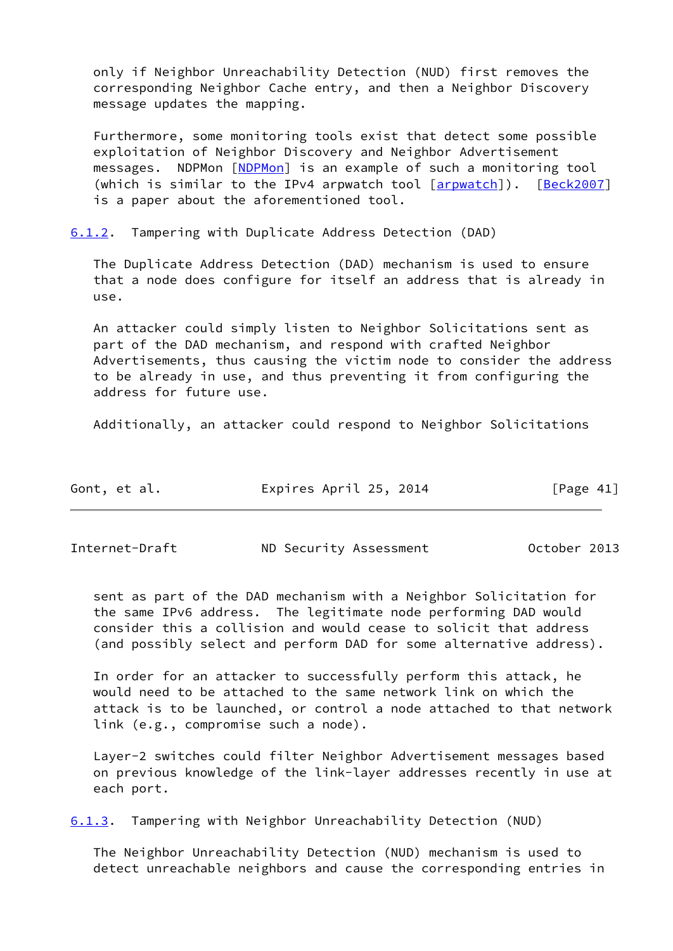only if Neighbor Unreachability Detection (NUD) first removes the corresponding Neighbor Cache entry, and then a Neighbor Discovery message updates the mapping.

 Furthermore, some monitoring tools exist that detect some possible exploitation of Neighbor Discovery and Neighbor Advertisement messages. NDPMon [[NDPMon](#page-67-4)] is an example of such a monitoring tool (which is similar to the IPv4 arpwatch tool [\[arpwatch](#page-67-5)]). [[Beck2007\]](#page-67-6) is a paper about the aforementioned tool.

<span id="page-46-0"></span>[6.1.2](#page-46-0). Tampering with Duplicate Address Detection (DAD)

 The Duplicate Address Detection (DAD) mechanism is used to ensure that a node does configure for itself an address that is already in use.

 An attacker could simply listen to Neighbor Solicitations sent as part of the DAD mechanism, and respond with crafted Neighbor Advertisements, thus causing the victim node to consider the address to be already in use, and thus preventing it from configuring the address for future use.

Additionally, an attacker could respond to Neighbor Solicitations

| Gont, et al. | Expires April 25, 2014 | [Page 41] |
|--------------|------------------------|-----------|
|              |                        |           |

<span id="page-46-1"></span>Internet-Draft ND Security Assessment October 2013

 sent as part of the DAD mechanism with a Neighbor Solicitation for the same IPv6 address. The legitimate node performing DAD would consider this a collision and would cease to solicit that address (and possibly select and perform DAD for some alternative address).

 In order for an attacker to successfully perform this attack, he would need to be attached to the same network link on which the attack is to be launched, or control a node attached to that network link (e.g., compromise such a node).

 Layer-2 switches could filter Neighbor Advertisement messages based on previous knowledge of the link-layer addresses recently in use at each port.

<span id="page-46-2"></span>[6.1.3](#page-46-2). Tampering with Neighbor Unreachability Detection (NUD)

 The Neighbor Unreachability Detection (NUD) mechanism is used to detect unreachable neighbors and cause the corresponding entries in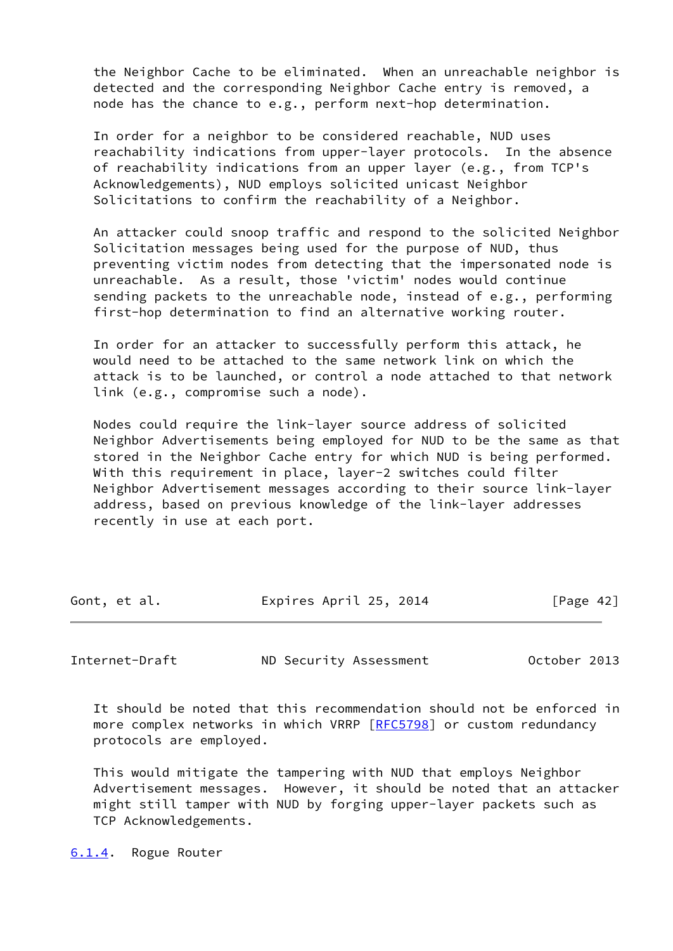the Neighbor Cache to be eliminated. When an unreachable neighbor is detected and the corresponding Neighbor Cache entry is removed, a node has the chance to e.g., perform next-hop determination.

 In order for a neighbor to be considered reachable, NUD uses reachability indications from upper-layer protocols. In the absence of reachability indications from an upper layer (e.g., from TCP's Acknowledgements), NUD employs solicited unicast Neighbor Solicitations to confirm the reachability of a Neighbor.

 An attacker could snoop traffic and respond to the solicited Neighbor Solicitation messages being used for the purpose of NUD, thus preventing victim nodes from detecting that the impersonated node is unreachable. As a result, those 'victim' nodes would continue sending packets to the unreachable node, instead of e.g., performing first-hop determination to find an alternative working router.

 In order for an attacker to successfully perform this attack, he would need to be attached to the same network link on which the attack is to be launched, or control a node attached to that network link (e.g., compromise such a node).

 Nodes could require the link-layer source address of solicited Neighbor Advertisements being employed for NUD to be the same as that stored in the Neighbor Cache entry for which NUD is being performed. With this requirement in place, layer-2 switches could filter Neighbor Advertisement messages according to their source link-layer address, based on previous knowledge of the link-layer addresses recently in use at each port.

| Gont, et al. | Expires April 25, 2014 | [Page 42] |  |
|--------------|------------------------|-----------|--|
|              |                        |           |  |

<span id="page-47-1"></span>Internet-Draft ND Security Assessment October 2013

 It should be noted that this recommendation should not be enforced in more complex networks in which VRRP [\[RFC5798](https://datatracker.ietf.org/doc/pdf/rfc5798)] or custom redundancy protocols are employed.

 This would mitigate the tampering with NUD that employs Neighbor Advertisement messages. However, it should be noted that an attacker might still tamper with NUD by forging upper-layer packets such as TCP Acknowledgements.

<span id="page-47-0"></span>[6.1.4](#page-47-0). Rogue Router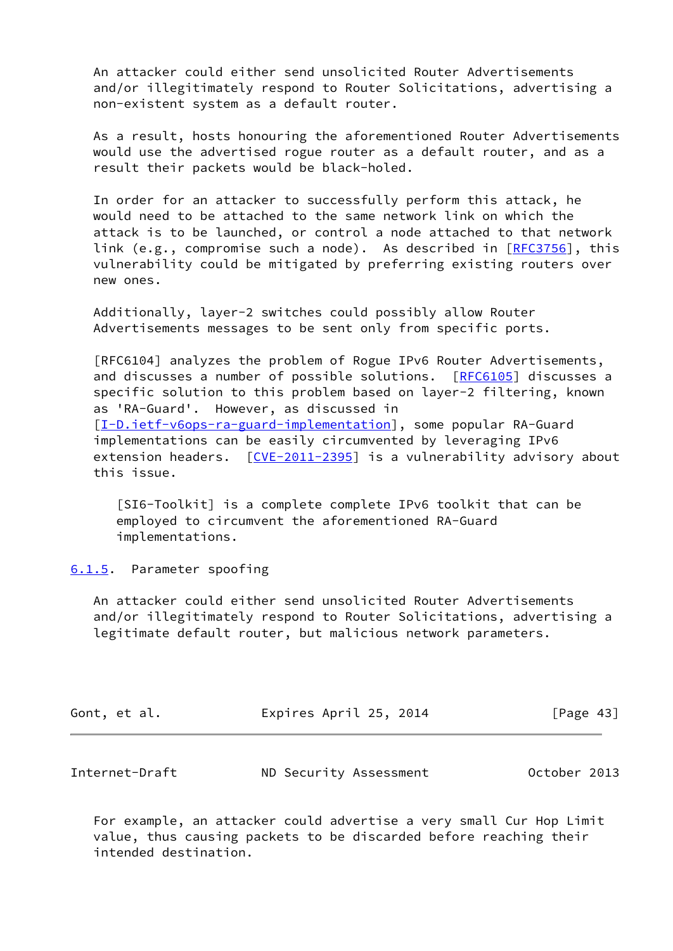An attacker could either send unsolicited Router Advertisements and/or illegitimately respond to Router Solicitations, advertising a non-existent system as a default router.

 As a result, hosts honouring the aforementioned Router Advertisements would use the advertised rogue router as a default router, and as a result their packets would be black-holed.

 In order for an attacker to successfully perform this attack, he would need to be attached to the same network link on which the attack is to be launched, or control a node attached to that network link (e.g., compromise such a node). As described in  $[REC3756]$ , this vulnerability could be mitigated by preferring existing routers over new ones.

 Additionally, layer-2 switches could possibly allow Router Advertisements messages to be sent only from specific ports.

 [RFC6104] analyzes the problem of Rogue IPv6 Router Advertisements, and discusses a number of possible solutions. [\[RFC6105](https://datatracker.ietf.org/doc/pdf/rfc6105)] discusses a specific solution to this problem based on layer-2 filtering, known as 'RA-Guard'. However, as discussed in [\[I-D.ietf-v6ops-ra-guard-implementation](#page-66-3)], some popular RA-Guard implementations can be easily circumvented by leveraging IPv6 extension headers.  $[CVE-2011-2395]$  $[CVE-2011-2395]$  is a vulnerability advisory about this issue.

 [SI6-Toolkit] is a complete complete IPv6 toolkit that can be employed to circumvent the aforementioned RA-Guard implementations.

<span id="page-48-0"></span>[6.1.5](#page-48-0). Parameter spoofing

 An attacker could either send unsolicited Router Advertisements and/or illegitimately respond to Router Solicitations, advertising a legitimate default router, but malicious network parameters.

| Gont, et al. | Expires April 25, 2014 | [Page 43] |
|--------------|------------------------|-----------|
|              |                        |           |

<span id="page-48-1"></span>

| Internet-Draft | ND Security Assessment | October 2013 |
|----------------|------------------------|--------------|
|----------------|------------------------|--------------|

 For example, an attacker could advertise a very small Cur Hop Limit value, thus causing packets to be discarded before reaching their intended destination.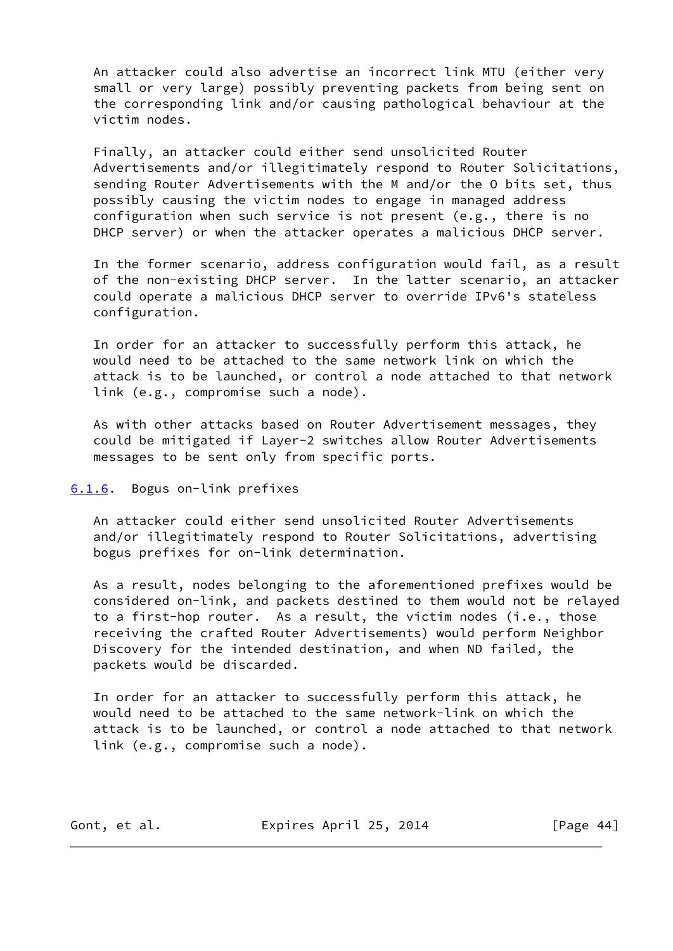An attacker could also advertise an incorrect link MTU (either very small or very large) possibly preventing packets from being sent on the corresponding link and/or causing pathological behaviour at the victim nodes.

 Finally, an attacker could either send unsolicited Router Advertisements and/or illegitimately respond to Router Solicitations, sending Router Advertisements with the M and/or the O bits set, thus possibly causing the victim nodes to engage in managed address configuration when such service is not present (e.g., there is no DHCP server) or when the attacker operates a malicious DHCP server.

 In the former scenario, address configuration would fail, as a result of the non-existing DHCP server. In the latter scenario, an attacker could operate a malicious DHCP server to override IPv6's stateless configuration.

 In order for an attacker to successfully perform this attack, he would need to be attached to the same network link on which the attack is to be launched, or control a node attached to that network link (e.g., compromise such a node).

 As with other attacks based on Router Advertisement messages, they could be mitigated if Layer-2 switches allow Router Advertisements messages to be sent only from specific ports.

## <span id="page-49-0"></span>[6.1.6](#page-49-0). Bogus on-link prefixes

 An attacker could either send unsolicited Router Advertisements and/or illegitimately respond to Router Solicitations, advertising bogus prefixes for on-link determination.

 As a result, nodes belonging to the aforementioned prefixes would be considered on-link, and packets destined to them would not be relayed to a first-hop router. As a result, the victim nodes (i.e., those receiving the crafted Router Advertisements) would perform Neighbor Discovery for the intended destination, and when ND failed, the packets would be discarded.

 In order for an attacker to successfully perform this attack, he would need to be attached to the same network-link on which the attack is to be launched, or control a node attached to that network link (e.g., compromise such a node).

Gont, et al. **Expires April 25, 2014** [Page 44]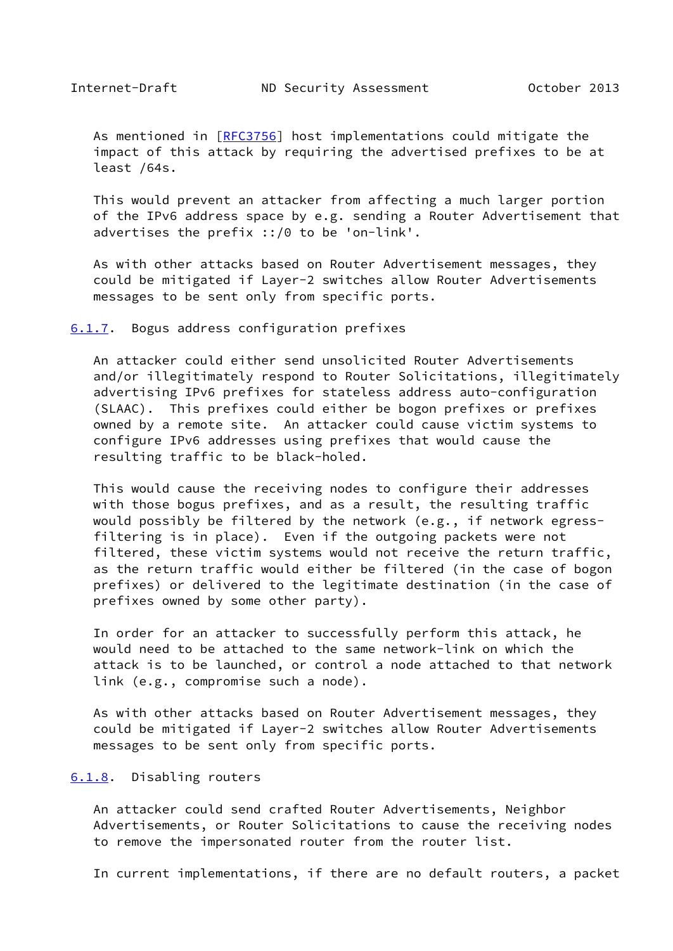<span id="page-50-1"></span>As mentioned in [\[RFC3756](https://datatracker.ietf.org/doc/pdf/rfc3756)] host implementations could mitigate the impact of this attack by requiring the advertised prefixes to be at least /64s.

 This would prevent an attacker from affecting a much larger portion of the IPv6 address space by e.g. sending a Router Advertisement that advertises the prefix ::/0 to be 'on-link'.

 As with other attacks based on Router Advertisement messages, they could be mitigated if Layer-2 switches allow Router Advertisements messages to be sent only from specific ports.

<span id="page-50-0"></span>[6.1.7](#page-50-0). Bogus address configuration prefixes

 An attacker could either send unsolicited Router Advertisements and/or illegitimately respond to Router Solicitations, illegitimately advertising IPv6 prefixes for stateless address auto-configuration (SLAAC). This prefixes could either be bogon prefixes or prefixes owned by a remote site. An attacker could cause victim systems to configure IPv6 addresses using prefixes that would cause the resulting traffic to be black-holed.

 This would cause the receiving nodes to configure their addresses with those bogus prefixes, and as a result, the resulting traffic would possibly be filtered by the network (e.g., if network egress filtering is in place). Even if the outgoing packets were not filtered, these victim systems would not receive the return traffic, as the return traffic would either be filtered (in the case of bogon prefixes) or delivered to the legitimate destination (in the case of prefixes owned by some other party).

 In order for an attacker to successfully perform this attack, he would need to be attached to the same network-link on which the attack is to be launched, or control a node attached to that network link (e.g., compromise such a node).

 As with other attacks based on Router Advertisement messages, they could be mitigated if Layer-2 switches allow Router Advertisements messages to be sent only from specific ports.

# <span id="page-50-2"></span>[6.1.8](#page-50-2). Disabling routers

 An attacker could send crafted Router Advertisements, Neighbor Advertisements, or Router Solicitations to cause the receiving nodes to remove the impersonated router from the router list.

In current implementations, if there are no default routers, a packet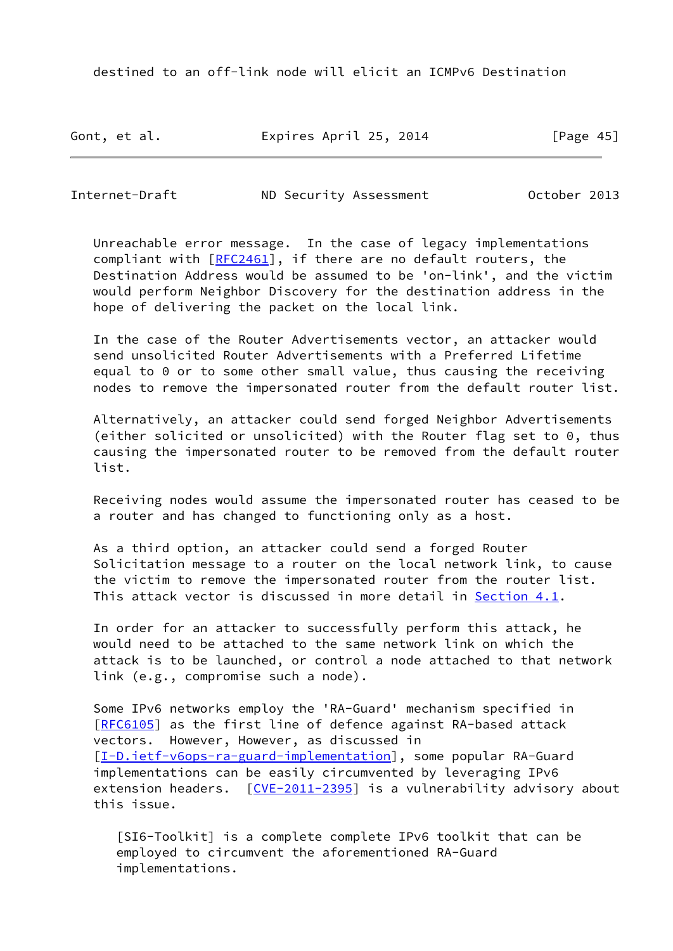destined to an off-link node will elicit an ICMPv6 Destination

Gont, et al. **Expires April 25, 2014** [Page 45]

<span id="page-51-0"></span>Internet-Draft ND Security Assessment October 2013

 Unreachable error message. In the case of legacy implementations compliant with [\[RFC2461](https://datatracker.ietf.org/doc/pdf/rfc2461)], if there are no default routers, the Destination Address would be assumed to be 'on-link', and the victim would perform Neighbor Discovery for the destination address in the hope of delivering the packet on the local link.

 In the case of the Router Advertisements vector, an attacker would send unsolicited Router Advertisements with a Preferred Lifetime equal to 0 or to some other small value, thus causing the receiving nodes to remove the impersonated router from the default router list.

 Alternatively, an attacker could send forged Neighbor Advertisements (either solicited or unsolicited) with the Router flag set to 0, thus causing the impersonated router to be removed from the default router list.

 Receiving nodes would assume the impersonated router has ceased to be a router and has changed to functioning only as a host.

 As a third option, an attacker could send a forged Router Solicitation message to a router on the local network link, to cause the victim to remove the impersonated router from the router list. This attack vector is discussed in more detail in [Section 4.1](#page-37-2).

 In order for an attacker to successfully perform this attack, he would need to be attached to the same network link on which the attack is to be launched, or control a node attached to that network link (e.g., compromise such a node).

 Some IPv6 networks employ the 'RA-Guard' mechanism specified in [\[RFC6105](https://datatracker.ietf.org/doc/pdf/rfc6105)] as the first line of defence against RA-based attack vectors. However, However, as discussed in [\[I-D.ietf-v6ops-ra-guard-implementation](#page-66-3)], some popular RA-Guard implementations can be easily circumvented by leveraging IPv6 extension headers. [\[CVE-2011-2395](#page-68-0)] is a vulnerability advisory about this issue.

 [SI6-Toolkit] is a complete complete IPv6 toolkit that can be employed to circumvent the aforementioned RA-Guard implementations.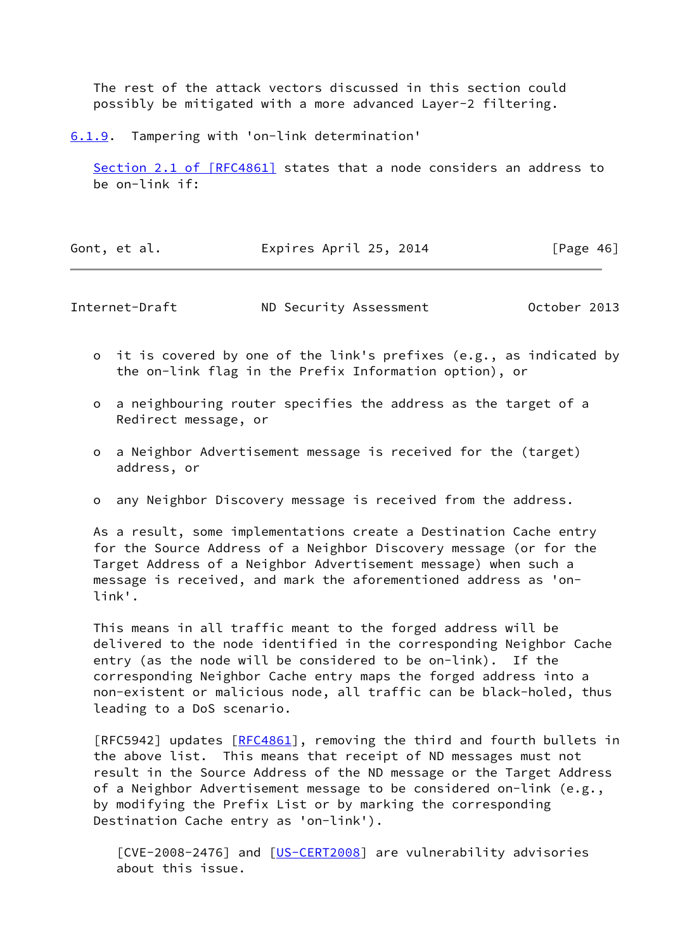The rest of the attack vectors discussed in this section could possibly be mitigated with a more advanced Layer-2 filtering.

<span id="page-52-0"></span>[6.1.9](#page-52-0). Tampering with 'on-link determination'

 Section [2.1 of \[RFC4861\]](https://datatracker.ietf.org/doc/pdf/rfc4861#section-2.1) states that a node considers an address to be on-link if:

| Expires April 25, 2014<br>Gont, et al. | [Page 46] |
|----------------------------------------|-----------|
|----------------------------------------|-----------|

Internet-Draft ND Security Assessment October 2013

- o it is covered by one of the link's prefixes (e.g., as indicated by the on-link flag in the Prefix Information option), or
- o a neighbouring router specifies the address as the target of a Redirect message, or
- o a Neighbor Advertisement message is received for the (target) address, or
- o any Neighbor Discovery message is received from the address.

 As a result, some implementations create a Destination Cache entry for the Source Address of a Neighbor Discovery message (or for the Target Address of a Neighbor Advertisement message) when such a message is received, and mark the aforementioned address as 'on link'.

 This means in all traffic meant to the forged address will be delivered to the node identified in the corresponding Neighbor Cache entry (as the node will be considered to be on-link). If the corresponding Neighbor Cache entry maps the forged address into a non-existent or malicious node, all traffic can be black-holed, thus leading to a DoS scenario.

[RFC5942] updates [[RFC4861](https://datatracker.ietf.org/doc/pdf/rfc4861)], removing the third and fourth bullets in the above list. This means that receipt of ND messages must not result in the Source Address of the ND message or the Target Address of a Neighbor Advertisement message to be considered on-link (e.g., by modifying the Prefix List or by marking the corresponding Destination Cache entry as 'on-link').

[CVE-2008-2476] and [\[US-CERT2008](#page-68-1)] are vulnerability advisories about this issue.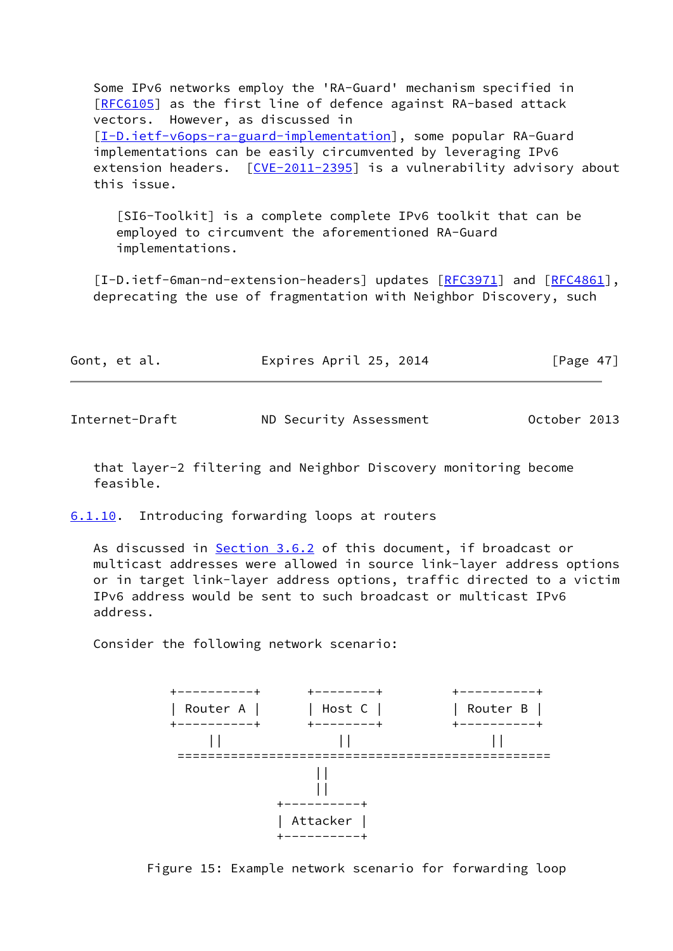Some IPv6 networks employ the 'RA-Guard' mechanism specified in [\[RFC6105](https://datatracker.ietf.org/doc/pdf/rfc6105)] as the first line of defence against RA-based attack vectors. However, as discussed in [\[I-D.ietf-v6ops-ra-guard-implementation](#page-66-3)], some popular RA-Guard implementations can be easily circumvented by leveraging IPv6 extension headers. [\[CVE-2011-2395](#page-68-0)] is a vulnerability advisory about this issue.

 [SI6-Toolkit] is a complete complete IPv6 toolkit that can be employed to circumvent the aforementioned RA-Guard implementations.

[I-D.ietf-6man-nd-extension-headers] updates [\[RFC3971](https://datatracker.ietf.org/doc/pdf/rfc3971)] and [[RFC4861\]](https://datatracker.ietf.org/doc/pdf/rfc4861), deprecating the use of fragmentation with Neighbor Discovery, such

| Gont, et al. | Expires April 25, 2014 | [Page 47] |
|--------------|------------------------|-----------|
|              |                        |           |

<span id="page-53-1"></span>

Internet-Draft ND Security Assessment October 2013

 that layer-2 filtering and Neighbor Discovery monitoring become feasible.

<span id="page-53-0"></span>[6.1.10](#page-53-0). Introducing forwarding loops at routers

As discussed in [Section 3.6.2](#page-22-0) of this document, if broadcast or multicast addresses were allowed in source link-layer address options or in target link-layer address options, traffic directed to a victim IPv6 address would be sent to such broadcast or multicast IPv6 address.

Consider the following network scenario:



Figure 15: Example network scenario for forwarding loop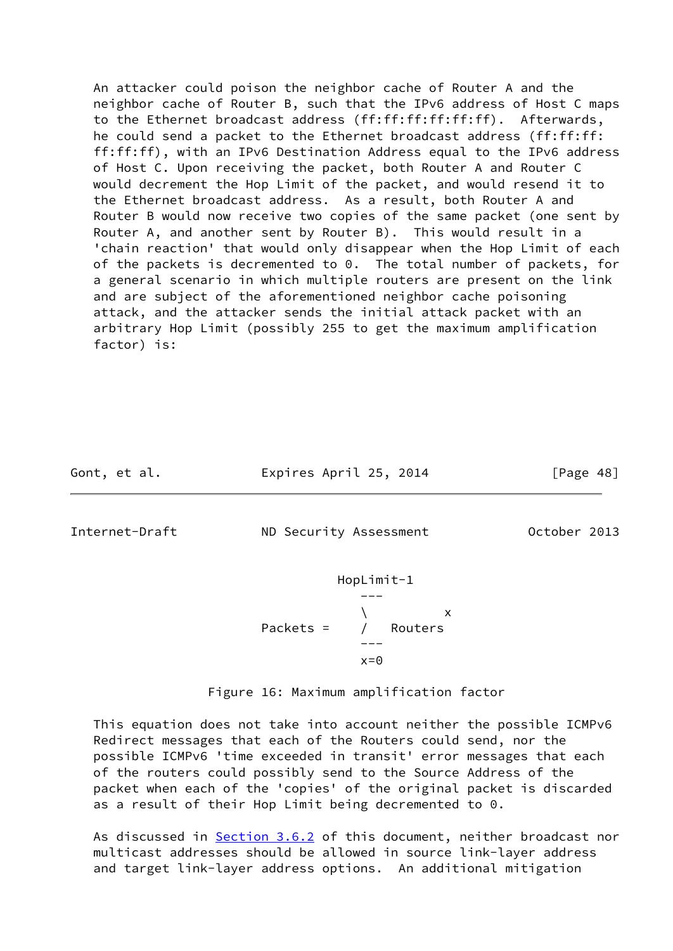An attacker could poison the neighbor cache of Router A and the neighbor cache of Router B, such that the IPv6 address of Host C maps to the Ethernet broadcast address (ff:ff:ff:ff:ff:ff). Afterwards, he could send a packet to the Ethernet broadcast address (ff:ff:ff: ff:ff:ff), with an IPv6 Destination Address equal to the IPv6 address of Host C. Upon receiving the packet, both Router A and Router C would decrement the Hop Limit of the packet, and would resend it to the Ethernet broadcast address. As a result, both Router A and Router B would now receive two copies of the same packet (one sent by Router A, and another sent by Router B). This would result in a 'chain reaction' that would only disappear when the Hop Limit of each of the packets is decremented to 0. The total number of packets, for a general scenario in which multiple routers are present on the link and are subject of the aforementioned neighbor cache poisoning attack, and the attacker sends the initial attack packet with an arbitrary Hop Limit (possibly 255 to get the maximum amplification factor) is:

Gont, et al. **Expires April 25, 2014** [Page 48]

<span id="page-54-0"></span>

Internet-Draft ND Security Assessment October 2013

 HopLimit-1 ---  $\sqrt{ }$  x Packets = / Routers --  $x=0$ 

Figure 16: Maximum amplification factor

 This equation does not take into account neither the possible ICMPv6 Redirect messages that each of the Routers could send, nor the possible ICMPv6 'time exceeded in transit' error messages that each of the routers could possibly send to the Source Address of the packet when each of the 'copies' of the original packet is discarded as a result of their Hop Limit being decremented to 0.

As discussed in [Section 3.6.2](#page-22-0) of this document, neither broadcast nor multicast addresses should be allowed in source link-layer address and target link-layer address options. An additional mitigation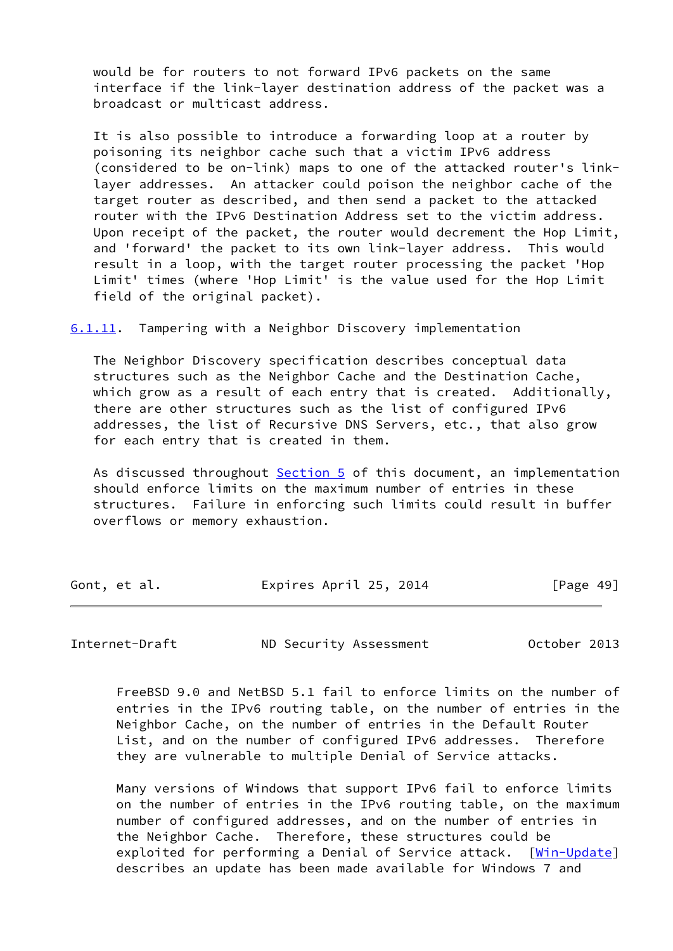would be for routers to not forward IPv6 packets on the same interface if the link-layer destination address of the packet was a broadcast or multicast address.

 It is also possible to introduce a forwarding loop at a router by poisoning its neighbor cache such that a victim IPv6 address (considered to be on-link) maps to one of the attacked router's link layer addresses. An attacker could poison the neighbor cache of the target router as described, and then send a packet to the attacked router with the IPv6 Destination Address set to the victim address. Upon receipt of the packet, the router would decrement the Hop Limit, and 'forward' the packet to its own link-layer address. This would result in a loop, with the target router processing the packet 'Hop Limit' times (where 'Hop Limit' is the value used for the Hop Limit field of the original packet).

<span id="page-55-0"></span>[6.1.11](#page-55-0). Tampering with a Neighbor Discovery implementation

 The Neighbor Discovery specification describes conceptual data structures such as the Neighbor Cache and the Destination Cache, which grow as a result of each entry that is created. Additionally, there are other structures such as the list of configured IPv6 addresses, the list of Recursive DNS Servers, etc., that also grow for each entry that is created in them.

 As discussed throughout [Section 5](#page-39-0) of this document, an implementation should enforce limits on the maximum number of entries in these structures. Failure in enforcing such limits could result in buffer overflows or memory exhaustion.

| Gont, et al. | Expires April 25, 2014 | [Page 49] |
|--------------|------------------------|-----------|
|              |                        |           |

Internet-Draft ND Security Assessment October 2013

 FreeBSD 9.0 and NetBSD 5.1 fail to enforce limits on the number of entries in the IPv6 routing table, on the number of entries in the Neighbor Cache, on the number of entries in the Default Router List, and on the number of configured IPv6 addresses. Therefore they are vulnerable to multiple Denial of Service attacks.

 Many versions of Windows that support IPv6 fail to enforce limits on the number of entries in the IPv6 routing table, on the maximum number of configured addresses, and on the number of entries in the Neighbor Cache. Therefore, these structures could be exploited for performing a Denial of Service attack. [\[Win-Update\]](#page-68-2) describes an update has been made available for Windows 7 and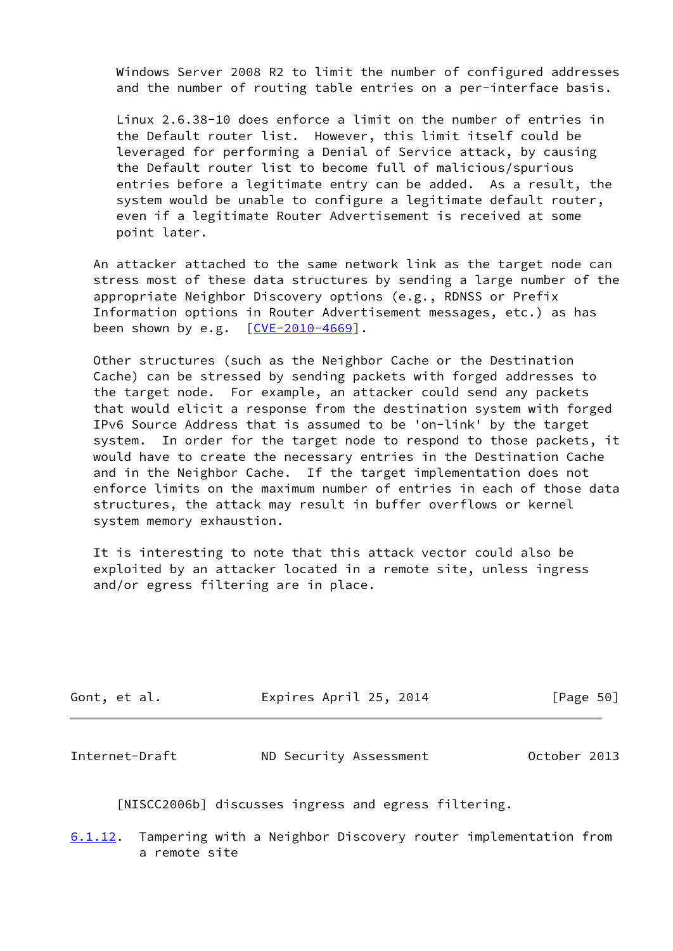Windows Server 2008 R2 to limit the number of configured addresses and the number of routing table entries on a per-interface basis.

 Linux 2.6.38-10 does enforce a limit on the number of entries in the Default router list. However, this limit itself could be leveraged for performing a Denial of Service attack, by causing the Default router list to become full of malicious/spurious entries before a legitimate entry can be added. As a result, the system would be unable to configure a legitimate default router, even if a legitimate Router Advertisement is received at some point later.

 An attacker attached to the same network link as the target node can stress most of these data structures by sending a large number of the appropriate Neighbor Discovery options (e.g., RDNSS or Prefix Information options in Router Advertisement messages, etc.) as has been shown by e.g. [\[CVE-2010-4669](#page-27-0)].

 Other structures (such as the Neighbor Cache or the Destination Cache) can be stressed by sending packets with forged addresses to the target node. For example, an attacker could send any packets that would elicit a response from the destination system with forged IPv6 Source Address that is assumed to be 'on-link' by the target system. In order for the target node to respond to those packets, it would have to create the necessary entries in the Destination Cache and in the Neighbor Cache. If the target implementation does not enforce limits on the maximum number of entries in each of those data structures, the attack may result in buffer overflows or kernel system memory exhaustion.

 It is interesting to note that this attack vector could also be exploited by an attacker located in a remote site, unless ingress and/or egress filtering are in place.

| Gont, et al. | Expires April 25, 2014 | [Page 50] |
|--------------|------------------------|-----------|
|              |                        |           |

<span id="page-56-0"></span>Internet-Draft ND Security Assessment October 2013

[NISCC2006b] discusses ingress and egress filtering.

<span id="page-56-1"></span>[6.1.12](#page-56-1). Tampering with a Neighbor Discovery router implementation from a remote site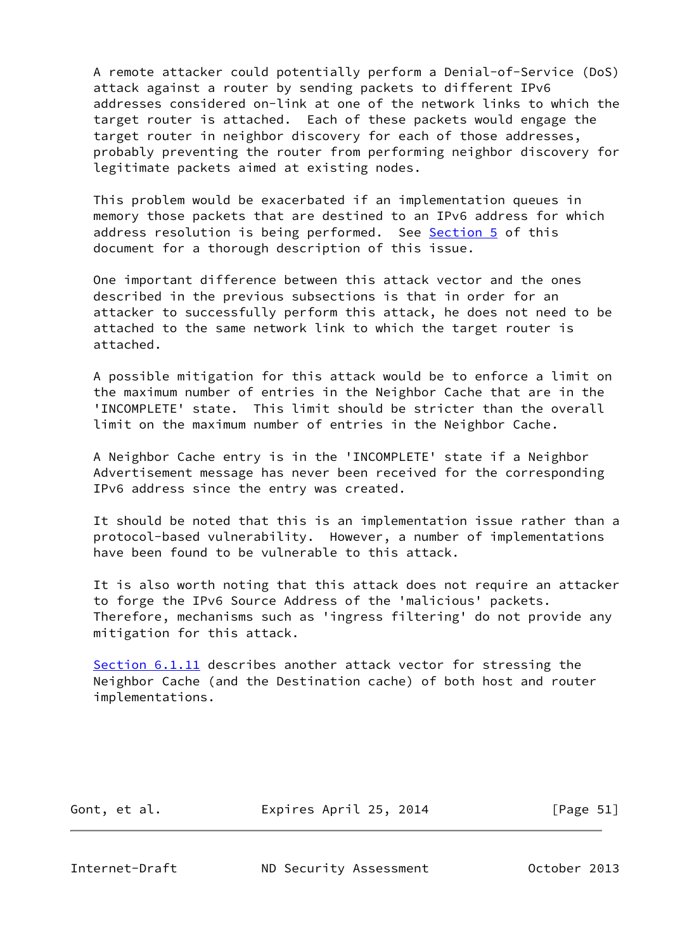A remote attacker could potentially perform a Denial-of-Service (DoS) attack against a router by sending packets to different IPv6 addresses considered on-link at one of the network links to which the target router is attached. Each of these packets would engage the target router in neighbor discovery for each of those addresses, probably preventing the router from performing neighbor discovery for legitimate packets aimed at existing nodes.

 This problem would be exacerbated if an implementation queues in memory those packets that are destined to an IPv6 address for which address resolution is being performed. See [Section 5](#page-39-0) of this document for a thorough description of this issue.

 One important difference between this attack vector and the ones described in the previous subsections is that in order for an attacker to successfully perform this attack, he does not need to be attached to the same network link to which the target router is attached.

 A possible mitigation for this attack would be to enforce a limit on the maximum number of entries in the Neighbor Cache that are in the 'INCOMPLETE' state. This limit should be stricter than the overall limit on the maximum number of entries in the Neighbor Cache.

 A Neighbor Cache entry is in the 'INCOMPLETE' state if a Neighbor Advertisement message has never been received for the corresponding IPv6 address since the entry was created.

 It should be noted that this is an implementation issue rather than a protocol-based vulnerability. However, a number of implementations have been found to be vulnerable to this attack.

 It is also worth noting that this attack does not require an attacker to forge the IPv6 Source Address of the 'malicious' packets. Therefore, mechanisms such as 'ingress filtering' do not provide any mitigation for this attack.

 [Section 6.1.11](#page-55-0) describes another attack vector for stressing the Neighbor Cache (and the Destination cache) of both host and router implementations.

Gont, et al. **Expires April 25, 2014** [Page 51]

<span id="page-57-0"></span>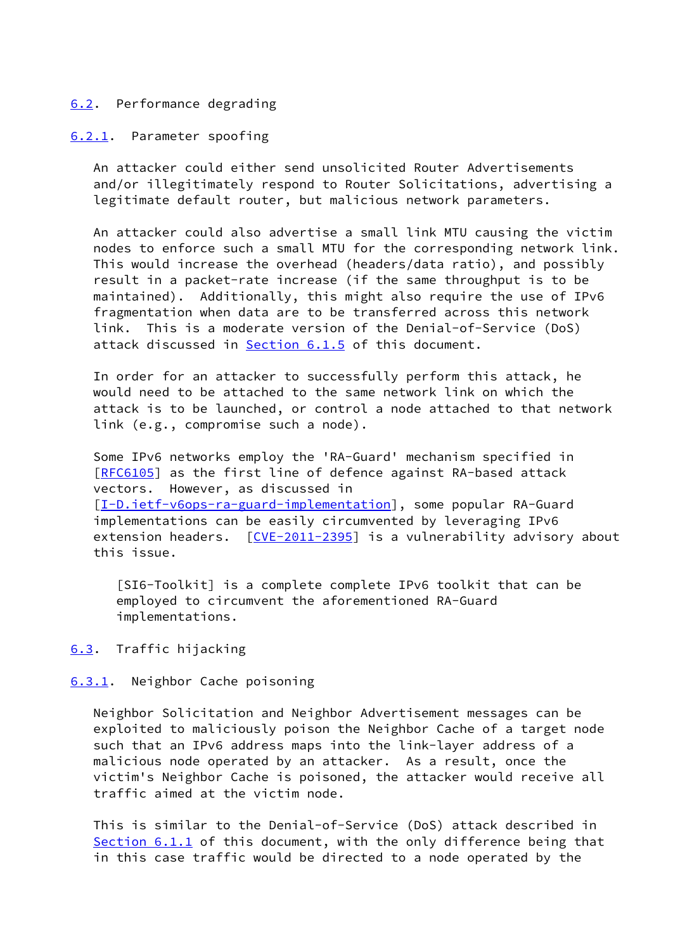## <span id="page-58-0"></span>[6.2](#page-58-0). Performance degrading

#### <span id="page-58-1"></span>[6.2.1](#page-58-1). Parameter spoofing

 An attacker could either send unsolicited Router Advertisements and/or illegitimately respond to Router Solicitations, advertising a legitimate default router, but malicious network parameters.

 An attacker could also advertise a small link MTU causing the victim nodes to enforce such a small MTU for the corresponding network link. This would increase the overhead (headers/data ratio), and possibly result in a packet-rate increase (if the same throughput is to be maintained). Additionally, this might also require the use of IPv6 fragmentation when data are to be transferred across this network link. This is a moderate version of the Denial-of-Service (DoS) attack discussed in [Section 6.1.5](#page-48-0) of this document.

 In order for an attacker to successfully perform this attack, he would need to be attached to the same network link on which the attack is to be launched, or control a node attached to that network link (e.g., compromise such a node).

 Some IPv6 networks employ the 'RA-Guard' mechanism specified in [\[RFC6105](https://datatracker.ietf.org/doc/pdf/rfc6105)] as the first line of defence against RA-based attack vectors. However, as discussed in [\[I-D.ietf-v6ops-ra-guard-implementation](#page-66-3)], some popular RA-Guard implementations can be easily circumvented by leveraging IPv6 extension headers. [\[CVE-2011-2395](#page-68-0)] is a vulnerability advisory about this issue.

 [SI6-Toolkit] is a complete complete IPv6 toolkit that can be employed to circumvent the aforementioned RA-Guard implementations.

## <span id="page-58-2"></span>[6.3](#page-58-2). Traffic hijacking

#### <span id="page-58-3"></span>[6.3.1](#page-58-3). Neighbor Cache poisoning

 Neighbor Solicitation and Neighbor Advertisement messages can be exploited to maliciously poison the Neighbor Cache of a target node such that an IPv6 address maps into the link-layer address of a malicious node operated by an attacker. As a result, once the victim's Neighbor Cache is poisoned, the attacker would receive all traffic aimed at the victim node.

 This is similar to the Denial-of-Service (DoS) attack described in [Section 6.1.1](#page-45-1) of this document, with the only difference being that in this case traffic would be directed to a node operated by the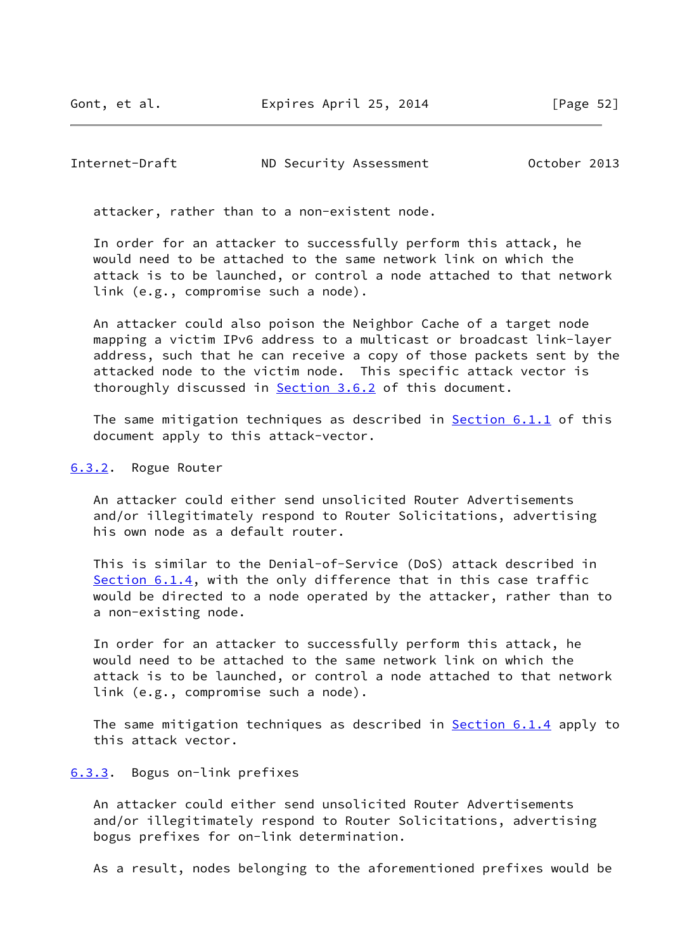<span id="page-59-1"></span>Internet-Draft ND Security Assessment October 2013

attacker, rather than to a non-existent node.

 In order for an attacker to successfully perform this attack, he would need to be attached to the same network link on which the attack is to be launched, or control a node attached to that network link (e.g., compromise such a node).

 An attacker could also poison the Neighbor Cache of a target node mapping a victim IPv6 address to a multicast or broadcast link-layer address, such that he can receive a copy of those packets sent by the attacked node to the victim node. This specific attack vector is thoroughly discussed in [Section 3.6.2](#page-22-0) of this document.

The same mitigation techniques as described in **Section 6.1.1** of this document apply to this attack-vector.

#### <span id="page-59-0"></span>[6.3.2](#page-59-0). Rogue Router

 An attacker could either send unsolicited Router Advertisements and/or illegitimately respond to Router Solicitations, advertising his own node as a default router.

 This is similar to the Denial-of-Service (DoS) attack described in [Section 6.1.4](#page-47-0), with the only difference that in this case traffic would be directed to a node operated by the attacker, rather than to a non-existing node.

 In order for an attacker to successfully perform this attack, he would need to be attached to the same network link on which the attack is to be launched, or control a node attached to that network link (e.g., compromise such a node).

The same mitigation techniques as described in **Section 6.1.4** apply to this attack vector.

#### <span id="page-59-2"></span>[6.3.3](#page-59-2). Bogus on-link prefixes

 An attacker could either send unsolicited Router Advertisements and/or illegitimately respond to Router Solicitations, advertising bogus prefixes for on-link determination.

As a result, nodes belonging to the aforementioned prefixes would be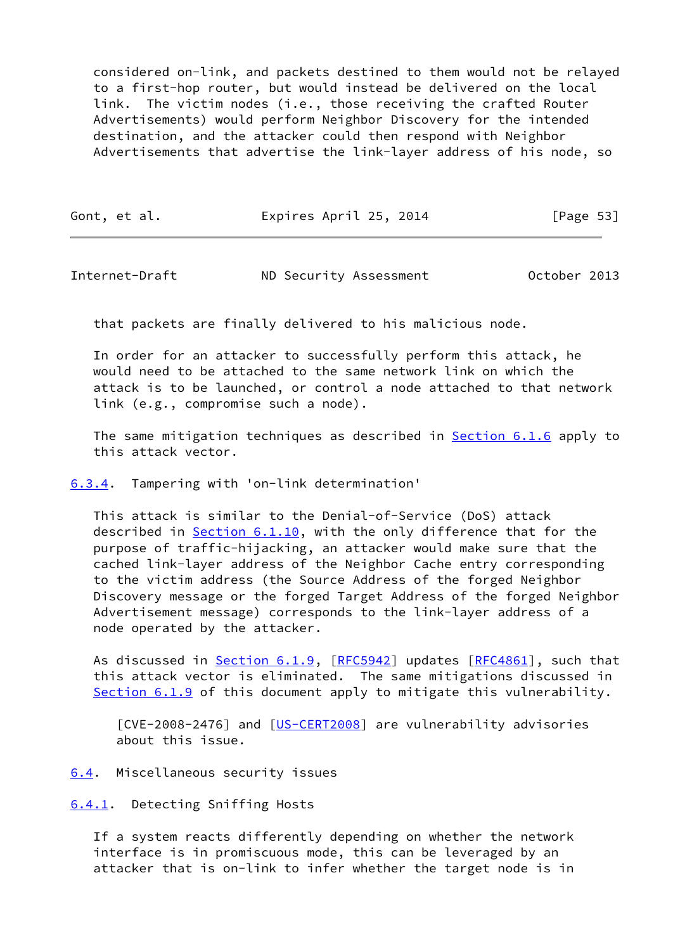considered on-link, and packets destined to them would not be relayed to a first-hop router, but would instead be delivered on the local link. The victim nodes (i.e., those receiving the crafted Router Advertisements) would perform Neighbor Discovery for the intended destination, and the attacker could then respond with Neighbor Advertisements that advertise the link-layer address of his node, so

| Gont, et al. | Expires April 25, 2014 | [Page 53] |
|--------------|------------------------|-----------|
|--------------|------------------------|-----------|

<span id="page-60-1"></span>Internet-Draft ND Security Assessment October 2013

that packets are finally delivered to his malicious node.

 In order for an attacker to successfully perform this attack, he would need to be attached to the same network link on which the attack is to be launched, or control a node attached to that network link (e.g., compromise such a node).

The same mitigation techniques as described in **Section 6.1.6** apply to this attack vector.

<span id="page-60-0"></span>[6.3.4](#page-60-0). Tampering with 'on-link determination'

 This attack is similar to the Denial-of-Service (DoS) attack described in [Section 6.1.10](#page-53-0), with the only difference that for the purpose of traffic-hijacking, an attacker would make sure that the cached link-layer address of the Neighbor Cache entry corresponding to the victim address (the Source Address of the forged Neighbor Discovery message or the forged Target Address of the forged Neighbor Advertisement message) corresponds to the link-layer address of a node operated by the attacker.

As discussed in [Section 6.1.9](#page-52-0), [\[RFC5942](https://datatracker.ietf.org/doc/pdf/rfc5942)] updates [\[RFC4861](https://datatracker.ietf.org/doc/pdf/rfc4861)], such that this attack vector is eliminated. The same mitigations discussed in [Section 6.1.9](#page-52-0) of this document apply to mitigate this vulnerability.

[CVE-2008-2476] and [\[US-CERT2008](#page-68-1)] are vulnerability advisories about this issue.

<span id="page-60-2"></span>[6.4](#page-60-2). Miscellaneous security issues

<span id="page-60-3"></span>[6.4.1](#page-60-3). Detecting Sniffing Hosts

 If a system reacts differently depending on whether the network interface is in promiscuous mode, this can be leveraged by an attacker that is on-link to infer whether the target node is in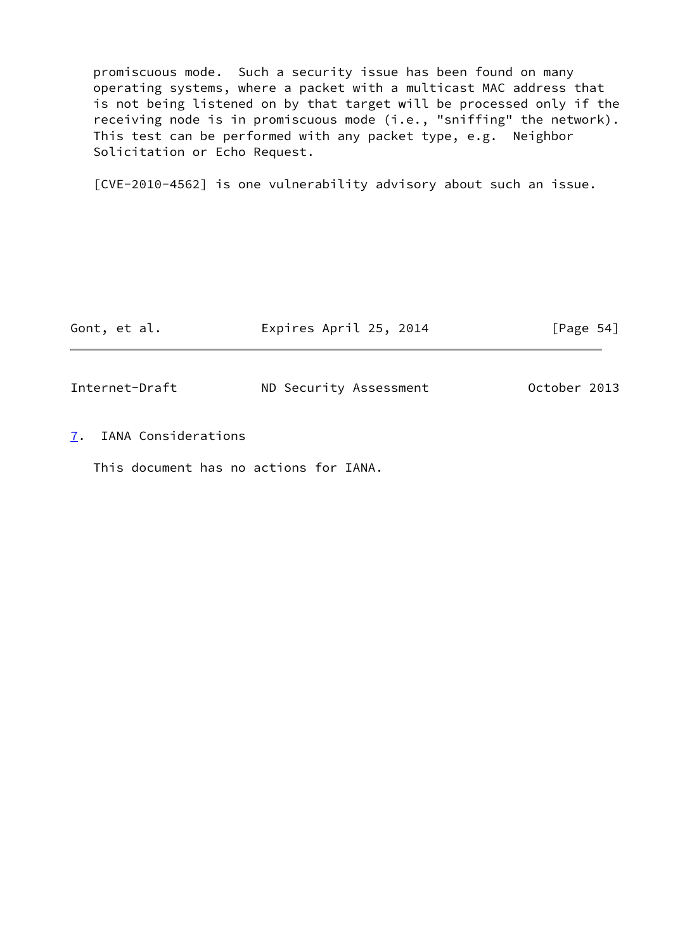promiscuous mode. Such a security issue has been found on many operating systems, where a packet with a multicast MAC address that is not being listened on by that target will be processed only if the receiving node is in promiscuous mode (i.e., "sniffing" the network). This test can be performed with any packet type, e.g. Neighbor Solicitation or Echo Request.

[CVE-2010-4562] is one vulnerability advisory about such an issue.

<span id="page-61-1"></span>

| Gont, et al.   | Expires April 25, 2014 | [Page $54$ ] |
|----------------|------------------------|--------------|
| Internet-Draft | ND Security Assessment | October 2013 |

<span id="page-61-0"></span>[7](#page-61-0). IANA Considerations

This document has no actions for IANA.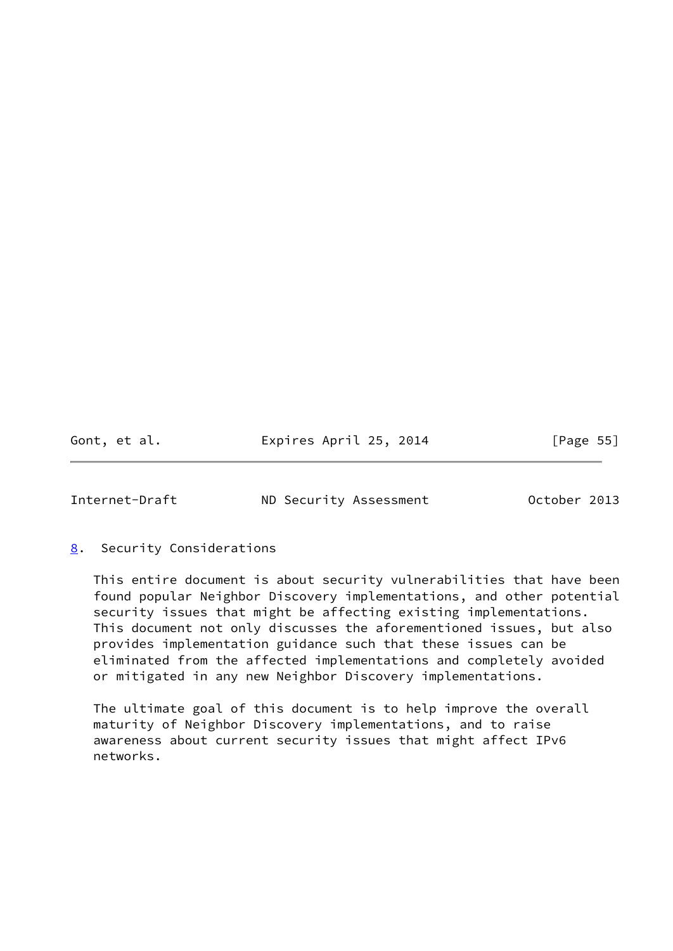Gont, et al. **Expires April 25, 2014** [Page 55]

<span id="page-62-1"></span>Internet-Draft ND Security Assessment October 2013

# <span id="page-62-0"></span>[8](#page-62-0). Security Considerations

 This entire document is about security vulnerabilities that have been found popular Neighbor Discovery implementations, and other potential security issues that might be affecting existing implementations. This document not only discusses the aforementioned issues, but also provides implementation guidance such that these issues can be eliminated from the affected implementations and completely avoided or mitigated in any new Neighbor Discovery implementations.

 The ultimate goal of this document is to help improve the overall maturity of Neighbor Discovery implementations, and to raise awareness about current security issues that might affect IPv6 networks.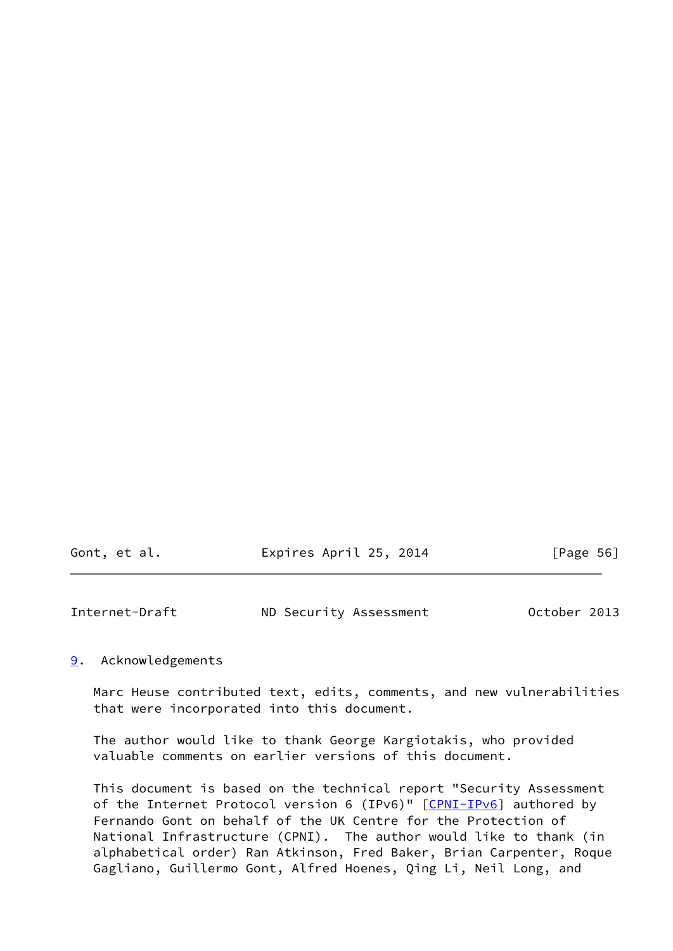| Gont, et al. | Expires April 25, 2014 | [Page 56] |
|--------------|------------------------|-----------|
|              |                        |           |

<span id="page-63-1"></span>

| Internet-Draft | ND Security Assessment | October 2013 |
|----------------|------------------------|--------------|
|----------------|------------------------|--------------|

# <span id="page-63-0"></span>[9](#page-63-0). Acknowledgements

 Marc Heuse contributed text, edits, comments, and new vulnerabilities that were incorporated into this document.

 The author would like to thank George Kargiotakis, who provided valuable comments on earlier versions of this document.

 This document is based on the technical report "Security Assessment of the Internet Protocol version 6 (IPv6)" [[CPNI-IPv6\]](#page-66-4) authored by Fernando Gont on behalf of the UK Centre for the Protection of National Infrastructure (CPNI). The author would like to thank (in alphabetical order) Ran Atkinson, Fred Baker, Brian Carpenter, Roque Gagliano, Guillermo Gont, Alfred Hoenes, Qing Li, Neil Long, and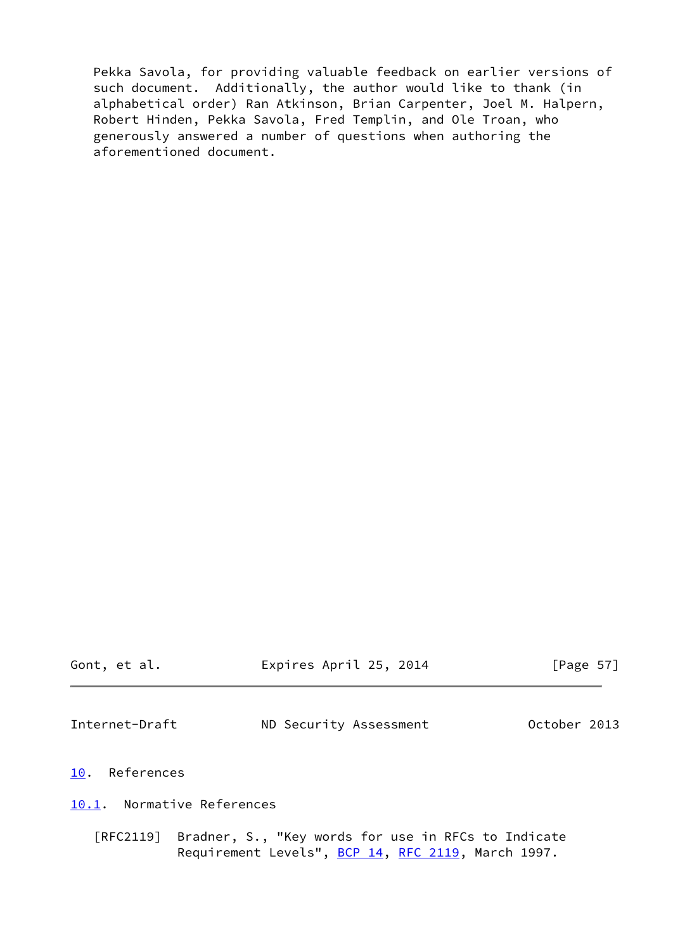Pekka Savola, for providing valuable feedback on earlier versions of such document. Additionally, the author would like to thank (in alphabetical order) Ran Atkinson, Brian Carpenter, Joel M. Halpern, Robert Hinden, Pekka Savola, Fred Templin, and Ole Troan, who generously answered a number of questions when authoring the aforementioned document.

<span id="page-64-2"></span><span id="page-64-1"></span><span id="page-64-0"></span>

| Gont, et al.               | Expires April 25, 2014                                                                                              | [Page $57$ ] |
|----------------------------|---------------------------------------------------------------------------------------------------------------------|--------------|
| Internet-Draft             | ND Security Assessment                                                                                              | October 2013 |
| 10. References             |                                                                                                                     |              |
| 10.1. Normative References |                                                                                                                     |              |
|                            | [RFC2119] Bradner, S., "Key words for use in RFCs to Indicate<br>Requirement Levels", BCP 14, RFC 2119, March 1997. |              |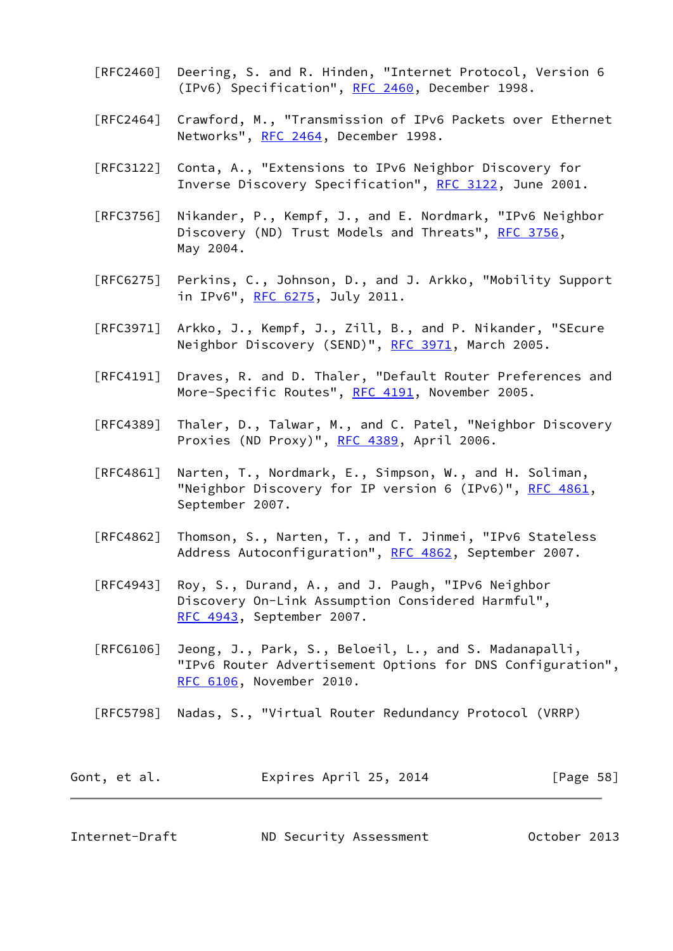- [RFC2460] Deering, S. and R. Hinden, "Internet Protocol, Version 6 (IPv6) Specification", [RFC 2460](https://datatracker.ietf.org/doc/pdf/rfc2460), December 1998.
- [RFC2464] Crawford, M., "Transmission of IPv6 Packets over Ethernet Networks", [RFC 2464](https://datatracker.ietf.org/doc/pdf/rfc2464), December 1998.
- [RFC3122] Conta, A., "Extensions to IPv6 Neighbor Discovery for Inverse Discovery Specification", [RFC 3122](https://datatracker.ietf.org/doc/pdf/rfc3122), June 2001.
- [RFC3756] Nikander, P., Kempf, J., and E. Nordmark, "IPv6 Neighbor Discovery (ND) Trust Models and Threats", [RFC 3756](https://datatracker.ietf.org/doc/pdf/rfc3756), May 2004.
- [RFC6275] Perkins, C., Johnson, D., and J. Arkko, "Mobility Support in IPv6", [RFC 6275](https://datatracker.ietf.org/doc/pdf/rfc6275), July 2011.
- [RFC3971] Arkko, J., Kempf, J., Zill, B., and P. Nikander, "SEcure Neighbor Discovery (SEND)", [RFC 3971,](https://datatracker.ietf.org/doc/pdf/rfc3971) March 2005.
- [RFC4191] Draves, R. and D. Thaler, "Default Router Preferences and More-Specific Routes", [RFC 4191](https://datatracker.ietf.org/doc/pdf/rfc4191), November 2005.
- [RFC4389] Thaler, D., Talwar, M., and C. Patel, "Neighbor Discovery Proxies (ND Proxy)", [RFC 4389](https://datatracker.ietf.org/doc/pdf/rfc4389), April 2006.
- [RFC4861] Narten, T., Nordmark, E., Simpson, W., and H. Soliman, "Neighbor Discovery for IP version 6 (IPv6)", [RFC 4861](https://datatracker.ietf.org/doc/pdf/rfc4861), September 2007.
- [RFC4862] Thomson, S., Narten, T., and T. Jinmei, "IPv6 Stateless Address Autoconfiguration", [RFC 4862,](https://datatracker.ietf.org/doc/pdf/rfc4862) September 2007.
- [RFC4943] Roy, S., Durand, A., and J. Paugh, "IPv6 Neighbor Discovery On-Link Assumption Considered Harmful", [RFC 4943,](https://datatracker.ietf.org/doc/pdf/rfc4943) September 2007.
- [RFC6106] Jeong, J., Park, S., Beloeil, L., and S. Madanapalli, "IPv6 Router Advertisement Options for DNS Configuration", [RFC 6106,](https://datatracker.ietf.org/doc/pdf/rfc6106) November 2010.
- [RFC5798] Nadas, S., "Virtual Router Redundancy Protocol (VRRP)

| Gont, et al. | Expires April 25, 2014 | [Page 58] |
|--------------|------------------------|-----------|
|--------------|------------------------|-----------|

<span id="page-65-0"></span>

| Internet-Draft | ND Security Assessment | October 2013 |
|----------------|------------------------|--------------|
|----------------|------------------------|--------------|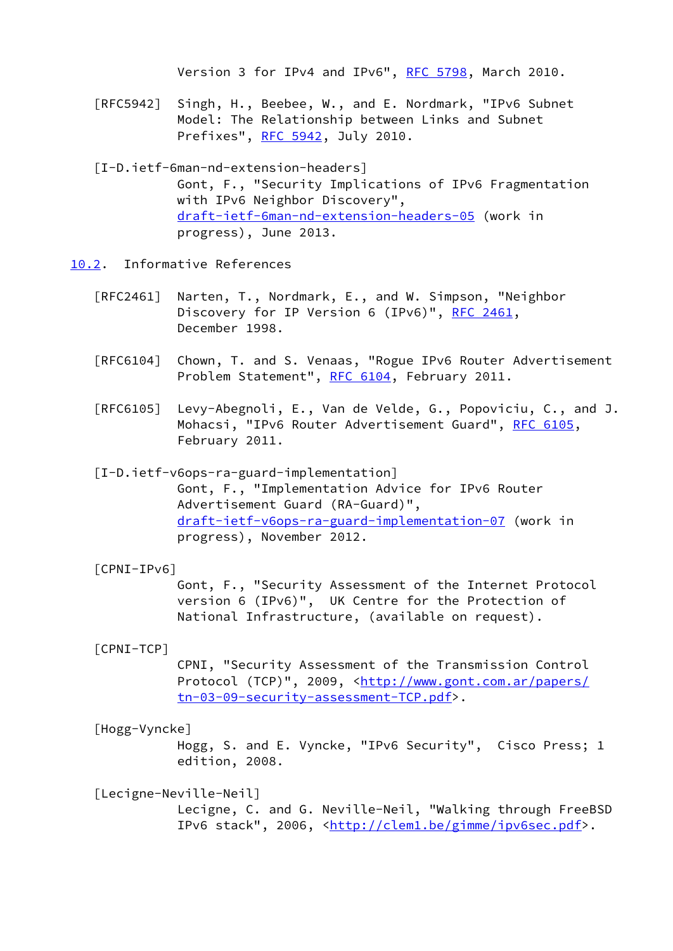Version 3 for IPv4 and IPv6", [RFC 5798](https://datatracker.ietf.org/doc/pdf/rfc5798), March 2010.

 [RFC5942] Singh, H., Beebee, W., and E. Nordmark, "IPv6 Subnet Model: The Relationship between Links and Subnet Prefixes", [RFC 5942](https://datatracker.ietf.org/doc/pdf/rfc5942), July 2010.

 [I-D.ietf-6man-nd-extension-headers] Gont, F., "Security Implications of IPv6 Fragmentation with IPv6 Neighbor Discovery", [draft-ietf-6man-nd-extension-headers-05](https://datatracker.ietf.org/doc/pdf/draft-ietf-6man-nd-extension-headers-05) (work in progress), June 2013.

- <span id="page-66-0"></span>[10.2](#page-66-0). Informative References
	- [RFC2461] Narten, T., Nordmark, E., and W. Simpson, "Neighbor Discovery for IP Version 6 (IPv6)", [RFC 2461,](https://datatracker.ietf.org/doc/pdf/rfc2461) December 1998.
	- [RFC6104] Chown, T. and S. Venaas, "Rogue IPv6 Router Advertisement Problem Statement", [RFC 6104,](https://datatracker.ietf.org/doc/pdf/rfc6104) February 2011.
	- [RFC6105] Levy-Abegnoli, E., Van de Velde, G., Popoviciu, C., and J. Mohacsi, "IPv6 Router Advertisement Guard", [RFC 6105,](https://datatracker.ietf.org/doc/pdf/rfc6105) February 2011.

<span id="page-66-3"></span> [I-D.ietf-v6ops-ra-guard-implementation] Gont, F., "Implementation Advice for IPv6 Router Advertisement Guard (RA-Guard)", [draft-ietf-v6ops-ra-guard-implementation-07](https://datatracker.ietf.org/doc/pdf/draft-ietf-v6ops-ra-guard-implementation-07) (work in progress), November 2012.

# <span id="page-66-4"></span>[CPNI-IPv6]

 Gont, F., "Security Assessment of the Internet Protocol version 6 (IPv6)", UK Centre for the Protection of National Infrastructure, (available on request).

## <span id="page-66-2"></span>[CPNI-TCP]

 CPNI, "Security Assessment of the Transmission Control Protocol (TCP)", 2009, <[http://www.gont.com.ar/papers/](http://www.gont.com.ar/papers/tn-03-09-security-assessment-TCP.pdf) [tn-03-09-security-assessment-TCP.pdf>](http://www.gont.com.ar/papers/tn-03-09-security-assessment-TCP.pdf).

#### <span id="page-66-1"></span>[Hogg-Vyncke]

 Hogg, S. and E. Vyncke, "IPv6 Security", Cisco Press; 1 edition, 2008.

# [Lecigne-Neville-Neil]

 Lecigne, C. and G. Neville-Neil, "Walking through FreeBSD IPv6 stack", 2006, <[http://clem1.be/gimme/ipv6sec.pdf>](http://clem1.be/gimme/ipv6sec.pdf).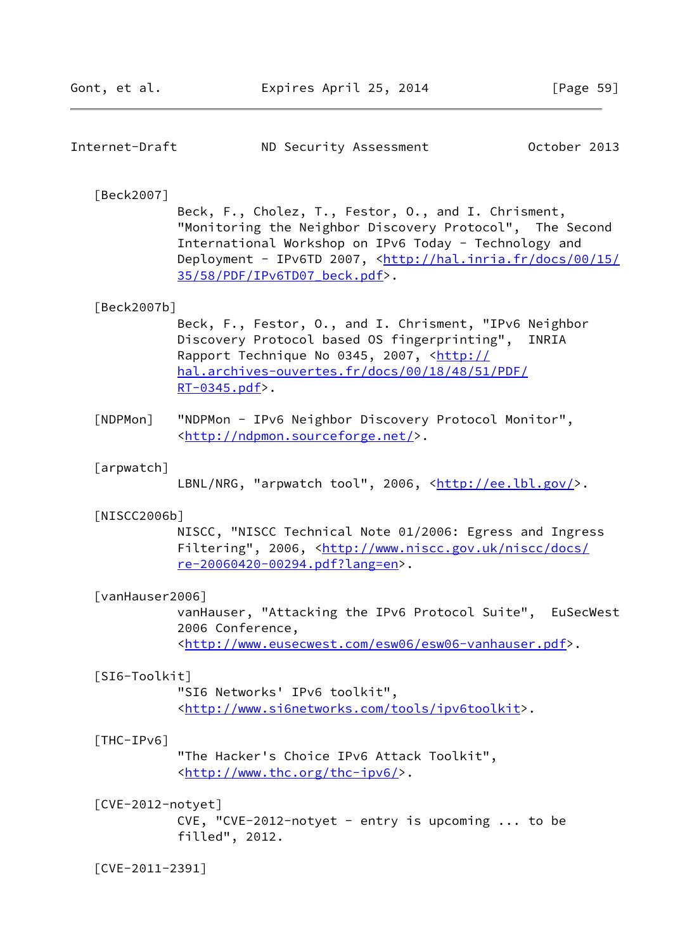| October 2013<br>Internet-Draft<br>ND Security Assessment |  |  |
|----------------------------------------------------------|--|--|
|----------------------------------------------------------|--|--|

## <span id="page-67-6"></span>[Beck2007]

 Beck, F., Cholez, T., Festor, O., and I. Chrisment, "Monitoring the Neighbor Discovery Protocol", The Second International Workshop on IPv6 Today - Technology and Deployment - IPv6TD 2007, [<http://hal.inria.fr/docs/00/15/](http://hal.inria.fr/docs/00/15/35/58/PDF/IPv6TD07_beck.pdf) [35/58/PDF/IPv6TD07\\_beck.pdf](http://hal.inria.fr/docs/00/15/35/58/PDF/IPv6TD07_beck.pdf)>.

## [Beck2007b]

 Beck, F., Festor, O., and I. Chrisment, "IPv6 Neighbor Discovery Protocol based OS fingerprinting", INRIA Rapport Technique No 0345, 2007, [<http://](http://hal.archives-ouvertes.fr/docs/00/18/48/51/PDF/RT-0345.pdf) [hal.archives-ouvertes.fr/docs/00/18/48/51/PDF/](http://hal.archives-ouvertes.fr/docs/00/18/48/51/PDF/RT-0345.pdf) [RT-0345.pdf](http://hal.archives-ouvertes.fr/docs/00/18/48/51/PDF/RT-0345.pdf)>.

<span id="page-67-4"></span> [NDPMon] "NDPMon - IPv6 Neighbor Discovery Protocol Monitor", <<http://ndpmon.sourceforge.net/>>.

#### <span id="page-67-5"></span>[arpwatch]

LBNL/NRG, "arpwatch tool", 2006, [<http://ee.lbl.gov/>](http://ee.lbl.gov/).

#### [NISCC2006b]

 NISCC, "NISCC Technical Note 01/2006: Egress and Ingress Filtering", 2006, [<http://www.niscc.gov.uk/niscc/docs/](http://www.niscc.gov.uk/niscc/docs/re-20060420-00294.pdf?lang=en) [re-20060420-00294.pdf?lang=en>](http://www.niscc.gov.uk/niscc/docs/re-20060420-00294.pdf?lang=en).

#### <span id="page-67-3"></span>[vanHauser2006]

 vanHauser, "Attacking the IPv6 Protocol Suite", EuSecWest 2006 Conference, <[http://www.eusecwest.com/esw06/esw06-vanhauser.pdf>](http://www.eusecwest.com/esw06/esw06-vanhauser.pdf).

#### [SI6-Toolkit]

 "SI6 Networks' IPv6 toolkit", <[http://www.si6networks.com/tools/ipv6toolkit>](http://www.si6networks.com/tools/ipv6toolkit).

#### <span id="page-67-2"></span>[THC-IPv6]

 "The Hacker's Choice IPv6 Attack Toolkit", <[http://www.thc.org/thc-ipv6/>](http://www.thc.org/thc-ipv6/).

#### <span id="page-67-1"></span>[CVE-2012-notyet]

 CVE, "CVE-2012-notyet - entry is upcoming ... to be filled", 2012.

<span id="page-67-0"></span>[CVE-2011-2391]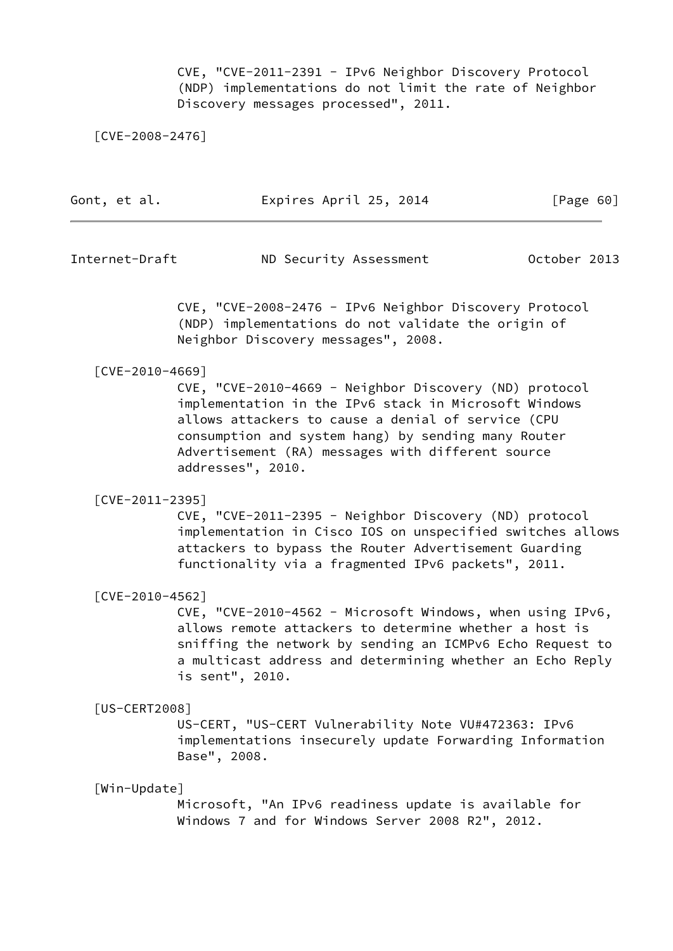CVE, "CVE-2011-2391 - IPv6 Neighbor Discovery Protocol (NDP) implementations do not limit the rate of Neighbor Discovery messages processed", 2011.

[CVE-2008-2476]

| Gont, et al. | Expires April 25, 2014 | [Page 60] |
|--------------|------------------------|-----------|
|              |                        |           |

Internet-Draft ND Security Assessment October 2013

 CVE, "CVE-2008-2476 - IPv6 Neighbor Discovery Protocol (NDP) implementations do not validate the origin of Neighbor Discovery messages", 2008.

#### [CVE-2010-4669]

 CVE, "CVE-2010-4669 - Neighbor Discovery (ND) protocol implementation in the IPv6 stack in Microsoft Windows allows attackers to cause a denial of service (CPU consumption and system hang) by sending many Router Advertisement (RA) messages with different source addresses", 2010.

#### <span id="page-68-0"></span>[CVE-2011-2395]

 CVE, "CVE-2011-2395 - Neighbor Discovery (ND) protocol implementation in Cisco IOS on unspecified switches allows attackers to bypass the Router Advertisement Guarding functionality via a fragmented IPv6 packets", 2011.

[CVE-2010-4562]

 CVE, "CVE-2010-4562 - Microsoft Windows, when using IPv6, allows remote attackers to determine whether a host is sniffing the network by sending an ICMPv6 Echo Request to a multicast address and determining whether an Echo Reply is sent", 2010.

#### <span id="page-68-1"></span>[US-CERT2008]

 US-CERT, "US-CERT Vulnerability Note VU#472363: IPv6 implementations insecurely update Forwarding Information Base", 2008.

#### <span id="page-68-2"></span>[Win-Update]

 Microsoft, "An IPv6 readiness update is available for Windows 7 and for Windows Server 2008 R2", 2012.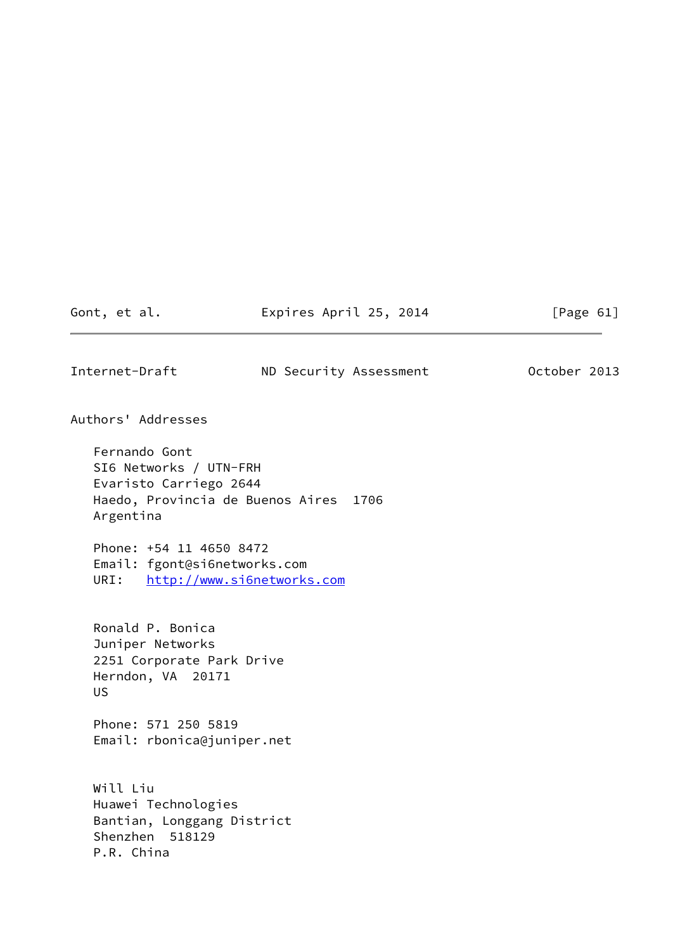Gont, et al. **Expires April 25, 2014** [Page 61]

<span id="page-69-0"></span>Internet-Draft ND Security Assessment October 2013

Authors' Addresses

 Fernando Gont SI6 Networks / UTN-FRH Evaristo Carriego 2644 Haedo, Provincia de Buenos Aires 1706 Argentina

 Phone: +54 11 4650 8472 Email: fgont@si6networks.com URI: <http://www.si6networks.com>

 Ronald P. Bonica Juniper Networks 2251 Corporate Park Drive Herndon, VA 20171 US

 Phone: 571 250 5819 Email: rbonica@juniper.net

 Will Liu Huawei Technologies Bantian, Longgang District Shenzhen 518129 P.R. China